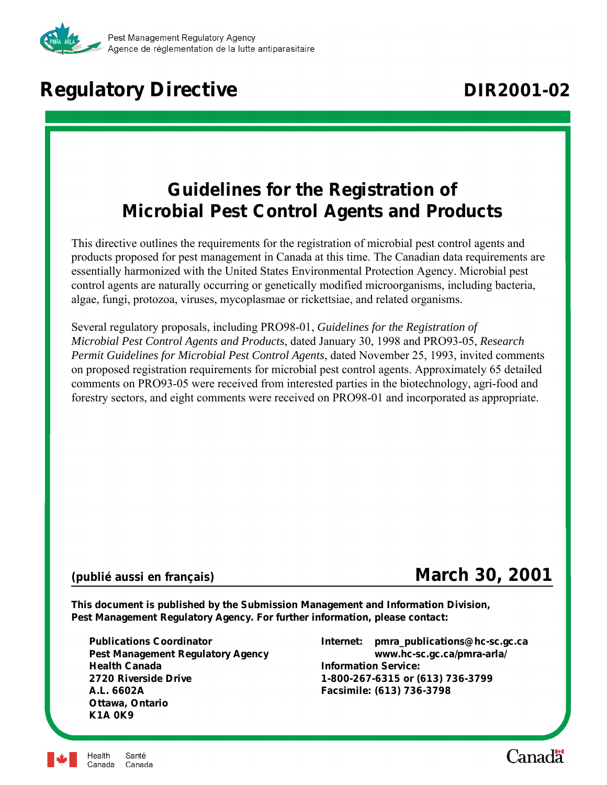

# **Regulatory Directive <b>DIR2001-02**

# **Guidelines for the Registration of Microbial Pest Control Agents and Products**

This directive outlines the requirements for the registration of microbial pest control agents and products proposed for pest management in Canada at this time. The Canadian data requirements are essentially harmonized with the United States Environmental Protection Agency. Microbial pest control agents are naturally occurring or genetically modified microorganisms, including bacteria, algae, fungi, protozoa, viruses, mycoplasmae or rickettsiae, and related organisms.

Several regulatory proposals, including PRO98-01, *Guidelines for the Registration of Microbial Pest Control Agents and Products*, dated January 30, 1998 and PRO93-05, *Research Permit Guidelines for Microbial Pest Control Agents*, dated November 25, 1993, invited comments on proposed registration requirements for microbial pest control agents. Approximately 65 detailed comments on PRO93-05 were received from interested parties in the biotechnology, agri-food and forestry sectors, and eight comments were received on PRO98-01 and incorporated as appropriate.

# *(publié aussi en français)* **March 30, 2001**

**This document is published by the Submission Management and Information Division, Pest Management Regulatory Agency. For further information, please contact:**

**Health Canada Information Service: 2720 Riverside Drive 1-800-267-6315 or (613) 736-3799 A.L. 6602A Facsimile: (613) 736-3798 Ottawa, Ontario K1A 0K9**

**Publications Coordinator Internet: pmra\_publications@hc-sc.gc.ca Pest Management Regulatory Agency www.hc-sc.gc.ca/pmra-arla/**



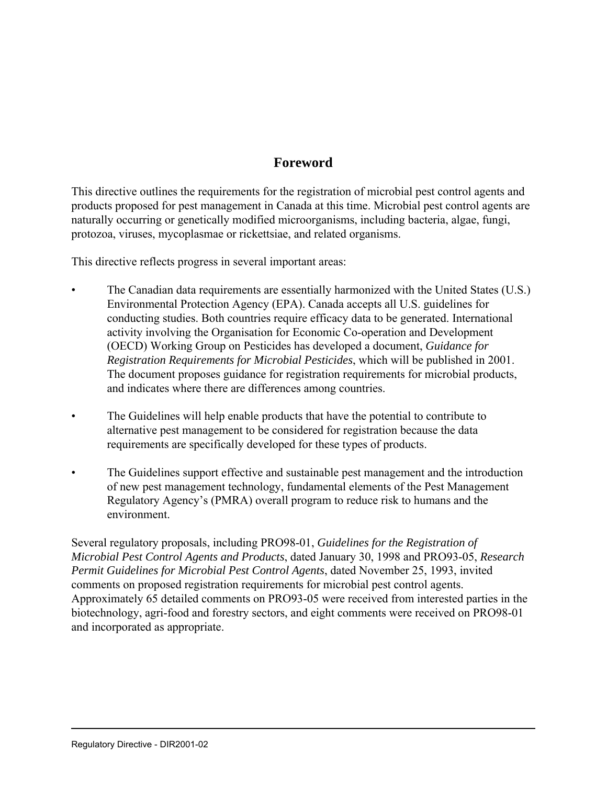# **Foreword**

This directive outlines the requirements for the registration of microbial pest control agents and products proposed for pest management in Canada at this time. Microbial pest control agents are naturally occurring or genetically modified microorganisms, including bacteria, algae, fungi, protozoa, viruses, mycoplasmae or rickettsiae, and related organisms.

This directive reflects progress in several important areas:

- The Canadian data requirements are essentially harmonized with the United States (U.S.) Environmental Protection Agency (EPA). Canada accepts all U.S. guidelines for conducting studies. Both countries require efficacy data to be generated. International activity involving the Organisation for Economic Co-operation and Development (OECD) Working Group on Pesticides has developed a document, *Guidance for Registration Requirements for Microbial Pesticides*, which will be published in 2001. The document proposes guidance for registration requirements for microbial products, and indicates where there are differences among countries.
- The Guidelines will help enable products that have the potential to contribute to alternative pest management to be considered for registration because the data requirements are specifically developed for these types of products.
- The Guidelines support effective and sustainable pest management and the introduction of new pest management technology, fundamental elements of the Pest Management Regulatory Agency's (PMRA) overall program to reduce risk to humans and the environment.

Several regulatory proposals, including PRO98-01, *Guidelines for the Registration of Microbial Pest Control Agents and Products*, dated January 30, 1998 and PRO93-05, *Research Permit Guidelines for Microbial Pest Control Agents*, dated November 25, 1993, invited comments on proposed registration requirements for microbial pest control agents. Approximately 65 detailed comments on PRO93-05 were received from interested parties in the biotechnology, agri-food and forestry sectors, and eight comments were received on PRO98-01 and incorporated as appropriate.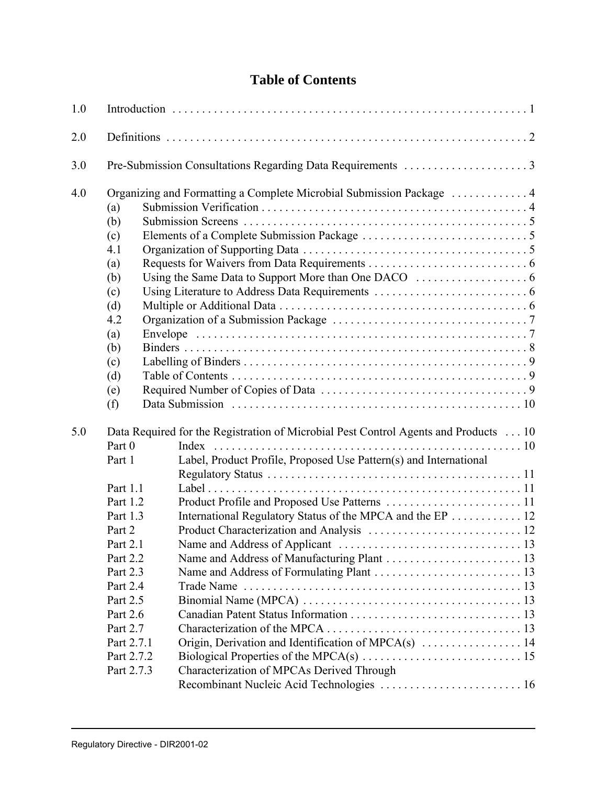# **Table of Contents**

| 1.0 |                          |                                                                                      |  |
|-----|--------------------------|--------------------------------------------------------------------------------------|--|
| 2.0 |                          |                                                                                      |  |
| 3.0 |                          |                                                                                      |  |
| 4.0 |                          |                                                                                      |  |
|     | (a)                      |                                                                                      |  |
|     | (b)                      |                                                                                      |  |
|     | (c)                      |                                                                                      |  |
|     | 4.1                      |                                                                                      |  |
|     | (a)                      |                                                                                      |  |
|     | (b)                      |                                                                                      |  |
|     | (c)                      |                                                                                      |  |
|     | (d)                      |                                                                                      |  |
|     | 4.2                      |                                                                                      |  |
|     | (a)                      |                                                                                      |  |
|     | (b)                      |                                                                                      |  |
|     | (c)                      |                                                                                      |  |
|     | (d)                      |                                                                                      |  |
|     | (e)                      |                                                                                      |  |
|     | (f)                      |                                                                                      |  |
| 5.0 |                          | Data Required for the Registration of Microbial Pest Control Agents and Products  10 |  |
|     | Part 0                   | Index                                                                                |  |
|     | Part 1                   | Label, Product Profile, Proposed Use Pattern(s) and International                    |  |
|     |                          |                                                                                      |  |
|     | Part 1.1                 |                                                                                      |  |
|     | Part 1.2                 |                                                                                      |  |
|     | Part 1.3                 | International Regulatory Status of the MPCA and the EP 12                            |  |
|     | Part 2                   |                                                                                      |  |
|     | Part 2.1                 |                                                                                      |  |
|     | Part 2.2                 |                                                                                      |  |
|     | Part 2.3                 |                                                                                      |  |
|     | Part 2.4                 |                                                                                      |  |
|     | Part 2.5                 |                                                                                      |  |
|     | Part 2.6                 |                                                                                      |  |
|     | Part 2.7                 |                                                                                      |  |
|     | Part 2.7.1               | Origin, Derivation and Identification of MPCA(s)  14                                 |  |
|     | Part 2.7.2<br>Part 2.7.3 | Characterization of MPCAs Derived Through                                            |  |
|     |                          | Recombinant Nucleic Acid Technologies  16                                            |  |
|     |                          |                                                                                      |  |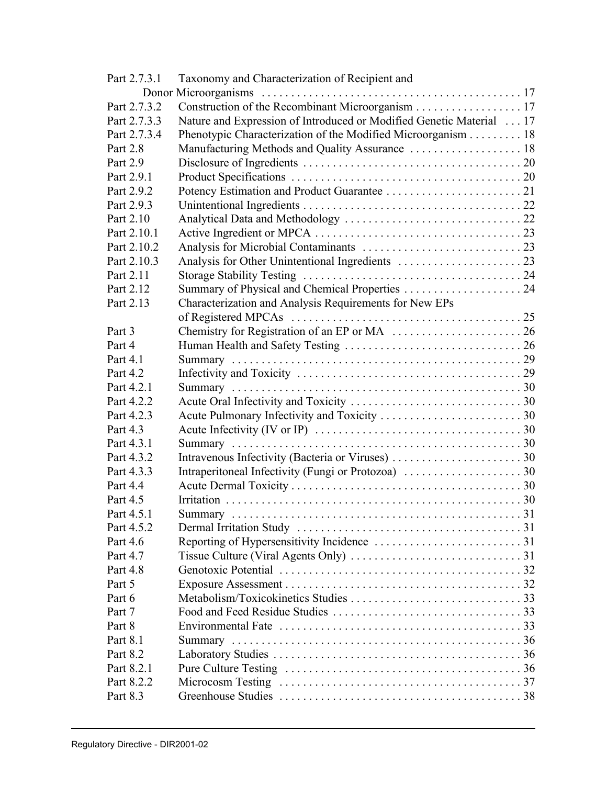| Part 2.7.3.1 | Taxonomy and Characterization of Recipient and                                                           |  |
|--------------|----------------------------------------------------------------------------------------------------------|--|
|              |                                                                                                          |  |
| Part 2.7.3.2 | Construction of the Recombinant Microorganism 17                                                         |  |
| Part 2.7.3.3 | Nature and Expression of Introduced or Modified Genetic Material  17                                     |  |
| Part 2.7.3.4 | Phenotypic Characterization of the Modified Microorganism 18                                             |  |
| Part 2.8     |                                                                                                          |  |
| Part 2.9     |                                                                                                          |  |
| Part 2.9.1   |                                                                                                          |  |
| Part 2.9.2   |                                                                                                          |  |
| Part 2.9.3   |                                                                                                          |  |
| Part 2.10    |                                                                                                          |  |
| Part 2.10.1  |                                                                                                          |  |
| Part 2.10.2  |                                                                                                          |  |
| Part 2.10.3  |                                                                                                          |  |
| Part 2.11    |                                                                                                          |  |
| Part 2.12    |                                                                                                          |  |
| Part 2.13    | Characterization and Analysis Requirements for New EPs                                                   |  |
|              |                                                                                                          |  |
| Part 3       |                                                                                                          |  |
| Part 4       |                                                                                                          |  |
| Part 4.1     |                                                                                                          |  |
| Part 4.2     |                                                                                                          |  |
| Part 4.2.1   |                                                                                                          |  |
| Part 4.2.2   |                                                                                                          |  |
| Part 4.2.3   |                                                                                                          |  |
| Part 4.3     |                                                                                                          |  |
| Part 4.3.1   |                                                                                                          |  |
| Part 4.3.2   |                                                                                                          |  |
| Part 4.3.3   | Intraperitoneal Infectivity (Fungi or Protozoa) 30                                                       |  |
| Part 4.4     |                                                                                                          |  |
| Part 4.5     |                                                                                                          |  |
| Part 4.5.1   |                                                                                                          |  |
| Part 4.5.2   |                                                                                                          |  |
| Part 4.6     |                                                                                                          |  |
| Part 4.7     |                                                                                                          |  |
| Part 4.8     |                                                                                                          |  |
| Part 5       |                                                                                                          |  |
| Part 6       |                                                                                                          |  |
| Part 7       |                                                                                                          |  |
| Part 8       | Environmental Fate $\ldots \ldots \ldots \ldots \ldots \ldots \ldots \ldots \ldots \ldots \ldots \ldots$ |  |
| Part 8.1     |                                                                                                          |  |
| Part 8.2     |                                                                                                          |  |
| Part 8.2.1   |                                                                                                          |  |
| Part 8.2.2   |                                                                                                          |  |
| Part 8.3     |                                                                                                          |  |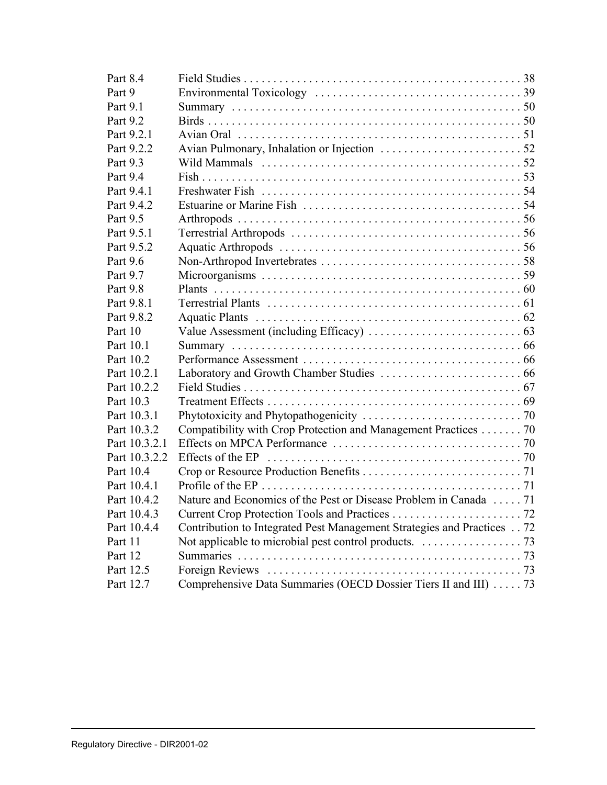| Part 8.4      |                                                                        |  |
|---------------|------------------------------------------------------------------------|--|
| Part 9        |                                                                        |  |
| Part 9.1      |                                                                        |  |
| Part 9.2      |                                                                        |  |
| Part 9.2.1    |                                                                        |  |
| Part 9.2.2    |                                                                        |  |
| Part 9.3      |                                                                        |  |
| Part 9.4      |                                                                        |  |
| Part 9.4.1    |                                                                        |  |
| Part 9.4.2    |                                                                        |  |
| Part 9.5      |                                                                        |  |
| Part 9.5.1    |                                                                        |  |
| Part 9.5.2    |                                                                        |  |
| Part 9.6      |                                                                        |  |
| Part 9.7      |                                                                        |  |
| Part 9.8      |                                                                        |  |
| Part 9.8.1    |                                                                        |  |
| Part 9.8.2    |                                                                        |  |
| Part 10       |                                                                        |  |
| Part 10.1     |                                                                        |  |
| Part 10.2     |                                                                        |  |
| Part 10.2.1   |                                                                        |  |
| Part 10.2.2   |                                                                        |  |
| Part 10.3     |                                                                        |  |
| Part 10.3.1   |                                                                        |  |
| Part 10.3.2   | Compatibility with Crop Protection and Management Practices 70         |  |
| Part 10.3.2.1 |                                                                        |  |
| Part 10.3.2.2 |                                                                        |  |
| Part 10.4     |                                                                        |  |
| Part 10.4.1   |                                                                        |  |
| Part 10.4.2   | Nature and Economics of the Pest or Disease Problem in Canada  71      |  |
| Part 10.4.3   |                                                                        |  |
| Part 10.4.4   | Contribution to Integrated Pest Management Strategies and Practices 72 |  |
| Part 11       |                                                                        |  |
| Part 12       |                                                                        |  |
| Part 12.5     |                                                                        |  |
| Part 12.7     | Comprehensive Data Summaries (OECD Dossier Tiers II and III)  73       |  |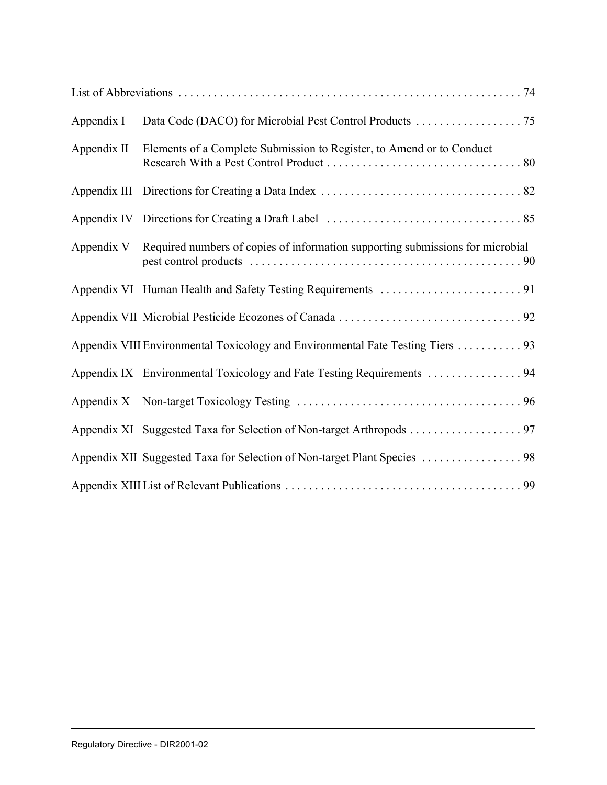| Appendix I  | Data Code (DACO) for Microbial Pest Control Products 75                                   |
|-------------|-------------------------------------------------------------------------------------------|
| Appendix II | Elements of a Complete Submission to Register, to Amend or to Conduct                     |
|             |                                                                                           |
|             |                                                                                           |
|             | Appendix V Required numbers of copies of information supporting submissions for microbial |
|             |                                                                                           |
|             |                                                                                           |
|             | Appendix VIII Environmental Toxicology and Environmental Fate Testing Tiers 93            |
|             |                                                                                           |
|             |                                                                                           |
|             |                                                                                           |
|             |                                                                                           |
|             |                                                                                           |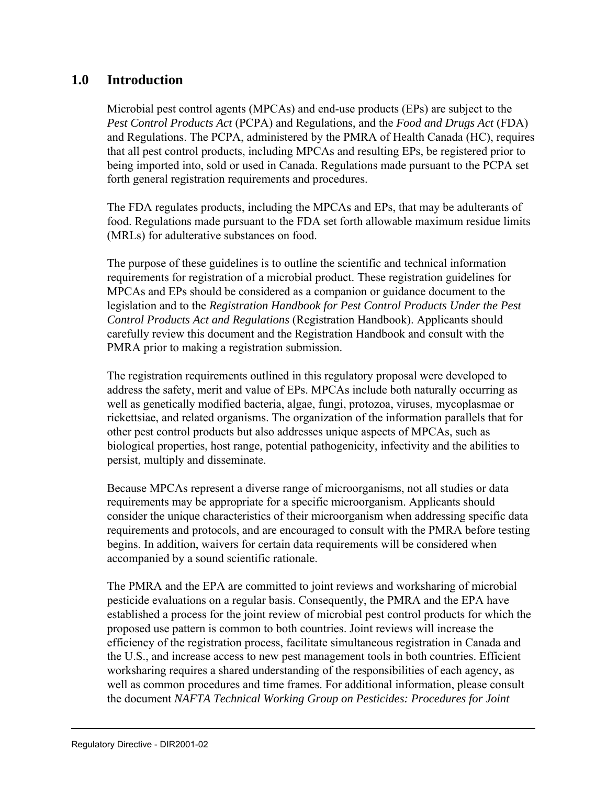# **1.0 Introduction**

Microbial pest control agents (MPCAs) and end-use products (EPs) are subject to the *Pest Control Products Act* (PCPA) and Regulations, and the *Food and Drugs Act* (FDA) and Regulations. The PCPA, administered by the PMRA of Health Canada (HC), requires that all pest control products, including MPCAs and resulting EPs, be registered prior to being imported into, sold or used in Canada. Regulations made pursuant to the PCPA set forth general registration requirements and procedures.

The FDA regulates products, including the MPCAs and EPs, that may be adulterants of food. Regulations made pursuant to the FDA set forth allowable maximum residue limits (MRLs) for adulterative substances on food.

The purpose of these guidelines is to outline the scientific and technical information requirements for registration of a microbial product. These registration guidelines for MPCAs and EPs should be considered as a companion or guidance document to the legislation and to the *Registration Handbook for Pest Control Products Under the Pest Control Products Act and Regulations* (Registration Handbook). Applicants should carefully review this document and the Registration Handbook and consult with the PMRA prior to making a registration submission.

The registration requirements outlined in this regulatory proposal were developed to address the safety, merit and value of EPs. MPCAs include both naturally occurring as well as genetically modified bacteria, algae, fungi, protozoa, viruses, mycoplasmae or rickettsiae, and related organisms. The organization of the information parallels that for other pest control products but also addresses unique aspects of MPCAs, such as biological properties, host range, potential pathogenicity, infectivity and the abilities to persist, multiply and disseminate.

Because MPCAs represent a diverse range of microorganisms, not all studies or data requirements may be appropriate for a specific microorganism. Applicants should consider the unique characteristics of their microorganism when addressing specific data requirements and protocols, and are encouraged to consult with the PMRA before testing begins. In addition, waivers for certain data requirements will be considered when accompanied by a sound scientific rationale.

The PMRA and the EPA are committed to joint reviews and worksharing of microbial pesticide evaluations on a regular basis. Consequently, the PMRA and the EPA have established a process for the joint review of microbial pest control products for which the proposed use pattern is common to both countries. Joint reviews will increase the efficiency of the registration process, facilitate simultaneous registration in Canada and the U.S., and increase access to new pest management tools in both countries. Efficient worksharing requires a shared understanding of the responsibilities of each agency, as well as common procedures and time frames. For additional information, please consult the document *NAFTA Technical Working Group on Pesticides: Procedures for Joint*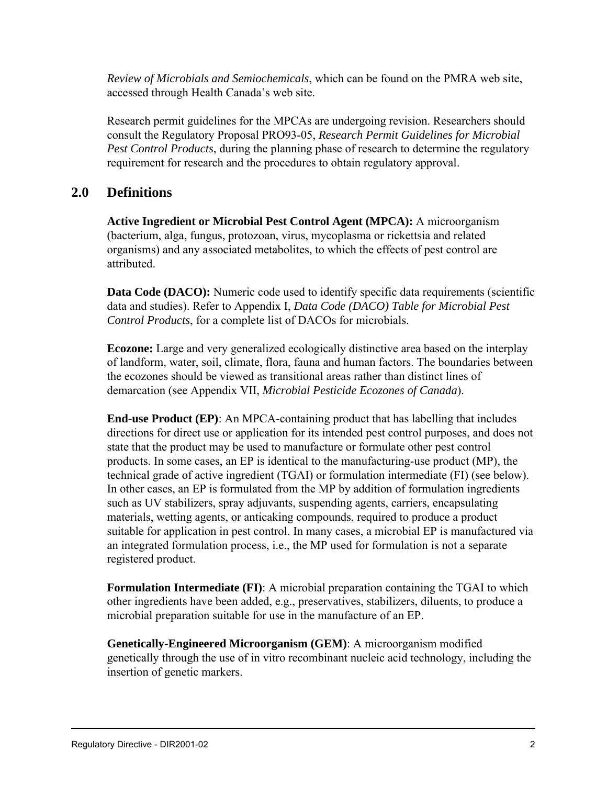*Review of Microbials and Semiochemicals*, which can be found on the PMRA web site, accessed through Health Canada's web site.

Research permit guidelines for the MPCAs are undergoing revision. Researchers should consult the Regulatory Proposal PRO93-05, *Research Permit Guidelines for Microbial Pest Control Products*, during the planning phase of research to determine the regulatory requirement for research and the procedures to obtain regulatory approval.

# **2.0 Definitions**

**Active Ingredient or Microbial Pest Control Agent (MPCA):** A microorganism (bacterium, alga, fungus, protozoan, virus, mycoplasma or rickettsia and related organisms) and any associated metabolites, to which the effects of pest control are attributed.

**Data Code (DACO):** Numeric code used to identify specific data requirements (scientific data and studies). Refer to Appendix I, *Data Code (DACO) Table for Microbial Pest Control Products*, for a complete list of DACOs for microbials.

**Ecozone:** Large and very generalized ecologically distinctive area based on the interplay of landform, water, soil, climate, flora, fauna and human factors. The boundaries between the ecozones should be viewed as transitional areas rather than distinct lines of demarcation (see Appendix VII, *Microbial Pesticide Ecozones of Canada*).

**End-use Product (EP)**: An MPCA-containing product that has labelling that includes directions for direct use or application for its intended pest control purposes, and does not state that the product may be used to manufacture or formulate other pest control products. In some cases, an EP is identical to the manufacturing-use product (MP), the technical grade of active ingredient (TGAI) or formulation intermediate (FI) (see below). In other cases, an EP is formulated from the MP by addition of formulation ingredients such as UV stabilizers, spray adjuvants, suspending agents, carriers, encapsulating materials, wetting agents, or anticaking compounds, required to produce a product suitable for application in pest control. In many cases, a microbial EP is manufactured via an integrated formulation process, i.e., the MP used for formulation is not a separate registered product.

**Formulation Intermediate (FI)**: A microbial preparation containing the TGAI to which other ingredients have been added, e.g., preservatives, stabilizers, diluents, to produce a microbial preparation suitable for use in the manufacture of an EP.

**Genetically-Engineered Microorganism (GEM)**: A microorganism modified genetically through the use of in vitro recombinant nucleic acid technology, including the insertion of genetic markers.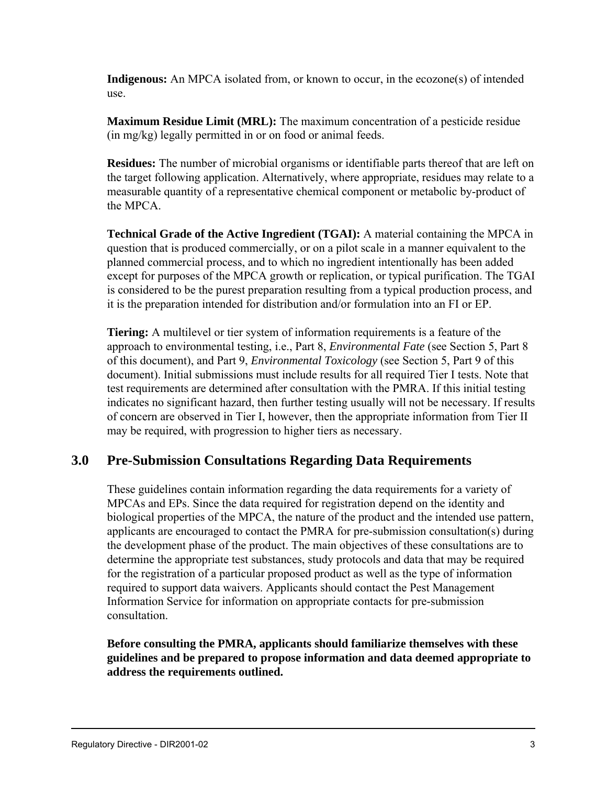**Indigenous:** An MPCA isolated from, or known to occur, in the ecozone(s) of intended use.

**Maximum Residue Limit (MRL):** The maximum concentration of a pesticide residue (in mg/kg) legally permitted in or on food or animal feeds.

**Residues:** The number of microbial organisms or identifiable parts thereof that are left on the target following application. Alternatively, where appropriate, residues may relate to a measurable quantity of a representative chemical component or metabolic by-product of the MPCA.

**Technical Grade of the Active Ingredient (TGAI):** A material containing the MPCA in question that is produced commercially, or on a pilot scale in a manner equivalent to the planned commercial process, and to which no ingredient intentionally has been added except for purposes of the MPCA growth or replication, or typical purification. The TGAI is considered to be the purest preparation resulting from a typical production process, and it is the preparation intended for distribution and/or formulation into an FI or EP.

**Tiering:** A multilevel or tier system of information requirements is a feature of the approach to environmental testing, i.e., Part 8, *Environmental Fate* (see Section 5, Part 8 of this document), and Part 9, *Environmental Toxicology* (see Section 5, Part 9 of this document). Initial submissions must include results for all required Tier I tests. Note that test requirements are determined after consultation with the PMRA. If this initial testing indicates no significant hazard, then further testing usually will not be necessary. If results of concern are observed in Tier I, however, then the appropriate information from Tier II may be required, with progression to higher tiers as necessary.

# **3.0 Pre-Submission Consultations Regarding Data Requirements**

These guidelines contain information regarding the data requirements for a variety of MPCAs and EPs. Since the data required for registration depend on the identity and biological properties of the MPCA, the nature of the product and the intended use pattern, applicants are encouraged to contact the PMRA for pre-submission consultation(s) during the development phase of the product. The main objectives of these consultations are to determine the appropriate test substances, study protocols and data that may be required for the registration of a particular proposed product as well as the type of information required to support data waivers. Applicants should contact the Pest Management Information Service for information on appropriate contacts for pre-submission consultation.

**Before consulting the PMRA, applicants should familiarize themselves with these guidelines and be prepared to propose information and data deemed appropriate to address the requirements outlined.**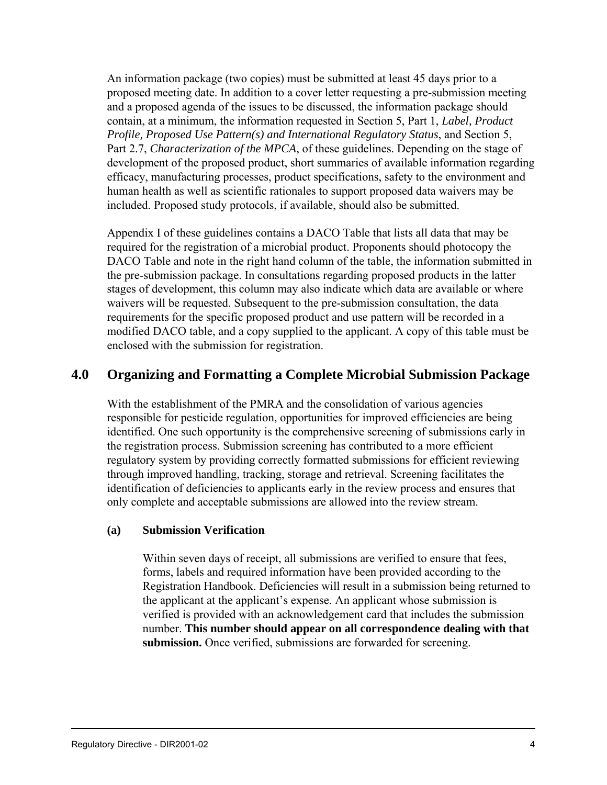An information package (two copies) must be submitted at least 45 days prior to a proposed meeting date. In addition to a cover letter requesting a pre-submission meeting and a proposed agenda of the issues to be discussed, the information package should contain, at a minimum, the information requested in Section 5, Part 1, *Label, Product Profile, Proposed Use Pattern(s) and International Regulatory Status*, and Section 5, Part 2.7, *Characterization of the MPCA*, of these guidelines. Depending on the stage of development of the proposed product, short summaries of available information regarding efficacy, manufacturing processes, product specifications, safety to the environment and human health as well as scientific rationales to support proposed data waivers may be included. Proposed study protocols, if available, should also be submitted.

Appendix I of these guidelines contains a DACO Table that lists all data that may be required for the registration of a microbial product. Proponents should photocopy the DACO Table and note in the right hand column of the table, the information submitted in the pre-submission package. In consultations regarding proposed products in the latter stages of development, this column may also indicate which data are available or where waivers will be requested. Subsequent to the pre-submission consultation, the data requirements for the specific proposed product and use pattern will be recorded in a modified DACO table, and a copy supplied to the applicant. A copy of this table must be enclosed with the submission for registration.

# **4.0 Organizing and Formatting a Complete Microbial Submission Package**

With the establishment of the PMRA and the consolidation of various agencies responsible for pesticide regulation, opportunities for improved efficiencies are being identified. One such opportunity is the comprehensive screening of submissions early in the registration process. Submission screening has contributed to a more efficient regulatory system by providing correctly formatted submissions for efficient reviewing through improved handling, tracking, storage and retrieval. Screening facilitates the identification of deficiencies to applicants early in the review process and ensures that only complete and acceptable submissions are allowed into the review stream.

## **(a) Submission Verification**

Within seven days of receipt, all submissions are verified to ensure that fees, forms, labels and required information have been provided according to the Registration Handbook. Deficiencies will result in a submission being returned to the applicant at the applicant's expense. An applicant whose submission is verified is provided with an acknowledgement card that includes the submission number. **This number should appear on all correspondence dealing with that submission.** Once verified, submissions are forwarded for screening.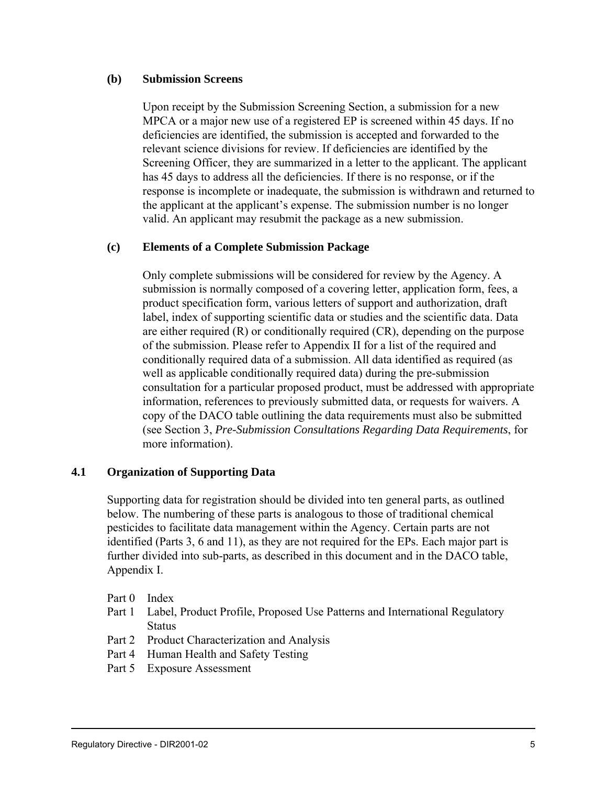#### **(b) Submission Screens**

Upon receipt by the Submission Screening Section, a submission for a new MPCA or a major new use of a registered EP is screened within 45 days. If no deficiencies are identified, the submission is accepted and forwarded to the relevant science divisions for review. If deficiencies are identified by the Screening Officer, they are summarized in a letter to the applicant. The applicant has 45 days to address all the deficiencies. If there is no response, or if the response is incomplete or inadequate, the submission is withdrawn and returned to the applicant at the applicant's expense. The submission number is no longer valid. An applicant may resubmit the package as a new submission.

#### **(c) Elements of a Complete Submission Package**

Only complete submissions will be considered for review by the Agency. A submission is normally composed of a covering letter, application form, fees, a product specification form, various letters of support and authorization, draft label, index of supporting scientific data or studies and the scientific data. Data are either required (R) or conditionally required (CR), depending on the purpose of the submission. Please refer to Appendix II for a list of the required and conditionally required data of a submission. All data identified as required (as well as applicable conditionally required data) during the pre-submission consultation for a particular proposed product, must be addressed with appropriate information, references to previously submitted data, or requests for waivers. A copy of the DACO table outlining the data requirements must also be submitted (see Section 3, *Pre-Submission Consultations Regarding Data Requirements*, for more information).

#### **4.1 Organization of Supporting Data**

Supporting data for registration should be divided into ten general parts, as outlined below. The numbering of these parts is analogous to those of traditional chemical pesticides to facilitate data management within the Agency. Certain parts are not identified (Parts 3, 6 and 11), as they are not required for the EPs. Each major part is further divided into sub-parts, as described in this document and in the DACO table, Appendix I.

Part 0 Index

- Part 1 Label, Product Profile, Proposed Use Patterns and International Regulatory **Status**
- Part 2 Product Characterization and Analysis
- Part 4 Human Health and Safety Testing
- Part 5 Exposure Assessment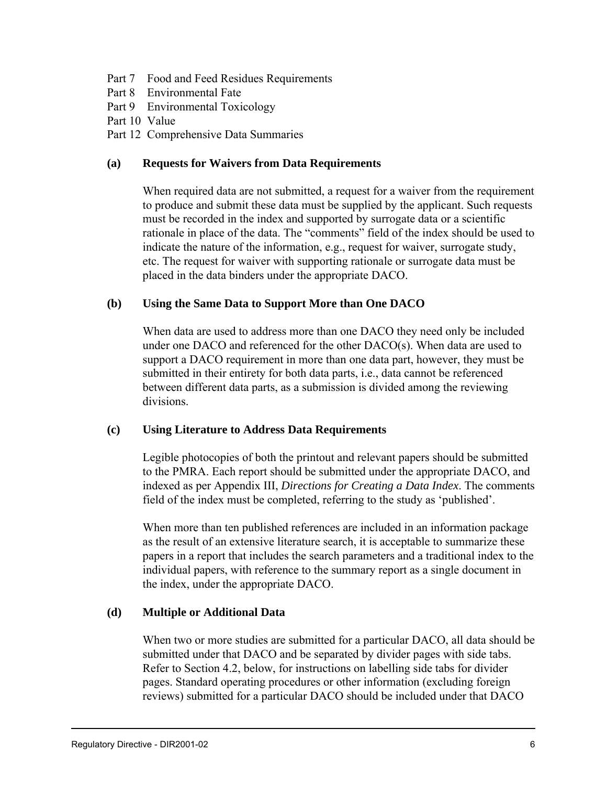- Part 7 Food and Feed Residues Requirements
- Part 8 Environmental Fate
- Part 9 Environmental Toxicology
- Part 10 Value
- Part 12 Comprehensive Data Summaries

#### **(a) Requests for Waivers from Data Requirements**

When required data are not submitted, a request for a waiver from the requirement to produce and submit these data must be supplied by the applicant. Such requests must be recorded in the index and supported by surrogate data or a scientific rationale in place of the data. The "comments" field of the index should be used to indicate the nature of the information, e.g., request for waiver, surrogate study, etc. The request for waiver with supporting rationale or surrogate data must be placed in the data binders under the appropriate DACO.

#### **(b) Using the Same Data to Support More than One DACO**

When data are used to address more than one DACO they need only be included under one DACO and referenced for the other DACO(s). When data are used to support a DACO requirement in more than one data part, however, they must be submitted in their entirety for both data parts, i.e., data cannot be referenced between different data parts, as a submission is divided among the reviewing divisions.

#### **(c) Using Literature to Address Data Requirements**

Legible photocopies of both the printout and relevant papers should be submitted to the PMRA. Each report should be submitted under the appropriate DACO, and indexed as per Appendix III, *Directions for Creating a Data Index*. The comments field of the index must be completed, referring to the study as 'published'.

When more than ten published references are included in an information package as the result of an extensive literature search, it is acceptable to summarize these papers in a report that includes the search parameters and a traditional index to the individual papers, with reference to the summary report as a single document in the index, under the appropriate DACO.

#### **(d) Multiple or Additional Data**

When two or more studies are submitted for a particular DACO, all data should be submitted under that DACO and be separated by divider pages with side tabs. Refer to Section 4.2, below, for instructions on labelling side tabs for divider pages. Standard operating procedures or other information (excluding foreign reviews) submitted for a particular DACO should be included under that DACO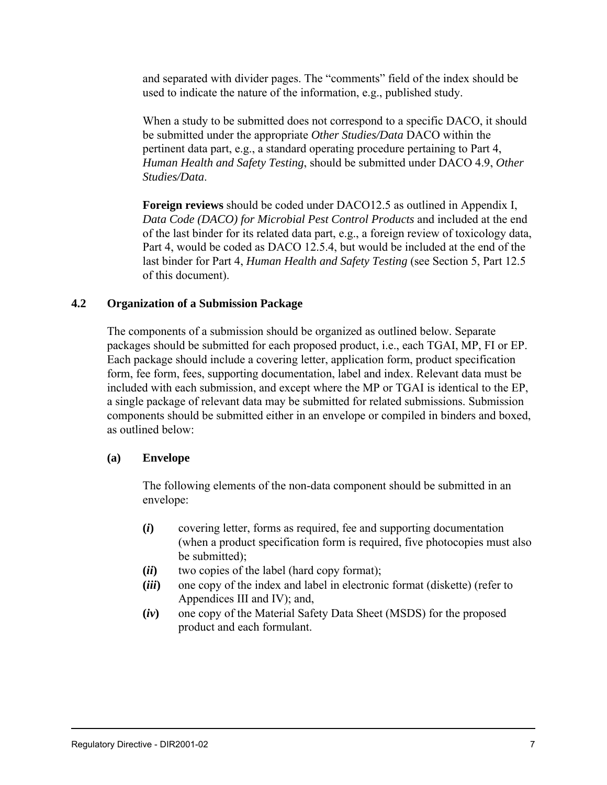and separated with divider pages. The "comments" field of the index should be used to indicate the nature of the information, e.g., published study.

When a study to be submitted does not correspond to a specific DACO, it should be submitted under the appropriate *Other Studies/Data* DACO within the pertinent data part, e.g., a standard operating procedure pertaining to Part 4, *Human Health and Safety Testing*, should be submitted under DACO 4.9, *Other Studies/Data*.

**Foreign reviews** should be coded under DACO12.5 as outlined in Appendix I, *Data Code (DACO) for Microbial Pest Control Products* and included at the end of the last binder for its related data part, e.g., a foreign review of toxicology data, Part 4, would be coded as DACO 12.5.4, but would be included at the end of the last binder for Part 4, *Human Health and Safety Testing* (see Section 5, Part 12.5 of this document).

#### **4.2 Organization of a Submission Package**

The components of a submission should be organized as outlined below. Separate packages should be submitted for each proposed product, i.e., each TGAI, MP, FI or EP. Each package should include a covering letter, application form, product specification form, fee form, fees, supporting documentation, label and index. Relevant data must be included with each submission, and except where the MP or TGAI is identical to the EP, a single package of relevant data may be submitted for related submissions. Submission components should be submitted either in an envelope or compiled in binders and boxed, as outlined below:

#### **(a) Envelope**

The following elements of the non-data component should be submitted in an envelope:

- **(***i***)** covering letter, forms as required, fee and supporting documentation (when a product specification form is required, five photocopies must also be submitted);
- **(***ii***)** two copies of the label (hard copy format);
- **(***iii***)** one copy of the index and label in electronic format (diskette) (refer to Appendices III and IV); and,
- **(***iv***)** one copy of the Material Safety Data Sheet (MSDS) for the proposed product and each formulant.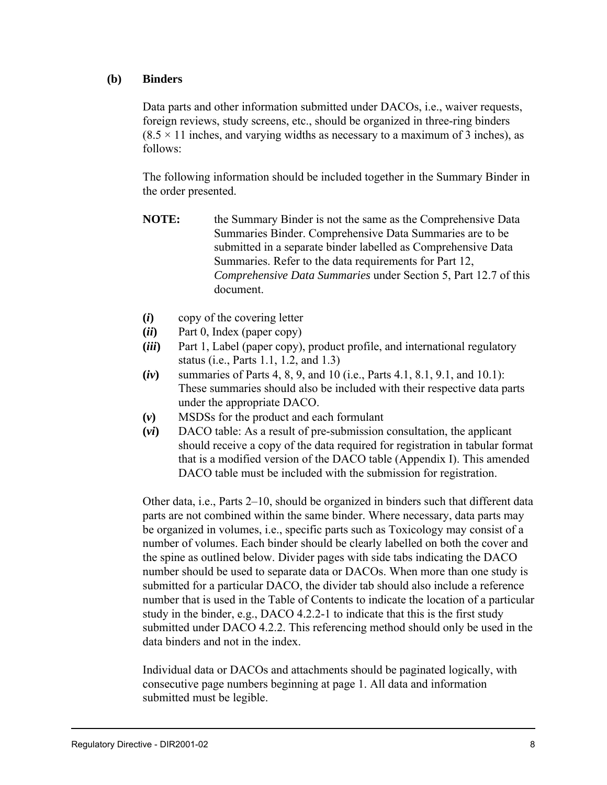#### **(b) Binders**

Data parts and other information submitted under DACOs, i.e., waiver requests, foreign reviews, study screens, etc., should be organized in three-ring binders  $(8.5 \times 11)$  inches, and varying widths as necessary to a maximum of 3 inches), as follows:

The following information should be included together in the Summary Binder in the order presented.

- **NOTE:** the Summary Binder is not the same as the Comprehensive Data Summaries Binder. Comprehensive Data Summaries are to be submitted in a separate binder labelled as Comprehensive Data Summaries. Refer to the data requirements for Part 12, *Comprehensive Data Summaries* under Section 5, Part 12.7 of this document.
- **(***i***)** copy of the covering letter
- **(***ii***)** Part 0, Index (paper copy)
- **(***iii***)** Part 1, Label (paper copy), product profile, and international regulatory status (i.e., Parts 1.1, 1.2, and 1.3)
- **(***iv***)** summaries of Parts 4, 8, 9, and 10 (i.e., Parts 4.1, 8.1, 9.1, and 10.1): These summaries should also be included with their respective data parts under the appropriate DACO.
- **(***v***)** MSDSs for the product and each formulant
- **(***vi***)** DACO table: As a result of pre-submission consultation, the applicant should receive a copy of the data required for registration in tabular format that is a modified version of the DACO table (Appendix I). This amended DACO table must be included with the submission for registration.

Other data, i.e., Parts 2–10, should be organized in binders such that different data parts are not combined within the same binder. Where necessary, data parts may be organized in volumes, i.e., specific parts such as Toxicology may consist of a number of volumes. Each binder should be clearly labelled on both the cover and the spine as outlined below. Divider pages with side tabs indicating the DACO number should be used to separate data or DACOs. When more than one study is submitted for a particular DACO, the divider tab should also include a reference number that is used in the Table of Contents to indicate the location of a particular study in the binder, e.g., DACO 4.2.2-1 to indicate that this is the first study submitted under DACO 4.2.2. This referencing method should only be used in the data binders and not in the index.

Individual data or DACOs and attachments should be paginated logically, with consecutive page numbers beginning at page 1. All data and information submitted must be legible.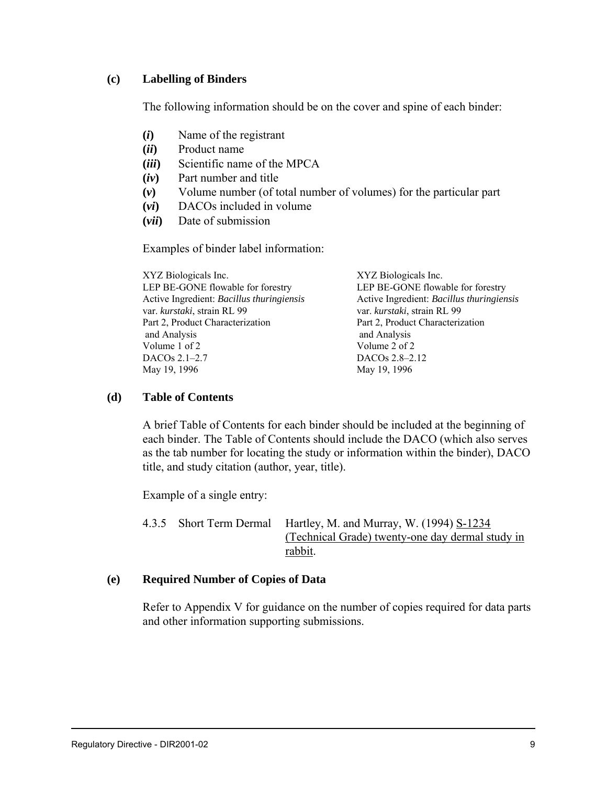#### **(c) Labelling of Binders**

The following information should be on the cover and spine of each binder:

- **(***i***)** Name of the registrant
- **(***ii***)** Product name
- **(***iii***)** Scientific name of the MPCA
- **(***iv***)** Part number and title
- **(***v***)** Volume number (of total number of volumes) for the particular part
- **(***vi***)** DACOs included in volume
- **(***vii***)** Date of submission

Examples of binder label information:

| XYZ Biologicals Inc.                      | XYZ Biologicals Inc.                      |
|-------------------------------------------|-------------------------------------------|
| LEP BE-GONE flowable for forestry         | LEP BE-GONE flowable for forestry         |
| Active Ingredient: Bacillus thuringiensis | Active Ingredient: Bacillus thuringiensis |
| var. kurstaki, strain RL 99               | var. kurstaki, strain RL 99               |
| Part 2, Product Characterization          | Part 2, Product Characterization          |
| and Analysis                              | and Analysis                              |
| Volume 1 of 2                             | Volume 2 of 2                             |
| DACOs 2.1-2.7                             | DACO <sub>s</sub> 2.8–2.12                |
| May 19, 1996                              | May 19, 1996                              |
|                                           |                                           |

#### **(d) Table of Contents**

A brief Table of Contents for each binder should be included at the beginning of each binder. The Table of Contents should include the DACO (which also serves as the tab number for locating the study or information within the binder), DACO title, and study citation (author, year, title).

Example of a single entry:

4.3.5 Short Term Dermal Hartley, M. and Murray, W. (1994) S-1234 (Technical Grade) twenty-one day dermal study in rabbit.

#### **(e) Required Number of Copies of Data**

Refer to Appendix V for guidance on the number of copies required for data parts and other information supporting submissions.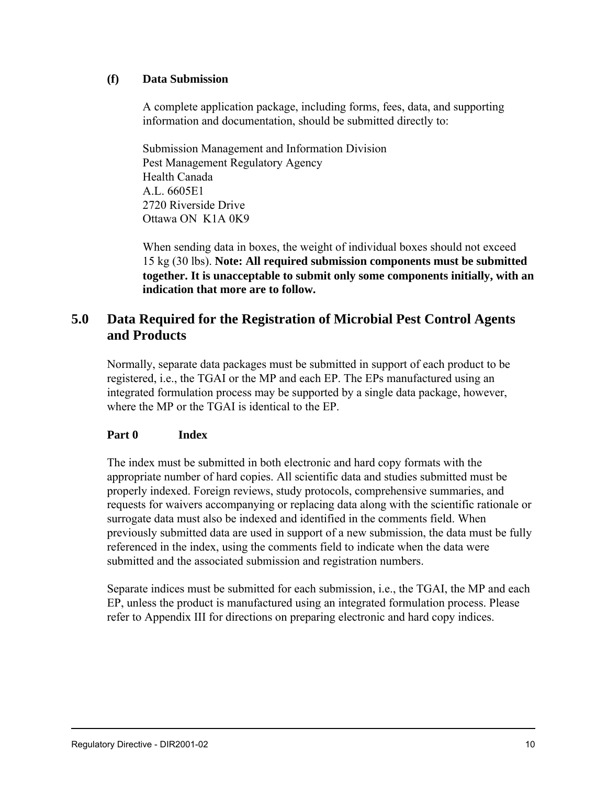#### **(f) Data Submission**

A complete application package, including forms, fees, data, and supporting information and documentation, should be submitted directly to:

Submission Management and Information Division Pest Management Regulatory Agency Health Canada A.L. 6605E1 2720 Riverside Drive Ottawa ON K1A 0K9

When sending data in boxes, the weight of individual boxes should not exceed 15 kg (30 lbs). **Note: All required submission components must be submitted together. It is unacceptable to submit only some components initially, with an indication that more are to follow.**

# **5.0 Data Required for the Registration of Microbial Pest Control Agents and Products**

Normally, separate data packages must be submitted in support of each product to be registered, i.e., the TGAI or the MP and each EP. The EPs manufactured using an integrated formulation process may be supported by a single data package, however, where the MP or the TGAI is identical to the EP.

#### **Part 0 Index**

The index must be submitted in both electronic and hard copy formats with the appropriate number of hard copies. All scientific data and studies submitted must be properly indexed. Foreign reviews, study protocols, comprehensive summaries, and requests for waivers accompanying or replacing data along with the scientific rationale or surrogate data must also be indexed and identified in the comments field. When previously submitted data are used in support of a new submission, the data must be fully referenced in the index, using the comments field to indicate when the data were submitted and the associated submission and registration numbers.

Separate indices must be submitted for each submission, i.e., the TGAI, the MP and each EP, unless the product is manufactured using an integrated formulation process. Please refer to Appendix III for directions on preparing electronic and hard copy indices.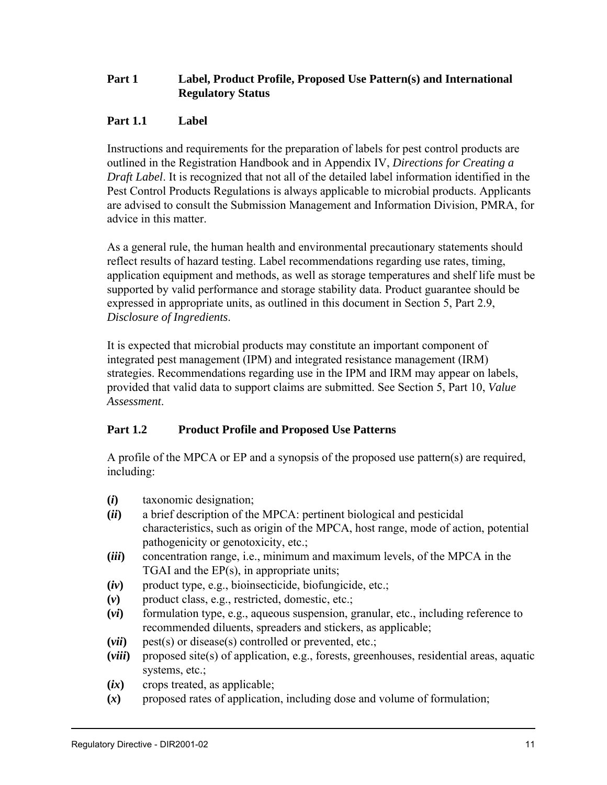# **Part 1 Label, Product Profile, Proposed Use Pattern(s) and International Regulatory Status**

# **Part 1.1 Label**

Instructions and requirements for the preparation of labels for pest control products are outlined in the Registration Handbook and in Appendix IV, *Directions for Creating a Draft Label*. It is recognized that not all of the detailed label information identified in the Pest Control Products Regulations is always applicable to microbial products. Applicants are advised to consult the Submission Management and Information Division, PMRA, for advice in this matter.

As a general rule, the human health and environmental precautionary statements should reflect results of hazard testing. Label recommendations regarding use rates, timing, application equipment and methods, as well as storage temperatures and shelf life must be supported by valid performance and storage stability data. Product guarantee should be expressed in appropriate units, as outlined in this document in Section 5, Part 2.9, *Disclosure of Ingredients*.

It is expected that microbial products may constitute an important component of integrated pest management (IPM) and integrated resistance management (IRM) strategies. Recommendations regarding use in the IPM and IRM may appear on labels, provided that valid data to support claims are submitted. See Section 5, Part 10, *Value Assessment*.

# **Part 1.2 Product Profile and Proposed Use Patterns**

A profile of the MPCA or EP and a synopsis of the proposed use pattern(s) are required, including:

- **(***i***)** taxonomic designation;
- **(***ii***)** a brief description of the MPCA: pertinent biological and pesticidal characteristics, such as origin of the MPCA, host range, mode of action, potential pathogenicity or genotoxicity, etc.;
- **(***iii***)** concentration range, i.e., minimum and maximum levels, of the MPCA in the TGAI and the EP(s), in appropriate units;
- $(iv)$  product type, e.g., bioinsecticide, biofungicide, etc.;
- **(***v***)** product class, e.g., restricted, domestic, etc.;
- **(***vi***)** formulation type, e.g., aqueous suspension, granular, etc., including reference to recommended diluents, spreaders and stickers, as applicable;
- **(***vii***)** pest(s) or disease(s) controlled or prevented, etc.;
- **(***viii***)** proposed site(s) of application, e.g., forests, greenhouses, residential areas, aquatic systems, etc.;
- **(***ix***)** crops treated, as applicable;
- **(***x***)** proposed rates of application, including dose and volume of formulation;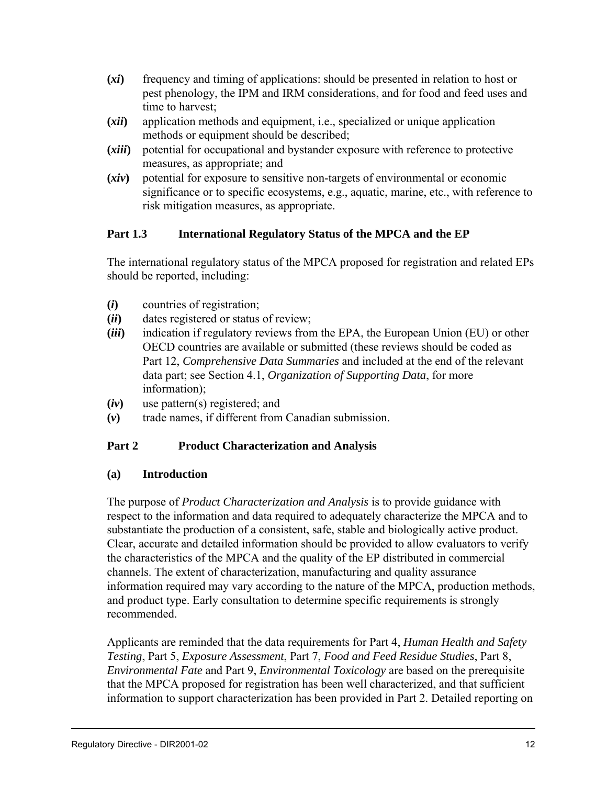- **(***xi***)** frequency and timing of applications: should be presented in relation to host or pest phenology, the IPM and IRM considerations, and for food and feed uses and time to harvest;
- **(***xii***)** application methods and equipment, i.e., specialized or unique application methods or equipment should be described;
- **(***xiii***)** potential for occupational and bystander exposure with reference to protective measures, as appropriate; and
- **(***xiv***)** potential for exposure to sensitive non-targets of environmental or economic significance or to specific ecosystems, e.g., aquatic, marine, etc., with reference to risk mitigation measures, as appropriate.

# **Part 1.3 International Regulatory Status of the MPCA and the EP**

The international regulatory status of the MPCA proposed for registration and related EPs should be reported, including:

- **(***i***)** countries of registration;
- **(***ii***)** dates registered or status of review;
- **(***iii***)** indication if regulatory reviews from the EPA, the European Union (EU) or other OECD countries are available or submitted (these reviews should be coded as Part 12, *Comprehensive Data Summaries* and included at the end of the relevant data part; see Section 4.1, *Organization of Supporting Data*, for more information);
- **(***iv***)** use pattern(s) registered; and
- **(***v***)** trade names, if different from Canadian submission.

#### **Part 2 Product Characterization and Analysis**

#### **(a) Introduction**

The purpose of *Product Characterization and Analysis* is to provide guidance with respect to the information and data required to adequately characterize the MPCA and to substantiate the production of a consistent, safe, stable and biologically active product. Clear, accurate and detailed information should be provided to allow evaluators to verify the characteristics of the MPCA and the quality of the EP distributed in commercial channels. The extent of characterization, manufacturing and quality assurance information required may vary according to the nature of the MPCA, production methods, and product type. Early consultation to determine specific requirements is strongly recommended.

Applicants are reminded that the data requirements for Part 4, *Human Health and Safety Testing*, Part 5, *Exposure Assessment*, Part 7, *Food and Feed Residue Studies*, Part 8, *Environmental Fate* and Part 9, *Environmental Toxicology* are based on the prerequisite that the MPCA proposed for registration has been well characterized, and that sufficient information to support characterization has been provided in Part 2. Detailed reporting on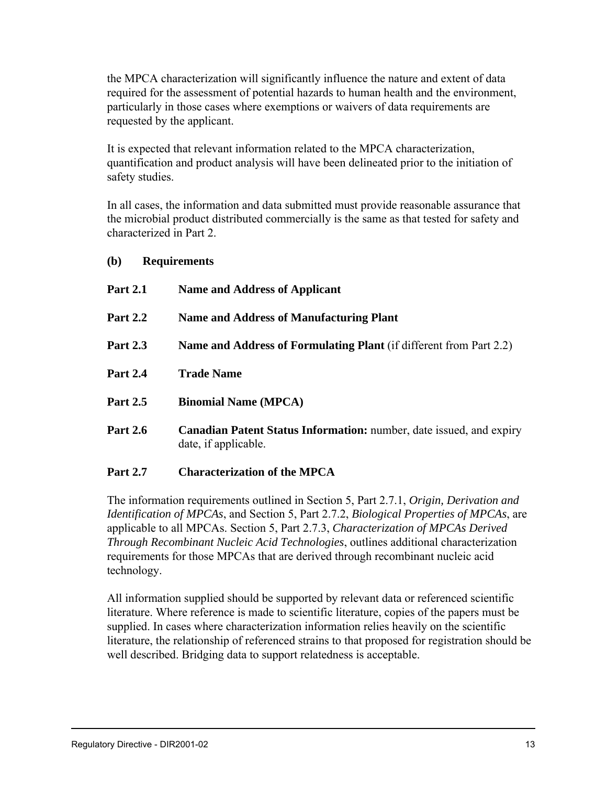the MPCA characterization will significantly influence the nature and extent of data required for the assessment of potential hazards to human health and the environment, particularly in those cases where exemptions or waivers of data requirements are requested by the applicant.

It is expected that relevant information related to the MPCA characterization, quantification and product analysis will have been delineated prior to the initiation of safety studies.

In all cases, the information and data submitted must provide reasonable assurance that the microbial product distributed commercially is the same as that tested for safety and characterized in Part 2.

#### **(b) Requirements**

| <b>Part 2.1</b> | <b>Name and Address of Applicant</b>                                                        |
|-----------------|---------------------------------------------------------------------------------------------|
| <b>Part 2.2</b> | <b>Name and Address of Manufacturing Plant</b>                                              |
| <b>Part 2.3</b> | <b>Name and Address of Formulating Plant</b> (if different from Part 2.2)                   |
| <b>Part 2.4</b> | <b>Trade Name</b>                                                                           |
| <b>Part 2.5</b> | <b>Binomial Name (MPCA)</b>                                                                 |
| <b>Part 2.6</b> | Canadian Patent Status Information: number, date issued, and expiry<br>date, if applicable. |

#### **Part 2.7 Characterization of the MPCA**

The information requirements outlined in Section 5, Part 2.7.1, *Origin, Derivation and Identification of MPCAs*, and Section 5, Part 2.7.2, *Biological Properties of MPCAs*, are applicable to all MPCAs. Section 5, Part 2.7.3, *Characterization of MPCAs Derived Through Recombinant Nucleic Acid Technologies*, outlines additional characterization requirements for those MPCAs that are derived through recombinant nucleic acid technology.

All information supplied should be supported by relevant data or referenced scientific literature. Where reference is made to scientific literature, copies of the papers must be supplied. In cases where characterization information relies heavily on the scientific literature, the relationship of referenced strains to that proposed for registration should be well described. Bridging data to support relatedness is acceptable.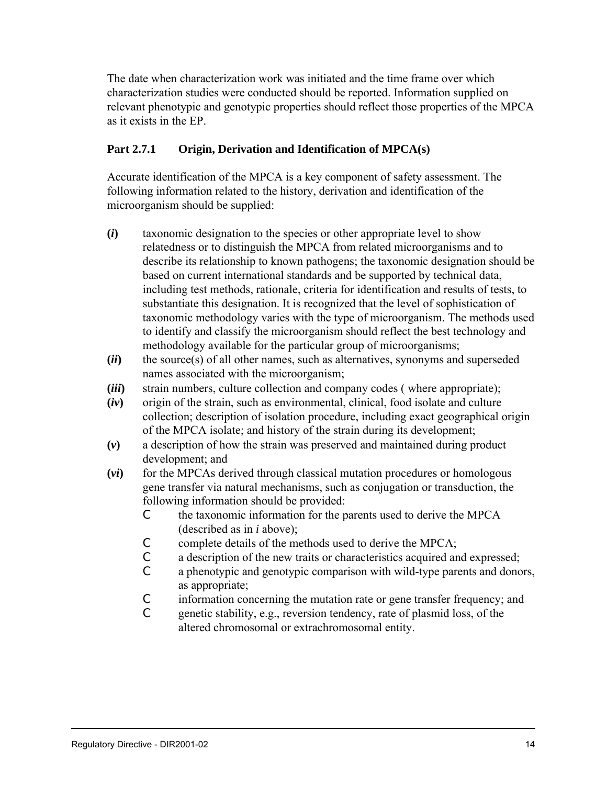The date when characterization work was initiated and the time frame over which characterization studies were conducted should be reported. Information supplied on relevant phenotypic and genotypic properties should reflect those properties of the MPCA as it exists in the EP.

# **Part 2.7.1 Origin, Derivation and Identification of MPCA(s)**

Accurate identification of the MPCA is a key component of safety assessment. The following information related to the history, derivation and identification of the microorganism should be supplied:

- **(***i***)** taxonomic designation to the species or other appropriate level to show relatedness or to distinguish the MPCA from related microorganisms and to describe its relationship to known pathogens; the taxonomic designation should be based on current international standards and be supported by technical data, including test methods, rationale, criteria for identification and results of tests, to substantiate this designation. It is recognized that the level of sophistication of taxonomic methodology varies with the type of microorganism. The methods used to identify and classify the microorganism should reflect the best technology and methodology available for the particular group of microorganisms;
- **(***ii***)** the source(s) of all other names, such as alternatives, synonyms and superseded names associated with the microorganism;
- **(***iii***)** strain numbers, culture collection and company codes ( where appropriate);
- **(***iv***)** origin of the strain, such as environmental, clinical, food isolate and culture collection; description of isolation procedure, including exact geographical origin of the MPCA isolate; and history of the strain during its development;
- **(***v***)** a description of how the strain was preserved and maintained during product development; and
- **(***vi***)** for the MPCAs derived through classical mutation procedures or homologous gene transfer via natural mechanisms, such as conjugation or transduction, the following information should be provided:
	- C the taxonomic information for the parents used to derive the MPCA (described as in *i* above);
	- C complete details of the methods used to derive the MPCA;
	- C a description of the new traits or characteristics acquired and expressed;
	- C a phenotypic and genotypic comparison with wild-type parents and donors, as appropriate;
	- C information concerning the mutation rate or gene transfer frequency; and
	- C genetic stability, e.g., reversion tendency, rate of plasmid loss, of the altered chromosomal or extrachromosomal entity.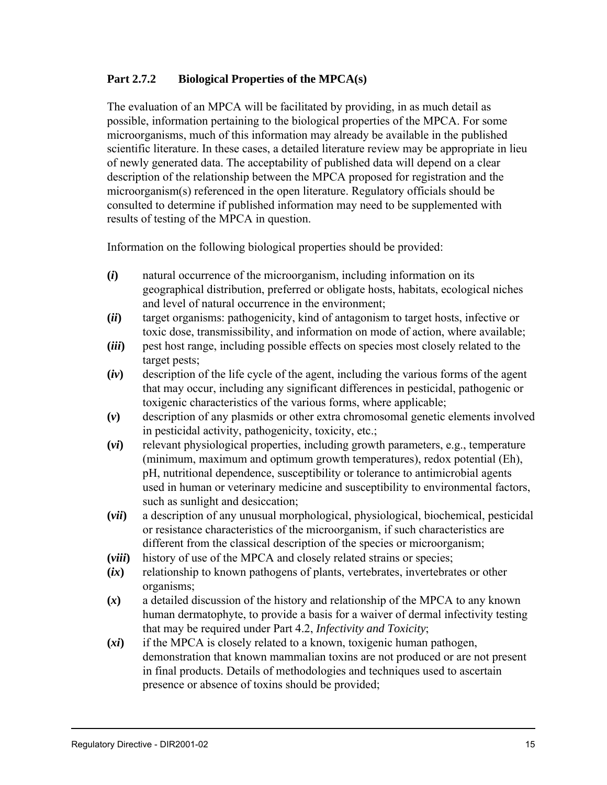#### **Part 2.7.2 Biological Properties of the MPCA(s)**

The evaluation of an MPCA will be facilitated by providing, in as much detail as possible, information pertaining to the biological properties of the MPCA. For some microorganisms, much of this information may already be available in the published scientific literature. In these cases, a detailed literature review may be appropriate in lieu of newly generated data. The acceptability of published data will depend on a clear description of the relationship between the MPCA proposed for registration and the microorganism(s) referenced in the open literature. Regulatory officials should be consulted to determine if published information may need to be supplemented with results of testing of the MPCA in question.

Information on the following biological properties should be provided:

- **(***i***)** natural occurrence of the microorganism, including information on its geographical distribution, preferred or obligate hosts, habitats, ecological niches and level of natural occurrence in the environment;
- **(***ii***)** target organisms: pathogenicity, kind of antagonism to target hosts, infective or toxic dose, transmissibility, and information on mode of action, where available;
- **(***iii***)** pest host range, including possible effects on species most closely related to the target pests;
- **(***iv***)** description of the life cycle of the agent, including the various forms of the agent that may occur, including any significant differences in pesticidal, pathogenic or toxigenic characteristics of the various forms, where applicable;
- **(***v***)** description of any plasmids or other extra chromosomal genetic elements involved in pesticidal activity, pathogenicity, toxicity, etc.;
- **(***vi***)** relevant physiological properties, including growth parameters, e.g., temperature (minimum, maximum and optimum growth temperatures), redox potential (Eh), pH, nutritional dependence, susceptibility or tolerance to antimicrobial agents used in human or veterinary medicine and susceptibility to environmental factors, such as sunlight and desiccation;
- **(***vii***)** a description of any unusual morphological, physiological, biochemical, pesticidal or resistance characteristics of the microorganism, if such characteristics are different from the classical description of the species or microorganism;
- **(***viii***)** history of use of the MPCA and closely related strains or species;
- **(***ix***)** relationship to known pathogens of plants, vertebrates, invertebrates or other organisms;
- **(***x***)** a detailed discussion of the history and relationship of the MPCA to any known human dermatophyte, to provide a basis for a waiver of dermal infectivity testing that may be required under Part 4.2, *Infectivity and Toxicity*;
- **(***xi***)** if the MPCA is closely related to a known, toxigenic human pathogen, demonstration that known mammalian toxins are not produced or are not present in final products. Details of methodologies and techniques used to ascertain presence or absence of toxins should be provided;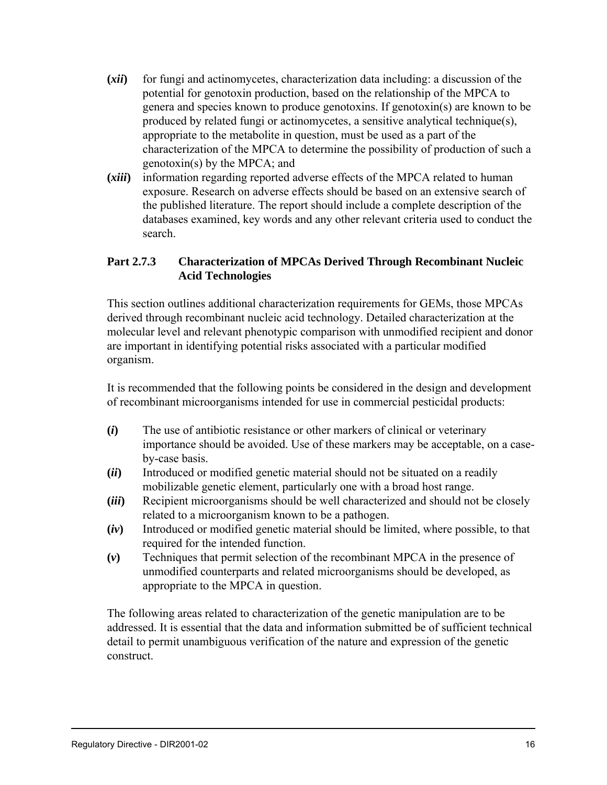- **(***xii***)** for fungi and actinomycetes, characterization data including: a discussion of the potential for genotoxin production, based on the relationship of the MPCA to genera and species known to produce genotoxins. If genotoxin(s) are known to be produced by related fungi or actinomycetes, a sensitive analytical technique(s), appropriate to the metabolite in question, must be used as a part of the characterization of the MPCA to determine the possibility of production of such a genotoxin(s) by the MPCA; and
- **(***xiii***)** information regarding reported adverse effects of the MPCA related to human exposure. Research on adverse effects should be based on an extensive search of the published literature. The report should include a complete description of the databases examined, key words and any other relevant criteria used to conduct the search.

#### **Part 2.7.3 Characterization of MPCAs Derived Through Recombinant Nucleic Acid Technologies**

This section outlines additional characterization requirements for GEMs, those MPCAs derived through recombinant nucleic acid technology. Detailed characterization at the molecular level and relevant phenotypic comparison with unmodified recipient and donor are important in identifying potential risks associated with a particular modified organism.

It is recommended that the following points be considered in the design and development of recombinant microorganisms intended for use in commercial pesticidal products:

- **(***i***)** The use of antibiotic resistance or other markers of clinical or veterinary importance should be avoided. Use of these markers may be acceptable, on a caseby-case basis.
- **(***ii***)** Introduced or modified genetic material should not be situated on a readily mobilizable genetic element, particularly one with a broad host range.
- **(***iii***)** Recipient microorganisms should be well characterized and should not be closely related to a microorganism known to be a pathogen.
- **(***iv***)** Introduced or modified genetic material should be limited, where possible, to that required for the intended function.
- **(***v***)** Techniques that permit selection of the recombinant MPCA in the presence of unmodified counterparts and related microorganisms should be developed, as appropriate to the MPCA in question.

The following areas related to characterization of the genetic manipulation are to be addressed. It is essential that the data and information submitted be of sufficient technical detail to permit unambiguous verification of the nature and expression of the genetic construct.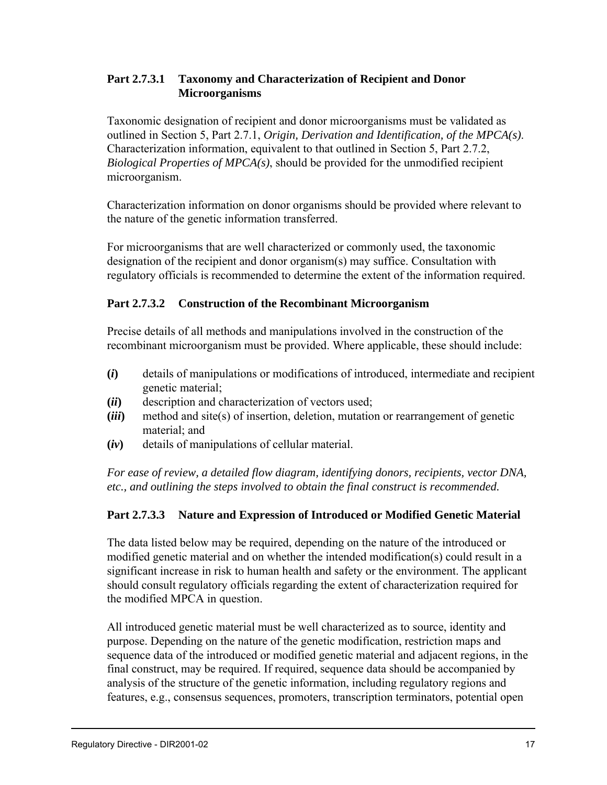# **Part 2.7.3.1 Taxonomy and Characterization of Recipient and Donor Microorganisms**

Taxonomic designation of recipient and donor microorganisms must be validated as outlined in Section 5, Part 2.7.1, *Origin, Derivation and Identification, of the MPCA(s)*. Characterization information, equivalent to that outlined in Section 5, Part 2.7.2, *Biological Properties of MPCA(s)*, should be provided for the unmodified recipient microorganism.

Characterization information on donor organisms should be provided where relevant to the nature of the genetic information transferred.

For microorganisms that are well characterized or commonly used, the taxonomic designation of the recipient and donor organism(s) may suffice. Consultation with regulatory officials is recommended to determine the extent of the information required.

# **Part 2.7.3.2 Construction of the Recombinant Microorganism**

Precise details of all methods and manipulations involved in the construction of the recombinant microorganism must be provided. Where applicable, these should include:

- **(***i***)** details of manipulations or modifications of introduced, intermediate and recipient genetic material;
- **(***ii***)** description and characterization of vectors used;
- **(***iii***)** method and site(s) of insertion, deletion, mutation or rearrangement of genetic material; and
- **(***iv***)** details of manipulations of cellular material.

*For ease of review, a detailed flow diagram, identifying donors, recipients, vector DNA, etc., and outlining the steps involved to obtain the final construct is recommended.*

# **Part 2.7.3.3 Nature and Expression of Introduced or Modified Genetic Material**

The data listed below may be required, depending on the nature of the introduced or modified genetic material and on whether the intended modification(s) could result in a significant increase in risk to human health and safety or the environment. The applicant should consult regulatory officials regarding the extent of characterization required for the modified MPCA in question.

All introduced genetic material must be well characterized as to source, identity and purpose. Depending on the nature of the genetic modification, restriction maps and sequence data of the introduced or modified genetic material and adjacent regions, in the final construct, may be required. If required, sequence data should be accompanied by analysis of the structure of the genetic information, including regulatory regions and features, e.g., consensus sequences, promoters, transcription terminators, potential open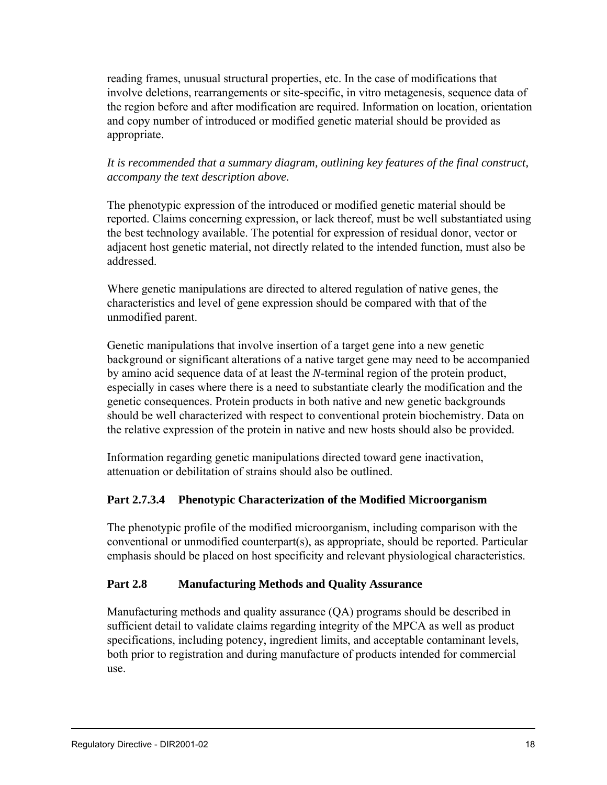reading frames, unusual structural properties, etc. In the case of modifications that involve deletions, rearrangements or site-specific, in vitro metagenesis, sequence data of the region before and after modification are required. Information on location, orientation and copy number of introduced or modified genetic material should be provided as appropriate.

*It is recommended that a summary diagram, outlining key features of the final construct, accompany the text description above.*

The phenotypic expression of the introduced or modified genetic material should be reported. Claims concerning expression, or lack thereof, must be well substantiated using the best technology available. The potential for expression of residual donor, vector or adjacent host genetic material, not directly related to the intended function, must also be addressed.

Where genetic manipulations are directed to altered regulation of native genes, the characteristics and level of gene expression should be compared with that of the unmodified parent.

Genetic manipulations that involve insertion of a target gene into a new genetic background or significant alterations of a native target gene may need to be accompanied by amino acid sequence data of at least the *N*-terminal region of the protein product, especially in cases where there is a need to substantiate clearly the modification and the genetic consequences. Protein products in both native and new genetic backgrounds should be well characterized with respect to conventional protein biochemistry. Data on the relative expression of the protein in native and new hosts should also be provided.

Information regarding genetic manipulations directed toward gene inactivation, attenuation or debilitation of strains should also be outlined.

# **Part 2.7.3.4 Phenotypic Characterization of the Modified Microorganism**

The phenotypic profile of the modified microorganism, including comparison with the conventional or unmodified counterpart(s), as appropriate, should be reported. Particular emphasis should be placed on host specificity and relevant physiological characteristics.

# **Part 2.8 Manufacturing Methods and Quality Assurance**

Manufacturing methods and quality assurance (QA) programs should be described in sufficient detail to validate claims regarding integrity of the MPCA as well as product specifications, including potency, ingredient limits, and acceptable contaminant levels, both prior to registration and during manufacture of products intended for commercial use.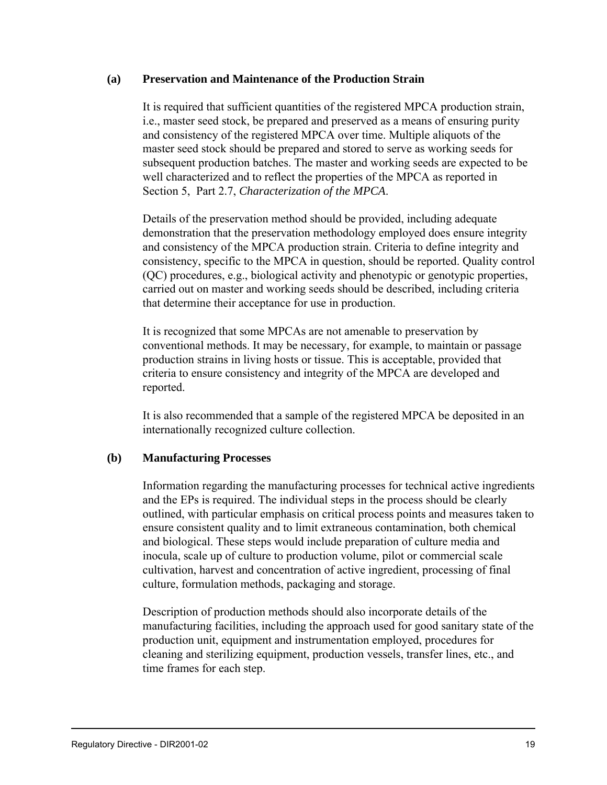#### **(a) Preservation and Maintenance of the Production Strain**

It is required that sufficient quantities of the registered MPCA production strain, i.e., master seed stock, be prepared and preserved as a means of ensuring purity and consistency of the registered MPCA over time. Multiple aliquots of the master seed stock should be prepared and stored to serve as working seeds for subsequent production batches. The master and working seeds are expected to be well characterized and to reflect the properties of the MPCA as reported in Section 5, Part 2.7, *Characterization of the MPCA*.

Details of the preservation method should be provided, including adequate demonstration that the preservation methodology employed does ensure integrity and consistency of the MPCA production strain. Criteria to define integrity and consistency, specific to the MPCA in question, should be reported. Quality control (QC) procedures, e.g., biological activity and phenotypic or genotypic properties, carried out on master and working seeds should be described, including criteria that determine their acceptance for use in production.

It is recognized that some MPCAs are not amenable to preservation by conventional methods. It may be necessary, for example, to maintain or passage production strains in living hosts or tissue. This is acceptable, provided that criteria to ensure consistency and integrity of the MPCA are developed and reported.

It is also recommended that a sample of the registered MPCA be deposited in an internationally recognized culture collection.

#### **(b) Manufacturing Processes**

Information regarding the manufacturing processes for technical active ingredients and the EPs is required. The individual steps in the process should be clearly outlined, with particular emphasis on critical process points and measures taken to ensure consistent quality and to limit extraneous contamination, both chemical and biological. These steps would include preparation of culture media and inocula, scale up of culture to production volume, pilot or commercial scale cultivation, harvest and concentration of active ingredient, processing of final culture, formulation methods, packaging and storage.

Description of production methods should also incorporate details of the manufacturing facilities, including the approach used for good sanitary state of the production unit, equipment and instrumentation employed, procedures for cleaning and sterilizing equipment, production vessels, transfer lines, etc., and time frames for each step.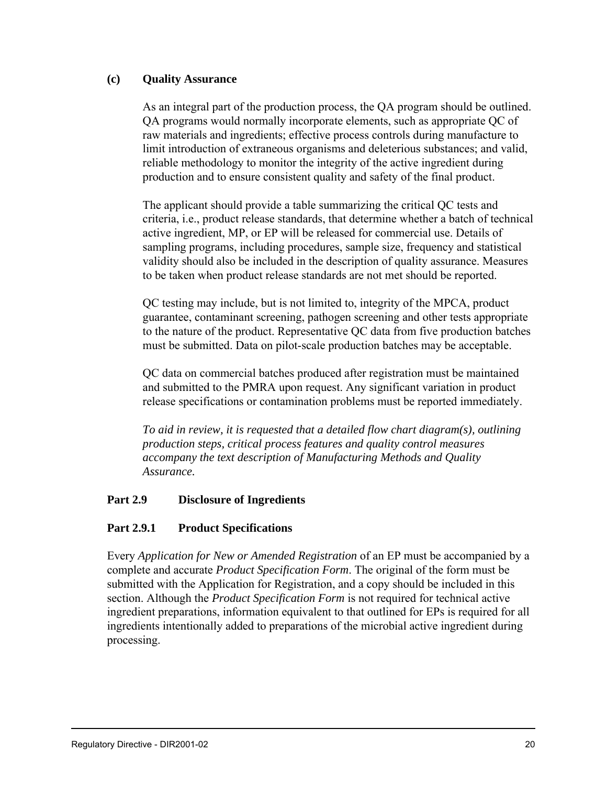#### **(c) Quality Assurance**

As an integral part of the production process, the QA program should be outlined. QA programs would normally incorporate elements, such as appropriate QC of raw materials and ingredients; effective process controls during manufacture to limit introduction of extraneous organisms and deleterious substances; and valid, reliable methodology to monitor the integrity of the active ingredient during production and to ensure consistent quality and safety of the final product.

The applicant should provide a table summarizing the critical QC tests and criteria, i.e., product release standards, that determine whether a batch of technical active ingredient, MP, or EP will be released for commercial use. Details of sampling programs, including procedures, sample size, frequency and statistical validity should also be included in the description of quality assurance. Measures to be taken when product release standards are not met should be reported.

QC testing may include, but is not limited to, integrity of the MPCA, product guarantee, contaminant screening, pathogen screening and other tests appropriate to the nature of the product. Representative QC data from five production batches must be submitted. Data on pilot-scale production batches may be acceptable.

QC data on commercial batches produced after registration must be maintained and submitted to the PMRA upon request. Any significant variation in product release specifications or contamination problems must be reported immediately.

*To aid in review, it is requested that a detailed flow chart diagram(s), outlining production steps, critical process features and quality control measures accompany the text description of Manufacturing Methods and Quality Assurance.*

#### **Part 2.9 Disclosure of Ingredients**

#### **Part 2.9.1 Product Specifications**

Every *Application for New or Amended Registration* of an EP must be accompanied by a complete and accurate *Product Specification Form*. The original of the form must be submitted with the Application for Registration, and a copy should be included in this section. Although the *Product Specification Form* is not required for technical active ingredient preparations, information equivalent to that outlined for EPs is required for all ingredients intentionally added to preparations of the microbial active ingredient during processing.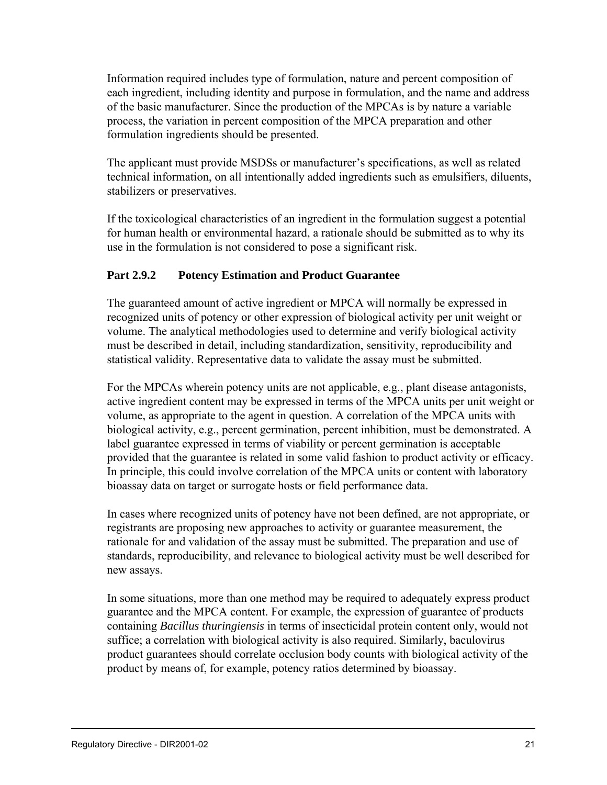Information required includes type of formulation, nature and percent composition of each ingredient, including identity and purpose in formulation, and the name and address of the basic manufacturer. Since the production of the MPCAs is by nature a variable process, the variation in percent composition of the MPCA preparation and other formulation ingredients should be presented.

The applicant must provide MSDSs or manufacturer's specifications, as well as related technical information, on all intentionally added ingredients such as emulsifiers, diluents, stabilizers or preservatives.

If the toxicological characteristics of an ingredient in the formulation suggest a potential for human health or environmental hazard, a rationale should be submitted as to why its use in the formulation is not considered to pose a significant risk.

# **Part 2.9.2 Potency Estimation and Product Guarantee**

The guaranteed amount of active ingredient or MPCA will normally be expressed in recognized units of potency or other expression of biological activity per unit weight or volume. The analytical methodologies used to determine and verify biological activity must be described in detail, including standardization, sensitivity, reproducibility and statistical validity. Representative data to validate the assay must be submitted.

For the MPCAs wherein potency units are not applicable, e.g., plant disease antagonists, active ingredient content may be expressed in terms of the MPCA units per unit weight or volume, as appropriate to the agent in question. A correlation of the MPCA units with biological activity, e.g., percent germination, percent inhibition, must be demonstrated. A label guarantee expressed in terms of viability or percent germination is acceptable provided that the guarantee is related in some valid fashion to product activity or efficacy. In principle, this could involve correlation of the MPCA units or content with laboratory bioassay data on target or surrogate hosts or field performance data.

In cases where recognized units of potency have not been defined, are not appropriate, or registrants are proposing new approaches to activity or guarantee measurement, the rationale for and validation of the assay must be submitted. The preparation and use of standards, reproducibility, and relevance to biological activity must be well described for new assays.

In some situations, more than one method may be required to adequately express product guarantee and the MPCA content. For example, the expression of guarantee of products containing *Bacillus thuringiensis* in terms of insecticidal protein content only, would not suffice; a correlation with biological activity is also required. Similarly, baculovirus product guarantees should correlate occlusion body counts with biological activity of the product by means of, for example, potency ratios determined by bioassay.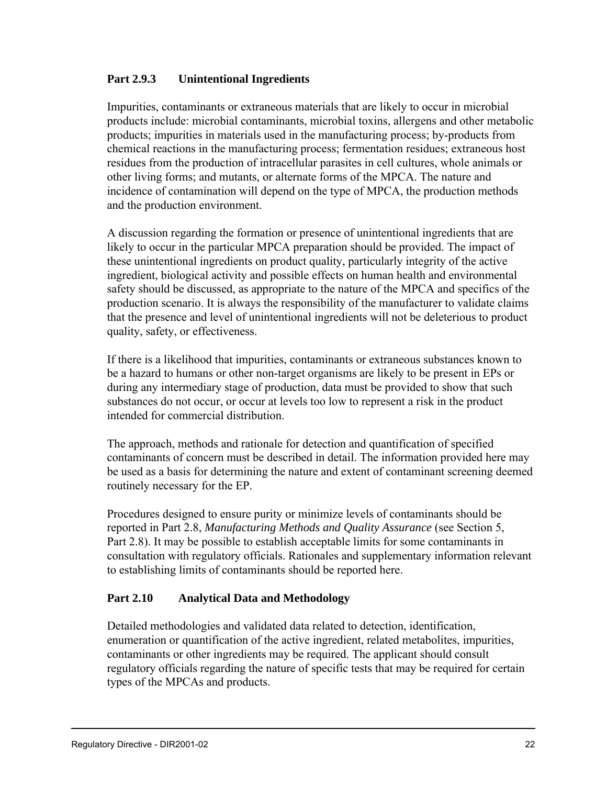#### **Part 2.9.3 Unintentional Ingredients**

Impurities, contaminants or extraneous materials that are likely to occur in microbial products include: microbial contaminants, microbial toxins, allergens and other metabolic products; impurities in materials used in the manufacturing process; by-products from chemical reactions in the manufacturing process; fermentation residues; extraneous host residues from the production of intracellular parasites in cell cultures, whole animals or other living forms; and mutants, or alternate forms of the MPCA. The nature and incidence of contamination will depend on the type of MPCA, the production methods and the production environment.

A discussion regarding the formation or presence of unintentional ingredients that are likely to occur in the particular MPCA preparation should be provided. The impact of these unintentional ingredients on product quality, particularly integrity of the active ingredient, biological activity and possible effects on human health and environmental safety should be discussed, as appropriate to the nature of the MPCA and specifics of the production scenario. It is always the responsibility of the manufacturer to validate claims that the presence and level of unintentional ingredients will not be deleterious to product quality, safety, or effectiveness.

If there is a likelihood that impurities, contaminants or extraneous substances known to be a hazard to humans or other non-target organisms are likely to be present in EPs or during any intermediary stage of production, data must be provided to show that such substances do not occur, or occur at levels too low to represent a risk in the product intended for commercial distribution.

The approach, methods and rationale for detection and quantification of specified contaminants of concern must be described in detail. The information provided here may be used as a basis for determining the nature and extent of contaminant screening deemed routinely necessary for the EP.

Procedures designed to ensure purity or minimize levels of contaminants should be reported in Part 2.8, *Manufacturing Methods and Quality Assurance* (see Section 5, Part 2.8). It may be possible to establish acceptable limits for some contaminants in consultation with regulatory officials. Rationales and supplementary information relevant to establishing limits of contaminants should be reported here.

# **Part 2.10 Analytical Data and Methodology**

Detailed methodologies and validated data related to detection, identification, enumeration or quantification of the active ingredient, related metabolites, impurities, contaminants or other ingredients may be required. The applicant should consult regulatory officials regarding the nature of specific tests that may be required for certain types of the MPCAs and products.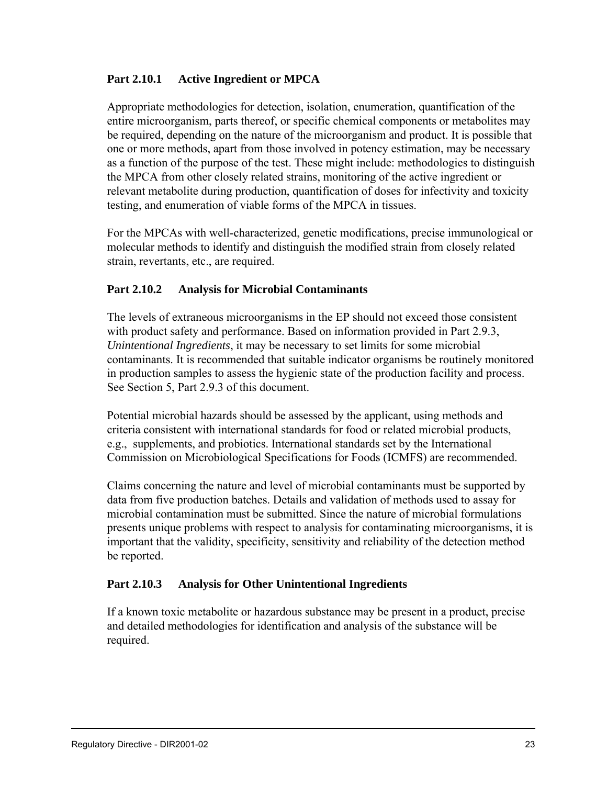#### **Part 2.10.1 Active Ingredient or MPCA**

Appropriate methodologies for detection, isolation, enumeration, quantification of the entire microorganism, parts thereof, or specific chemical components or metabolites may be required, depending on the nature of the microorganism and product. It is possible that one or more methods, apart from those involved in potency estimation, may be necessary as a function of the purpose of the test. These might include: methodologies to distinguish the MPCA from other closely related strains, monitoring of the active ingredient or relevant metabolite during production, quantification of doses for infectivity and toxicity testing, and enumeration of viable forms of the MPCA in tissues.

For the MPCAs with well-characterized, genetic modifications, precise immunological or molecular methods to identify and distinguish the modified strain from closely related strain, revertants, etc., are required.

# **Part 2.10.2 Analysis for Microbial Contaminants**

The levels of extraneous microorganisms in the EP should not exceed those consistent with product safety and performance. Based on information provided in Part 2.9.3, *Unintentional Ingredients*, it may be necessary to set limits for some microbial contaminants. It is recommended that suitable indicator organisms be routinely monitored in production samples to assess the hygienic state of the production facility and process. See Section 5, Part 2.9.3 of this document.

Potential microbial hazards should be assessed by the applicant, using methods and criteria consistent with international standards for food or related microbial products, e.g., supplements, and probiotics. International standards set by the International Commission on Microbiological Specifications for Foods (ICMFS) are recommended.

Claims concerning the nature and level of microbial contaminants must be supported by data from five production batches. Details and validation of methods used to assay for microbial contamination must be submitted. Since the nature of microbial formulations presents unique problems with respect to analysis for contaminating microorganisms, it is important that the validity, specificity, sensitivity and reliability of the detection method be reported.

#### **Part 2.10.3 Analysis for Other Unintentional Ingredients**

If a known toxic metabolite or hazardous substance may be present in a product, precise and detailed methodologies for identification and analysis of the substance will be required.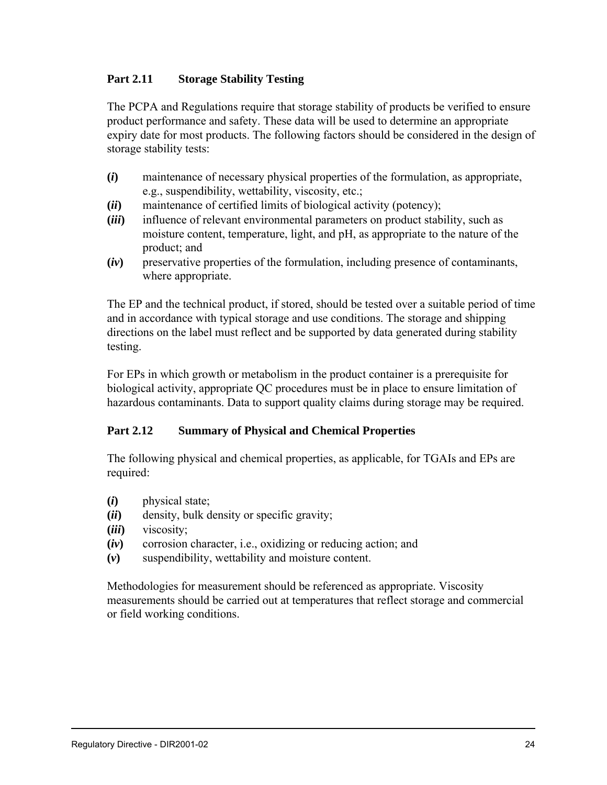# **Part 2.11 Storage Stability Testing**

The PCPA and Regulations require that storage stability of products be verified to ensure product performance and safety. These data will be used to determine an appropriate expiry date for most products. The following factors should be considered in the design of storage stability tests:

- **(***i***)** maintenance of necessary physical properties of the formulation, as appropriate, e.g., suspendibility, wettability, viscosity, etc.;
- **(***ii***)** maintenance of certified limits of biological activity (potency);
- **(***iii***)** influence of relevant environmental parameters on product stability, such as moisture content, temperature, light, and pH, as appropriate to the nature of the product; and
- **(***iv***)** preservative properties of the formulation, including presence of contaminants, where appropriate.

The EP and the technical product, if stored, should be tested over a suitable period of time and in accordance with typical storage and use conditions. The storage and shipping directions on the label must reflect and be supported by data generated during stability testing.

For EPs in which growth or metabolism in the product container is a prerequisite for biological activity, appropriate QC procedures must be in place to ensure limitation of hazardous contaminants. Data to support quality claims during storage may be required.

# **Part 2.12 Summary of Physical and Chemical Properties**

The following physical and chemical properties, as applicable, for TGAIs and EPs are required:

- **(***i***)** physical state;
- **(***ii***)** density, bulk density or specific gravity;
- **(***iii***)** viscosity;
- **(***iv***)** corrosion character, i.e., oxidizing or reducing action; and
- **(***v***)** suspendibility, wettability and moisture content.

Methodologies for measurement should be referenced as appropriate. Viscosity measurements should be carried out at temperatures that reflect storage and commercial or field working conditions.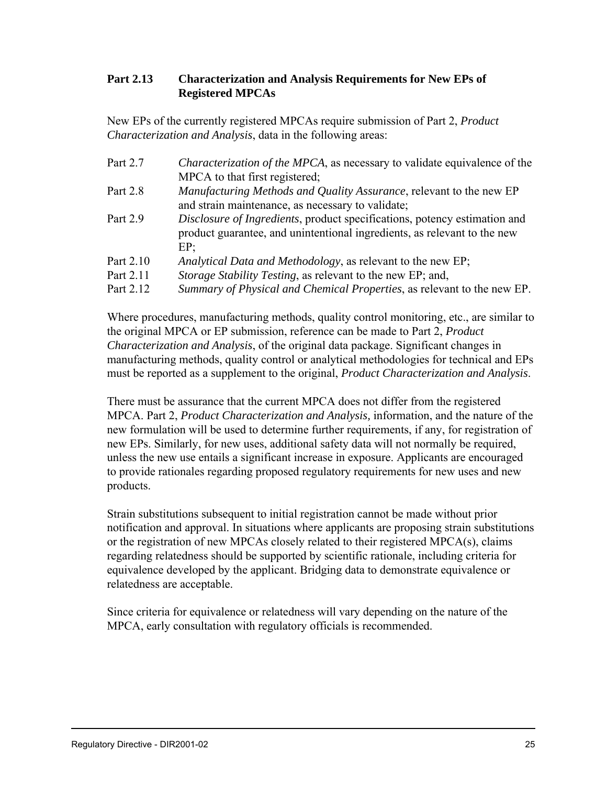# **Part 2.13 Characterization and Analysis Requirements for New EPs of Registered MPCAs**

New EPs of the currently registered MPCAs require submission of Part 2, *Product Characterization and Analysis*, data in the following areas:

| Part 2.7  | <i>Characterization of the MPCA</i> , as necessary to validate equivalence of the |
|-----------|-----------------------------------------------------------------------------------|
|           | MPCA to that first registered;                                                    |
| Part 2.8  | <i>Manufacturing Methods and Quality Assurance, relevant to the new EP</i>        |
|           | and strain maintenance, as necessary to validate;                                 |
| Part 2.9  | Disclosure of Ingredients, product specifications, potency estimation and         |
|           | product guarantee, and unintentional ingredients, as relevant to the new          |
|           | EP:                                                                               |
| Part 2.10 | Analytical Data and Methodology, as relevant to the new EP;                       |
| Part 2.11 | <i>Storage Stability Testing, as relevant to the new EP; and,</i>                 |
| Part 2.12 | Summary of Physical and Chemical Properties, as relevant to the new EP.           |

Where procedures, manufacturing methods, quality control monitoring, etc., are similar to the original MPCA or EP submission, reference can be made to Part 2, *Product Characterization and Analysis*, of the original data package. Significant changes in manufacturing methods, quality control or analytical methodologies for technical and EPs must be reported as a supplement to the original, *Product Characterization and Analysis*.

There must be assurance that the current MPCA does not differ from the registered MPCA. Part 2, *Product Characterization and Analysis,* information, and the nature of the new formulation will be used to determine further requirements, if any, for registration of new EPs. Similarly, for new uses, additional safety data will not normally be required, unless the new use entails a significant increase in exposure. Applicants are encouraged to provide rationales regarding proposed regulatory requirements for new uses and new products.

Strain substitutions subsequent to initial registration cannot be made without prior notification and approval. In situations where applicants are proposing strain substitutions or the registration of new MPCAs closely related to their registered MPCA(s), claims regarding relatedness should be supported by scientific rationale, including criteria for equivalence developed by the applicant. Bridging data to demonstrate equivalence or relatedness are acceptable.

Since criteria for equivalence or relatedness will vary depending on the nature of the MPCA, early consultation with regulatory officials is recommended.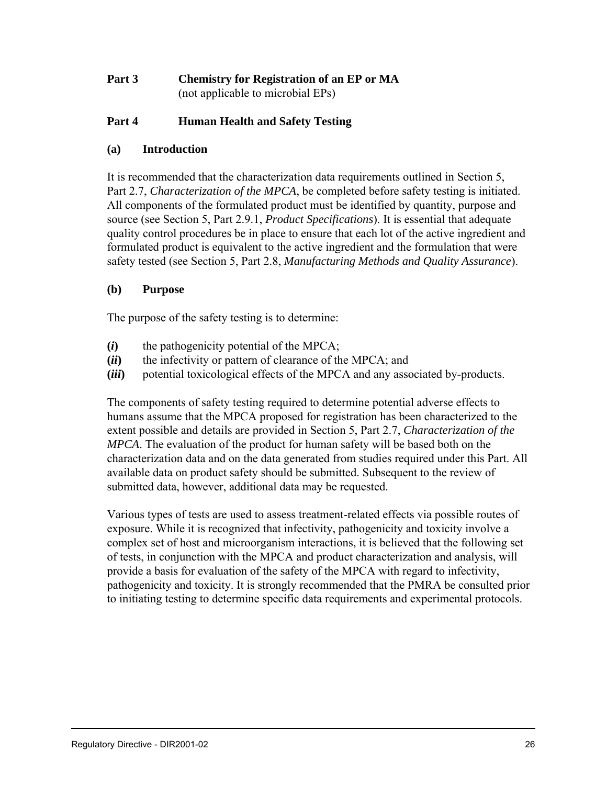# **Part 3 Chemistry for Registration of an EP or MA** (not applicable to microbial EPs)

# **Part 4 Human Health and Safety Testing**

# **(a) Introduction**

It is recommended that the characterization data requirements outlined in Section 5, Part 2.7, *Characterization of the MPCA*, be completed before safety testing is initiated. All components of the formulated product must be identified by quantity, purpose and source (see Section 5, Part 2.9.1, *Product Specifications*). It is essential that adequate quality control procedures be in place to ensure that each lot of the active ingredient and formulated product is equivalent to the active ingredient and the formulation that were safety tested (see Section 5, Part 2.8, *Manufacturing Methods and Quality Assurance*).

# **(b) Purpose**

The purpose of the safety testing is to determine:

- **(***i***)** the pathogenicity potential of the MPCA;
- **(***ii***)** the infectivity or pattern of clearance of the MPCA; and
- **(***iii***)** potential toxicological effects of the MPCA and any associated by-products.

The components of safety testing required to determine potential adverse effects to humans assume that the MPCA proposed for registration has been characterized to the extent possible and details are provided in Section 5, Part 2.7, *Characterization of the MPCA*. The evaluation of the product for human safety will be based both on the characterization data and on the data generated from studies required under this Part. All available data on product safety should be submitted. Subsequent to the review of submitted data, however, additional data may be requested.

Various types of tests are used to assess treatment-related effects via possible routes of exposure. While it is recognized that infectivity, pathogenicity and toxicity involve a complex set of host and microorganism interactions, it is believed that the following set of tests, in conjunction with the MPCA and product characterization and analysis, will provide a basis for evaluation of the safety of the MPCA with regard to infectivity, pathogenicity and toxicity. It is strongly recommended that the PMRA be consulted prior to initiating testing to determine specific data requirements and experimental protocols.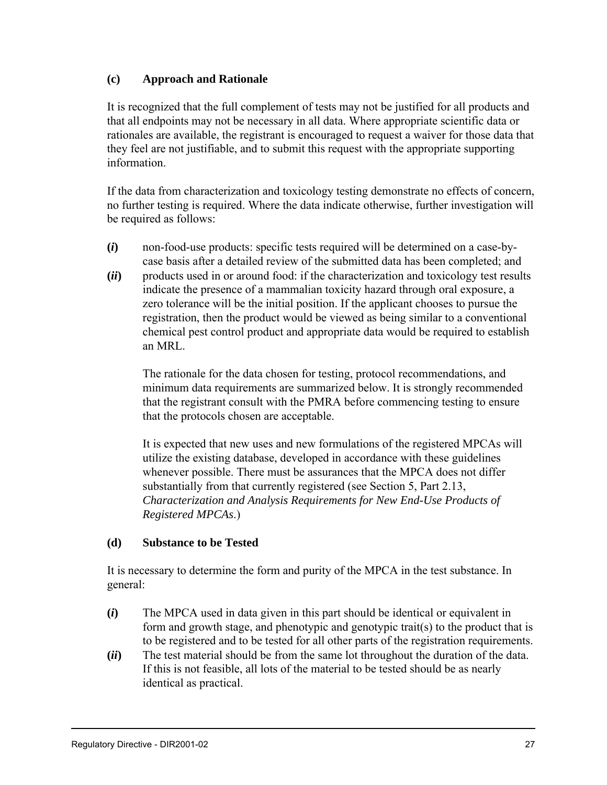#### **(c) Approach and Rationale**

It is recognized that the full complement of tests may not be justified for all products and that all endpoints may not be necessary in all data. Where appropriate scientific data or rationales are available, the registrant is encouraged to request a waiver for those data that they feel are not justifiable, and to submit this request with the appropriate supporting information.

If the data from characterization and toxicology testing demonstrate no effects of concern, no further testing is required. Where the data indicate otherwise, further investigation will be required as follows:

- **(***i***)** non-food-use products: specific tests required will be determined on a case-bycase basis after a detailed review of the submitted data has been completed; and
- **(***ii***)** products used in or around food: if the characterization and toxicology test results indicate the presence of a mammalian toxicity hazard through oral exposure, a zero tolerance will be the initial position. If the applicant chooses to pursue the registration, then the product would be viewed as being similar to a conventional chemical pest control product and appropriate data would be required to establish an MRL.

The rationale for the data chosen for testing, protocol recommendations, and minimum data requirements are summarized below. It is strongly recommended that the registrant consult with the PMRA before commencing testing to ensure that the protocols chosen are acceptable.

It is expected that new uses and new formulations of the registered MPCAs will utilize the existing database, developed in accordance with these guidelines whenever possible. There must be assurances that the MPCA does not differ substantially from that currently registered (see Section 5, Part 2.13, *Characterization and Analysis Requirements for New End-Use Products of Registered MPCAs*.)

# **(d) Substance to be Tested**

It is necessary to determine the form and purity of the MPCA in the test substance. In general:

- **(***i***)** The MPCA used in data given in this part should be identical or equivalent in form and growth stage, and phenotypic and genotypic trait(s) to the product that is to be registered and to be tested for all other parts of the registration requirements.
- **(***ii***)** The test material should be from the same lot throughout the duration of the data. If this is not feasible, all lots of the material to be tested should be as nearly identical as practical.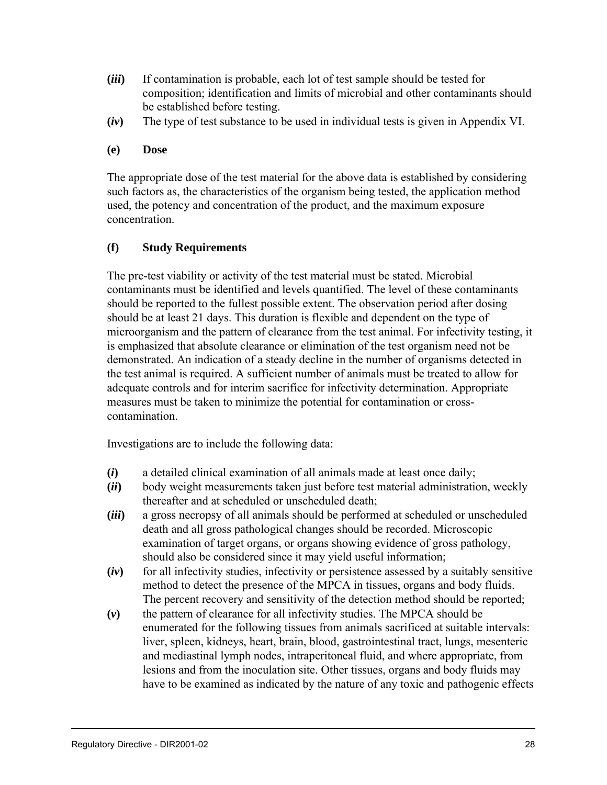- **(***iii***)** If contamination is probable, each lot of test sample should be tested for composition; identification and limits of microbial and other contaminants should be established before testing.
- **(***iv***)** The type of test substance to be used in individual tests is given in Appendix VI.

#### **(e) Dose**

The appropriate dose of the test material for the above data is established by considering such factors as, the characteristics of the organism being tested, the application method used, the potency and concentration of the product, and the maximum exposure concentration.

# **(f) Study Requirements**

The pre-test viability or activity of the test material must be stated. Microbial contaminants must be identified and levels quantified. The level of these contaminants should be reported to the fullest possible extent. The observation period after dosing should be at least 21 days. This duration is flexible and dependent on the type of microorganism and the pattern of clearance from the test animal. For infectivity testing, it is emphasized that absolute clearance or elimination of the test organism need not be demonstrated. An indication of a steady decline in the number of organisms detected in the test animal is required. A sufficient number of animals must be treated to allow for adequate controls and for interim sacrifice for infectivity determination. Appropriate measures must be taken to minimize the potential for contamination or crosscontamination.

Investigations are to include the following data:

- **(***i***)** a detailed clinical examination of all animals made at least once daily;
- **(***ii***)** body weight measurements taken just before test material administration, weekly thereafter and at scheduled or unscheduled death;
- **(***iii***)** a gross necropsy of all animals should be performed at scheduled or unscheduled death and all gross pathological changes should be recorded. Microscopic examination of target organs, or organs showing evidence of gross pathology, should also be considered since it may yield useful information;
- **(***iv***)** for all infectivity studies, infectivity or persistence assessed by a suitably sensitive method to detect the presence of the MPCA in tissues, organs and body fluids. The percent recovery and sensitivity of the detection method should be reported;
- **(***v***)** the pattern of clearance for all infectivity studies. The MPCA should be enumerated for the following tissues from animals sacrificed at suitable intervals: liver, spleen, kidneys, heart, brain, blood, gastrointestinal tract, lungs, mesenteric and mediastinal lymph nodes, intraperitoneal fluid, and where appropriate, from lesions and from the inoculation site. Other tissues, organs and body fluids may have to be examined as indicated by the nature of any toxic and pathogenic effects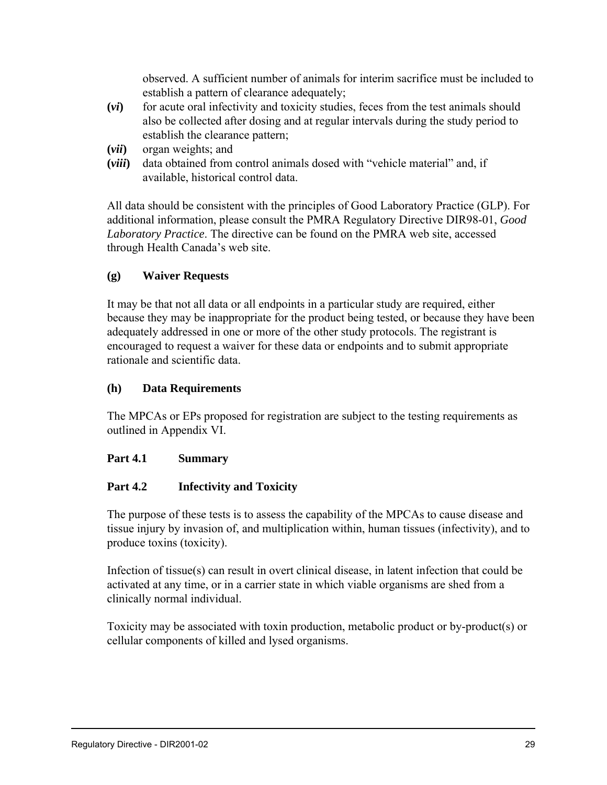observed. A sufficient number of animals for interim sacrifice must be included to establish a pattern of clearance adequately;

- **(***vi***)** for acute oral infectivity and toxicity studies, feces from the test animals should also be collected after dosing and at regular intervals during the study period to establish the clearance pattern;
- **(***vii***)** organ weights; and
- **(***viii***)** data obtained from control animals dosed with "vehicle material" and, if available, historical control data.

All data should be consistent with the principles of Good Laboratory Practice (GLP). For additional information, please consult the PMRA Regulatory Directive DIR98-01, *Good Laboratory Practice*. The directive can be found on the PMRA web site, accessed through Health Canada's web site.

# **(g) Waiver Requests**

It may be that not all data or all endpoints in a particular study are required, either because they may be inappropriate for the product being tested, or because they have been adequately addressed in one or more of the other study protocols. The registrant is encouraged to request a waiver for these data or endpoints and to submit appropriate rationale and scientific data.

#### **(h) Data Requirements**

The MPCAs or EPs proposed for registration are subject to the testing requirements as outlined in Appendix VI.

#### **Part 4.1 Summary**

# **Part 4.2 Infectivity and Toxicity**

The purpose of these tests is to assess the capability of the MPCAs to cause disease and tissue injury by invasion of, and multiplication within, human tissues (infectivity), and to produce toxins (toxicity).

Infection of tissue(s) can result in overt clinical disease, in latent infection that could be activated at any time, or in a carrier state in which viable organisms are shed from a clinically normal individual.

Toxicity may be associated with toxin production, metabolic product or by-product(s) or cellular components of killed and lysed organisms.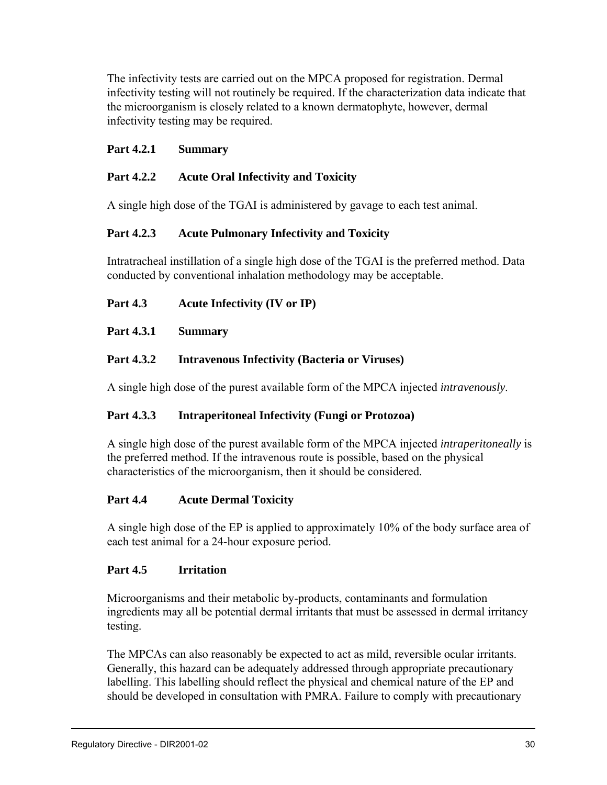The infectivity tests are carried out on the MPCA proposed for registration. Dermal infectivity testing will not routinely be required. If the characterization data indicate that the microorganism is closely related to a known dermatophyte, however, dermal infectivity testing may be required.

# **Part 4.2.1 Summary**

# **Part 4.2.2 Acute Oral Infectivity and Toxicity**

A single high dose of the TGAI is administered by gavage to each test animal.

# **Part 4.2.3 Acute Pulmonary Infectivity and Toxicity**

Intratracheal instillation of a single high dose of the TGAI is the preferred method. Data conducted by conventional inhalation methodology may be acceptable.

# **Part 4.3 Acute Infectivity (IV or IP)**

# **Part 4.3.1 Summary**

# **Part 4.3.2 Intravenous Infectivity (Bacteria or Viruses)**

A single high dose of the purest available form of the MPCA injected *intravenously*.

# **Part 4.3.3 Intraperitoneal Infectivity (Fungi or Protozoa)**

A single high dose of the purest available form of the MPCA injected *intraperitoneally* is the preferred method. If the intravenous route is possible, based on the physical characteristics of the microorganism, then it should be considered.

# **Part 4.4 Acute Dermal Toxicity**

A single high dose of the EP is applied to approximately 10% of the body surface area of each test animal for a 24-hour exposure period.

# **Part 4.5 Irritation**

Microorganisms and their metabolic by-products, contaminants and formulation ingredients may all be potential dermal irritants that must be assessed in dermal irritancy testing.

The MPCAs can also reasonably be expected to act as mild, reversible ocular irritants. Generally, this hazard can be adequately addressed through appropriate precautionary labelling. This labelling should reflect the physical and chemical nature of the EP and should be developed in consultation with PMRA. Failure to comply with precautionary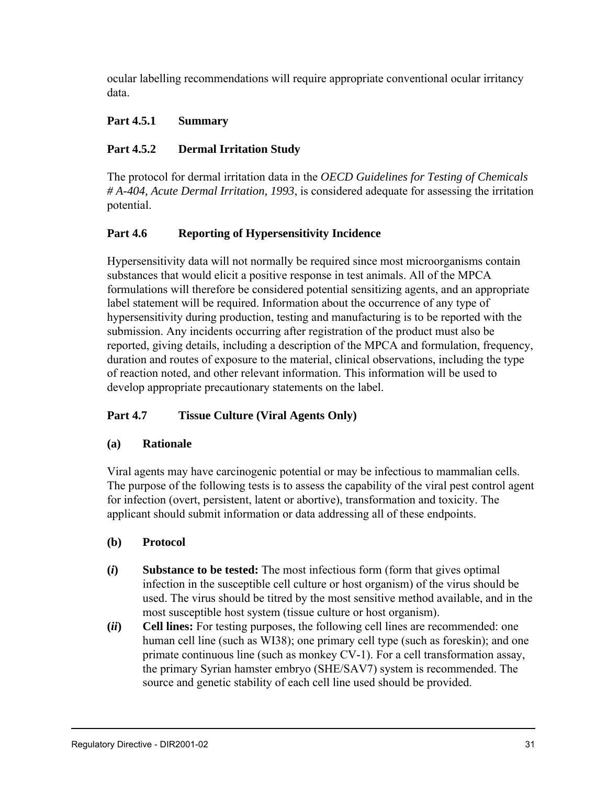ocular labelling recommendations will require appropriate conventional ocular irritancy data.

# **Part 4.5.1 Summary**

# **Part 4.5.2 Dermal Irritation Study**

The protocol for dermal irritation data in the *OECD Guidelines for Testing of Chemicals # A-404, Acute Dermal Irritation, 1993*, is considered adequate for assessing the irritation potential.

# **Part 4.6 Reporting of Hypersensitivity Incidence**

Hypersensitivity data will not normally be required since most microorganisms contain substances that would elicit a positive response in test animals. All of the MPCA formulations will therefore be considered potential sensitizing agents, and an appropriate label statement will be required. Information about the occurrence of any type of hypersensitivity during production, testing and manufacturing is to be reported with the submission. Any incidents occurring after registration of the product must also be reported, giving details, including a description of the MPCA and formulation, frequency, duration and routes of exposure to the material, clinical observations, including the type of reaction noted, and other relevant information. This information will be used to develop appropriate precautionary statements on the label.

# **Part 4.7 Tissue Culture (Viral Agents Only)**

# **(a) Rationale**

Viral agents may have carcinogenic potential or may be infectious to mammalian cells. The purpose of the following tests is to assess the capability of the viral pest control agent for infection (overt, persistent, latent or abortive), transformation and toxicity. The applicant should submit information or data addressing all of these endpoints.

# **(b) Protocol**

- **(***i***) Substance to be tested:** The most infectious form (form that gives optimal infection in the susceptible cell culture or host organism) of the virus should be used. The virus should be titred by the most sensitive method available, and in the most susceptible host system (tissue culture or host organism).
- **(***ii***) Cell lines:** For testing purposes, the following cell lines are recommended: one human cell line (such as WI38); one primary cell type (such as foreskin); and one primate continuous line (such as monkey CV-1). For a cell transformation assay, the primary Syrian hamster embryo (SHE/SAV7) system is recommended. The source and genetic stability of each cell line used should be provided.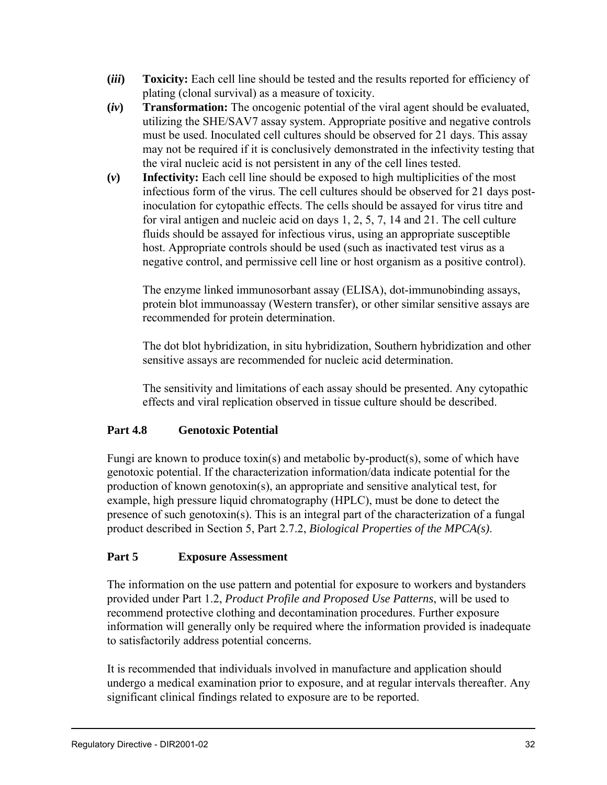- **(***iii***) Toxicity:** Each cell line should be tested and the results reported for efficiency of plating (clonal survival) as a measure of toxicity.
- **(***iv***) Transformation:** The oncogenic potential of the viral agent should be evaluated, utilizing the SHE/SAV7 assay system. Appropriate positive and negative controls must be used. Inoculated cell cultures should be observed for 21 days. This assay may not be required if it is conclusively demonstrated in the infectivity testing that the viral nucleic acid is not persistent in any of the cell lines tested.
- **(***v***) Infectivity:** Each cell line should be exposed to high multiplicities of the most infectious form of the virus. The cell cultures should be observed for 21 days postinoculation for cytopathic effects. The cells should be assayed for virus titre and for viral antigen and nucleic acid on days 1, 2, 5, 7, 14 and 21. The cell culture fluids should be assayed for infectious virus, using an appropriate susceptible host. Appropriate controls should be used (such as inactivated test virus as a negative control, and permissive cell line or host organism as a positive control).

The enzyme linked immunosorbant assay (ELISA), dot-immunobinding assays, protein blot immunoassay (Western transfer), or other similar sensitive assays are recommended for protein determination.

The dot blot hybridization, in situ hybridization, Southern hybridization and other sensitive assays are recommended for nucleic acid determination.

The sensitivity and limitations of each assay should be presented. Any cytopathic effects and viral replication observed in tissue culture should be described.

# **Part 4.8 Genotoxic Potential**

Fungi are known to produce toxin(s) and metabolic by-product(s), some of which have genotoxic potential. If the characterization information/data indicate potential for the production of known genotoxin(s), an appropriate and sensitive analytical test, for example, high pressure liquid chromatography (HPLC), must be done to detect the presence of such genotoxin(s). This is an integral part of the characterization of a fungal product described in Section 5, Part 2.7.2, *Biological Properties of the MPCA(s)*.

# **Part 5 Exposure Assessment**

The information on the use pattern and potential for exposure to workers and bystanders provided under Part 1.2, *Product Profile and Proposed Use Patterns*, will be used to recommend protective clothing and decontamination procedures. Further exposure information will generally only be required where the information provided is inadequate to satisfactorily address potential concerns.

It is recommended that individuals involved in manufacture and application should undergo a medical examination prior to exposure, and at regular intervals thereafter. Any significant clinical findings related to exposure are to be reported.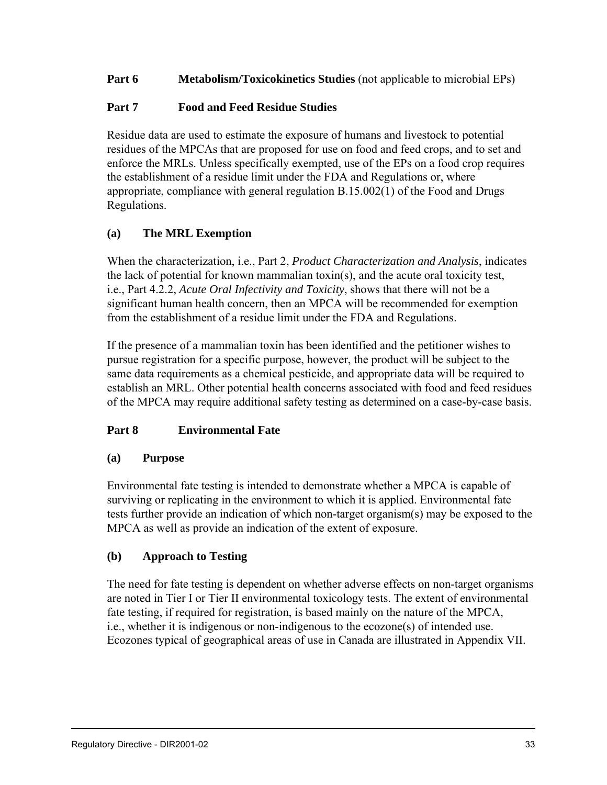## **Part 6 Metabolism/Toxicokinetics Studies** (not applicable to microbial EPs)

## **Part 7 Food and Feed Residue Studies**

Residue data are used to estimate the exposure of humans and livestock to potential residues of the MPCAs that are proposed for use on food and feed crops, and to set and enforce the MRLs. Unless specifically exempted, use of the EPs on a food crop requires the establishment of a residue limit under the FDA and Regulations or, where appropriate, compliance with general regulation B.15.002(1) of the Food and Drugs Regulations.

# **(a) The MRL Exemption**

When the characterization, i.e., Part 2, *Product Characterization and Analysis*, indicates the lack of potential for known mammalian toxin(s), and the acute oral toxicity test, i.e., Part 4.2.2, *Acute Oral Infectivity and Toxicity*, shows that there will not be a significant human health concern, then an MPCA will be recommended for exemption from the establishment of a residue limit under the FDA and Regulations.

If the presence of a mammalian toxin has been identified and the petitioner wishes to pursue registration for a specific purpose, however, the product will be subject to the same data requirements as a chemical pesticide, and appropriate data will be required to establish an MRL. Other potential health concerns associated with food and feed residues of the MPCA may require additional safety testing as determined on a case-by-case basis.

# **Part 8 Environmental Fate**

### **(a) Purpose**

Environmental fate testing is intended to demonstrate whether a MPCA is capable of surviving or replicating in the environment to which it is applied. Environmental fate tests further provide an indication of which non-target organism(s) may be exposed to the MPCA as well as provide an indication of the extent of exposure.

### **(b) Approach to Testing**

The need for fate testing is dependent on whether adverse effects on non-target organisms are noted in Tier I or Tier II environmental toxicology tests. The extent of environmental fate testing, if required for registration, is based mainly on the nature of the MPCA, i.e., whether it is indigenous or non-indigenous to the ecozone(s) of intended use. Ecozones typical of geographical areas of use in Canada are illustrated in Appendix VII.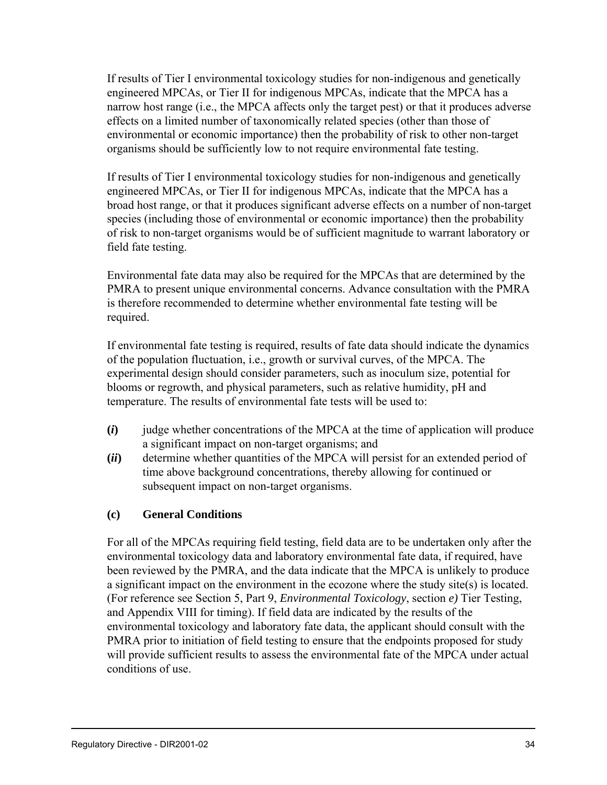If results of Tier I environmental toxicology studies for non-indigenous and genetically engineered MPCAs, or Tier II for indigenous MPCAs, indicate that the MPCA has a narrow host range (i.e., the MPCA affects only the target pest) or that it produces adverse effects on a limited number of taxonomically related species (other than those of environmental or economic importance) then the probability of risk to other non-target organisms should be sufficiently low to not require environmental fate testing.

If results of Tier I environmental toxicology studies for non-indigenous and genetically engineered MPCAs, or Tier II for indigenous MPCAs, indicate that the MPCA has a broad host range, or that it produces significant adverse effects on a number of non-target species (including those of environmental or economic importance) then the probability of risk to non-target organisms would be of sufficient magnitude to warrant laboratory or field fate testing.

Environmental fate data may also be required for the MPCAs that are determined by the PMRA to present unique environmental concerns. Advance consultation with the PMRA is therefore recommended to determine whether environmental fate testing will be required.

If environmental fate testing is required, results of fate data should indicate the dynamics of the population fluctuation, i.e., growth or survival curves, of the MPCA. The experimental design should consider parameters, such as inoculum size, potential for blooms or regrowth, and physical parameters, such as relative humidity, pH and temperature. The results of environmental fate tests will be used to:

- **(***i***)** judge whether concentrations of the MPCA at the time of application will produce a significant impact on non-target organisms; and
- **(***ii***)** determine whether quantities of the MPCA will persist for an extended period of time above background concentrations, thereby allowing for continued or subsequent impact on non-target organisms.

### **(c) General Conditions**

For all of the MPCAs requiring field testing, field data are to be undertaken only after the environmental toxicology data and laboratory environmental fate data, if required, have been reviewed by the PMRA, and the data indicate that the MPCA is unlikely to produce a significant impact on the environment in the ecozone where the study site(s) is located. (For reference see Section 5, Part 9, *Environmental Toxicology*, section *e)* Tier Testing, and Appendix VIII for timing). If field data are indicated by the results of the environmental toxicology and laboratory fate data, the applicant should consult with the PMRA prior to initiation of field testing to ensure that the endpoints proposed for study will provide sufficient results to assess the environmental fate of the MPCA under actual conditions of use.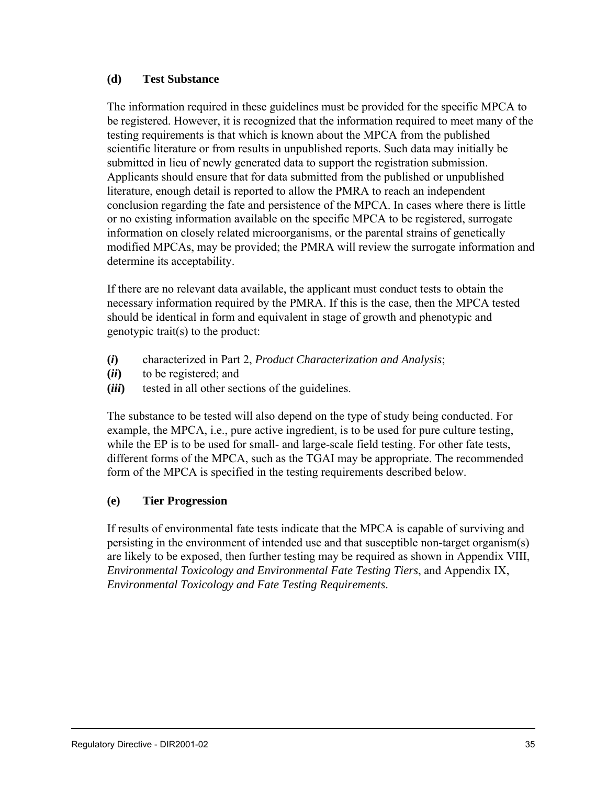#### **(d) Test Substance**

The information required in these guidelines must be provided for the specific MPCA to be registered. However, it is recognized that the information required to meet many of the testing requirements is that which is known about the MPCA from the published scientific literature or from results in unpublished reports. Such data may initially be submitted in lieu of newly generated data to support the registration submission. Applicants should ensure that for data submitted from the published or unpublished literature, enough detail is reported to allow the PMRA to reach an independent conclusion regarding the fate and persistence of the MPCA. In cases where there is little or no existing information available on the specific MPCA to be registered, surrogate information on closely related microorganisms, or the parental strains of genetically modified MPCAs, may be provided; the PMRA will review the surrogate information and determine its acceptability.

If there are no relevant data available, the applicant must conduct tests to obtain the necessary information required by the PMRA. If this is the case, then the MPCA tested should be identical in form and equivalent in stage of growth and phenotypic and genotypic trait(s) to the product:

- **(***i***)** characterized in Part 2, *Product Characterization and Analysis*;
- **(***ii***)** to be registered; and
- **(***iii***)** tested in all other sections of the guidelines.

The substance to be tested will also depend on the type of study being conducted. For example, the MPCA, i.e., pure active ingredient, is to be used for pure culture testing, while the EP is to be used for small- and large-scale field testing. For other fate tests, different forms of the MPCA, such as the TGAI may be appropriate. The recommended form of the MPCA is specified in the testing requirements described below.

### **(e) Tier Progression**

If results of environmental fate tests indicate that the MPCA is capable of surviving and persisting in the environment of intended use and that susceptible non-target organism(s) are likely to be exposed, then further testing may be required as shown in Appendix VIII, *Environmental Toxicology and Environmental Fate Testing Tiers*, and Appendix IX, *Environmental Toxicology and Fate Testing Requirements*.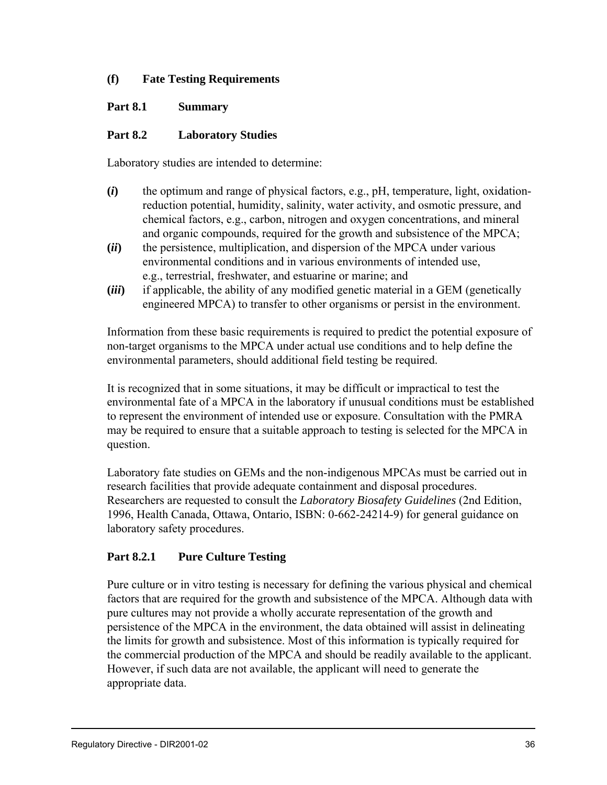# **(f) Fate Testing Requirements**

## **Part 8.1 Summary**

# **Part 8.2 Laboratory Studies**

Laboratory studies are intended to determine:

- **(***i***)** the optimum and range of physical factors, e.g., pH, temperature, light, oxidationreduction potential, humidity, salinity, water activity, and osmotic pressure, and chemical factors, e.g., carbon, nitrogen and oxygen concentrations, and mineral and organic compounds, required for the growth and subsistence of the MPCA;
- **(***ii***)** the persistence, multiplication, and dispersion of the MPCA under various environmental conditions and in various environments of intended use, e.g., terrestrial, freshwater, and estuarine or marine; and
- **(***iii***)** if applicable, the ability of any modified genetic material in a GEM (genetically engineered MPCA) to transfer to other organisms or persist in the environment.

Information from these basic requirements is required to predict the potential exposure of non-target organisms to the MPCA under actual use conditions and to help define the environmental parameters, should additional field testing be required.

It is recognized that in some situations, it may be difficult or impractical to test the environmental fate of a MPCA in the laboratory if unusual conditions must be established to represent the environment of intended use or exposure. Consultation with the PMRA may be required to ensure that a suitable approach to testing is selected for the MPCA in question.

Laboratory fate studies on GEMs and the non-indigenous MPCAs must be carried out in research facilities that provide adequate containment and disposal procedures. Researchers are requested to consult the *Laboratory Biosafety Guidelines* (2nd Edition, 1996, Health Canada, Ottawa, Ontario, ISBN: 0-662-24214-9) for general guidance on laboratory safety procedures.

### **Part 8.2.1 Pure Culture Testing**

Pure culture or in vitro testing is necessary for defining the various physical and chemical factors that are required for the growth and subsistence of the MPCA. Although data with pure cultures may not provide a wholly accurate representation of the growth and persistence of the MPCA in the environment, the data obtained will assist in delineating the limits for growth and subsistence. Most of this information is typically required for the commercial production of the MPCA and should be readily available to the applicant. However, if such data are not available, the applicant will need to generate the appropriate data.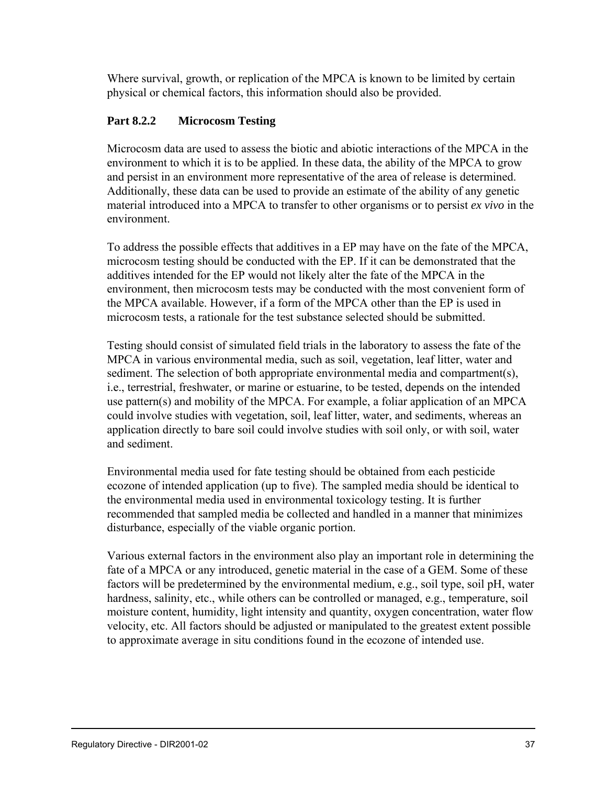Where survival, growth, or replication of the MPCA is known to be limited by certain physical or chemical factors, this information should also be provided.

# **Part 8.2.2 Microcosm Testing**

Microcosm data are used to assess the biotic and abiotic interactions of the MPCA in the environment to which it is to be applied. In these data, the ability of the MPCA to grow and persist in an environment more representative of the area of release is determined. Additionally, these data can be used to provide an estimate of the ability of any genetic material introduced into a MPCA to transfer to other organisms or to persist *ex vivo* in the environment.

To address the possible effects that additives in a EP may have on the fate of the MPCA, microcosm testing should be conducted with the EP. If it can be demonstrated that the additives intended for the EP would not likely alter the fate of the MPCA in the environment, then microcosm tests may be conducted with the most convenient form of the MPCA available. However, if a form of the MPCA other than the EP is used in microcosm tests, a rationale for the test substance selected should be submitted.

Testing should consist of simulated field trials in the laboratory to assess the fate of the MPCA in various environmental media, such as soil, vegetation, leaf litter, water and sediment. The selection of both appropriate environmental media and compartment(s), i.e., terrestrial, freshwater, or marine or estuarine, to be tested, depends on the intended use pattern(s) and mobility of the MPCA. For example, a foliar application of an MPCA could involve studies with vegetation, soil, leaf litter, water, and sediments, whereas an application directly to bare soil could involve studies with soil only, or with soil, water and sediment.

Environmental media used for fate testing should be obtained from each pesticide ecozone of intended application (up to five). The sampled media should be identical to the environmental media used in environmental toxicology testing. It is further recommended that sampled media be collected and handled in a manner that minimizes disturbance, especially of the viable organic portion.

Various external factors in the environment also play an important role in determining the fate of a MPCA or any introduced, genetic material in the case of a GEM. Some of these factors will be predetermined by the environmental medium, e.g., soil type, soil pH, water hardness, salinity, etc., while others can be controlled or managed, e.g., temperature, soil moisture content, humidity, light intensity and quantity, oxygen concentration, water flow velocity, etc. All factors should be adjusted or manipulated to the greatest extent possible to approximate average in situ conditions found in the ecozone of intended use.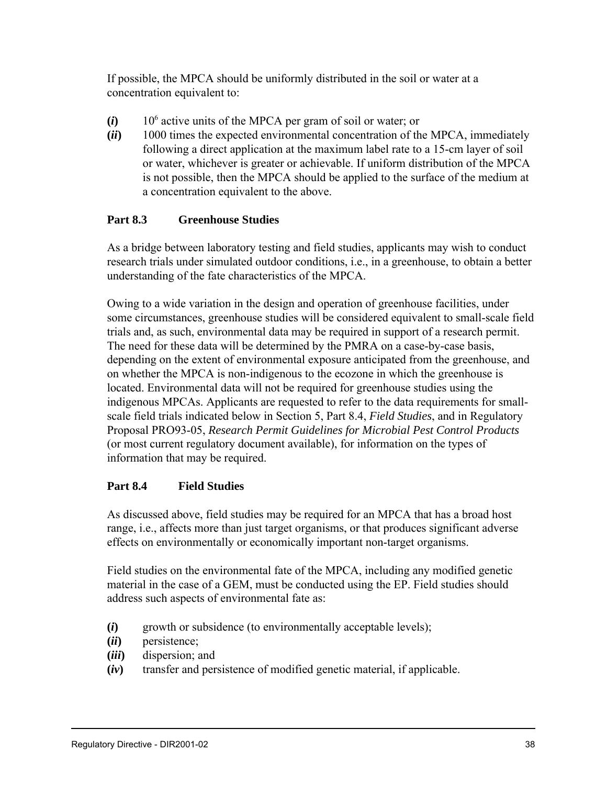If possible, the MPCA should be uniformly distributed in the soil or water at a concentration equivalent to:

- $(i)$  10<sup>6</sup> active units of the MPCA per gram of soil or water; or
- **(***ii***)** 1000 times the expected environmental concentration of the MPCA, immediately following a direct application at the maximum label rate to a 15-cm layer of soil or water, whichever is greater or achievable. If uniform distribution of the MPCA is not possible, then the MPCA should be applied to the surface of the medium at a concentration equivalent to the above.

# **Part 8.3 Greenhouse Studies**

As a bridge between laboratory testing and field studies, applicants may wish to conduct research trials under simulated outdoor conditions, i.e., in a greenhouse, to obtain a better understanding of the fate characteristics of the MPCA.

Owing to a wide variation in the design and operation of greenhouse facilities, under some circumstances, greenhouse studies will be considered equivalent to small-scale field trials and, as such, environmental data may be required in support of a research permit. The need for these data will be determined by the PMRA on a case-by-case basis, depending on the extent of environmental exposure anticipated from the greenhouse, and on whether the MPCA is non-indigenous to the ecozone in which the greenhouse is located. Environmental data will not be required for greenhouse studies using the indigenous MPCAs. Applicants are requested to refer to the data requirements for smallscale field trials indicated below in Section 5, Part 8.4, *Field Studies*, and in Regulatory Proposal PRO93-05, *Research Permit Guidelines for Microbial Pest Control Products* (or most current regulatory document available), for information on the types of information that may be required.

### **Part 8.4 Field Studies**

As discussed above, field studies may be required for an MPCA that has a broad host range, i.e., affects more than just target organisms, or that produces significant adverse effects on environmentally or economically important non-target organisms.

Field studies on the environmental fate of the MPCA, including any modified genetic material in the case of a GEM, must be conducted using the EP. Field studies should address such aspects of environmental fate as:

- **(***i***)** growth or subsidence (to environmentally acceptable levels);
- **(***ii***)** persistence;
- **(***iii***)** dispersion; and
- **(***iv***)** transfer and persistence of modified genetic material, if applicable.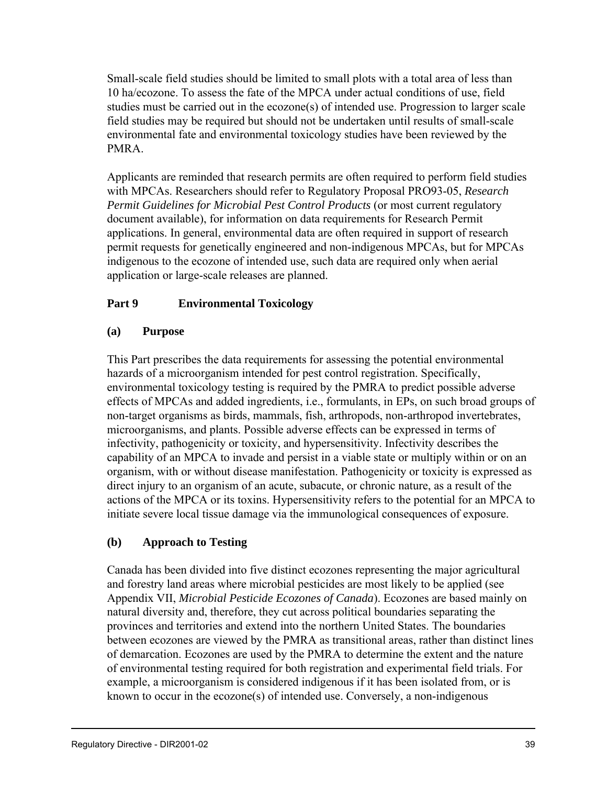Small-scale field studies should be limited to small plots with a total area of less than 10 ha/ecozone. To assess the fate of the MPCA under actual conditions of use, field studies must be carried out in the ecozone(s) of intended use. Progression to larger scale field studies may be required but should not be undertaken until results of small-scale environmental fate and environmental toxicology studies have been reviewed by the PMRA.

Applicants are reminded that research permits are often required to perform field studies with MPCAs. Researchers should refer to Regulatory Proposal PRO93-05, *Research Permit Guidelines for Microbial Pest Control Products* (or most current regulatory document available), for information on data requirements for Research Permit applications. In general, environmental data are often required in support of research permit requests for genetically engineered and non-indigenous MPCAs, but for MPCAs indigenous to the ecozone of intended use, such data are required only when aerial application or large-scale releases are planned.

# **Part 9 Environmental Toxicology**

# **(a) Purpose**

This Part prescribes the data requirements for assessing the potential environmental hazards of a microorganism intended for pest control registration. Specifically, environmental toxicology testing is required by the PMRA to predict possible adverse effects of MPCAs and added ingredients, i.e., formulants, in EPs, on such broad groups of non-target organisms as birds, mammals, fish, arthropods, non-arthropod invertebrates, microorganisms, and plants. Possible adverse effects can be expressed in terms of infectivity, pathogenicity or toxicity, and hypersensitivity. Infectivity describes the capability of an MPCA to invade and persist in a viable state or multiply within or on an organism, with or without disease manifestation. Pathogenicity or toxicity is expressed as direct injury to an organism of an acute, subacute, or chronic nature, as a result of the actions of the MPCA or its toxins. Hypersensitivity refers to the potential for an MPCA to initiate severe local tissue damage via the immunological consequences of exposure.

# **(b) Approach to Testing**

Canada has been divided into five distinct ecozones representing the major agricultural and forestry land areas where microbial pesticides are most likely to be applied (see Appendix VII, *Microbial Pesticide Ecozones of Canada*). Ecozones are based mainly on natural diversity and, therefore, they cut across political boundaries separating the provinces and territories and extend into the northern United States. The boundaries between ecozones are viewed by the PMRA as transitional areas, rather than distinct lines of demarcation. Ecozones are used by the PMRA to determine the extent and the nature of environmental testing required for both registration and experimental field trials. For example, a microorganism is considered indigenous if it has been isolated from, or is known to occur in the ecozone(s) of intended use. Conversely, a non-indigenous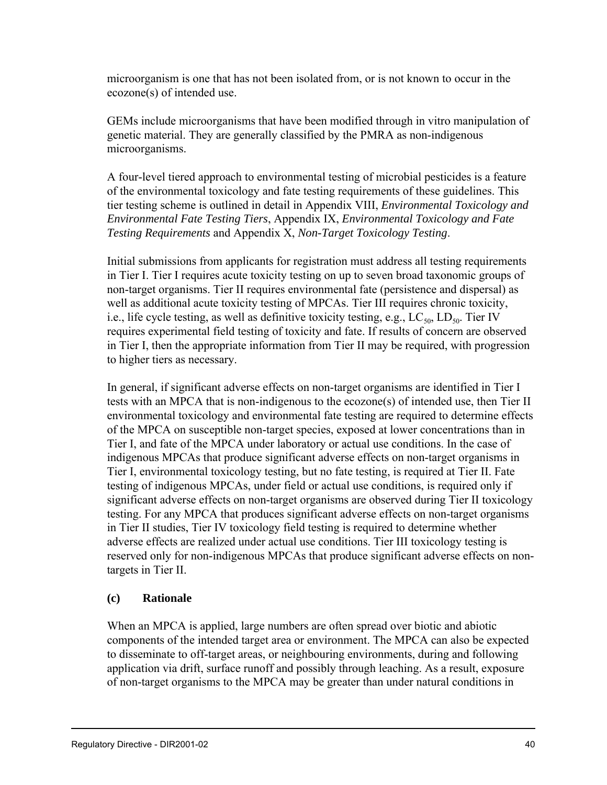microorganism is one that has not been isolated from, or is not known to occur in the ecozone(s) of intended use.

GEMs include microorganisms that have been modified through in vitro manipulation of genetic material. They are generally classified by the PMRA as non-indigenous microorganisms.

A four-level tiered approach to environmental testing of microbial pesticides is a feature of the environmental toxicology and fate testing requirements of these guidelines. This tier testing scheme is outlined in detail in Appendix VIII, *Environmental Toxicology and Environmental Fate Testing Tiers*, Appendix IX, *Environmental Toxicology and Fate Testing Requirements* and Appendix X, *Non-Target Toxicology Testing*.

Initial submissions from applicants for registration must address all testing requirements in Tier I. Tier I requires acute toxicity testing on up to seven broad taxonomic groups of non-target organisms. Tier II requires environmental fate (persistence and dispersal) as well as additional acute toxicity testing of MPCAs. Tier III requires chronic toxicity, i.e., life cycle testing, as well as definitive toxicity testing, e.g.,  $LC_{50}$ ,  $LD_{50}$ . Tier IV requires experimental field testing of toxicity and fate. If results of concern are observed in Tier I, then the appropriate information from Tier II may be required, with progression to higher tiers as necessary.

In general, if significant adverse effects on non-target organisms are identified in Tier I tests with an MPCA that is non-indigenous to the ecozone(s) of intended use, then Tier II environmental toxicology and environmental fate testing are required to determine effects of the MPCA on susceptible non-target species, exposed at lower concentrations than in Tier I, and fate of the MPCA under laboratory or actual use conditions. In the case of indigenous MPCAs that produce significant adverse effects on non-target organisms in Tier I, environmental toxicology testing, but no fate testing, is required at Tier II. Fate testing of indigenous MPCAs, under field or actual use conditions, is required only if significant adverse effects on non-target organisms are observed during Tier II toxicology testing. For any MPCA that produces significant adverse effects on non-target organisms in Tier II studies, Tier IV toxicology field testing is required to determine whether adverse effects are realized under actual use conditions. Tier III toxicology testing is reserved only for non-indigenous MPCAs that produce significant adverse effects on nontargets in Tier II.

### **(c) Rationale**

When an MPCA is applied, large numbers are often spread over biotic and abiotic components of the intended target area or environment. The MPCA can also be expected to disseminate to off-target areas, or neighbouring environments, during and following application via drift, surface runoff and possibly through leaching. As a result, exposure of non-target organisms to the MPCA may be greater than under natural conditions in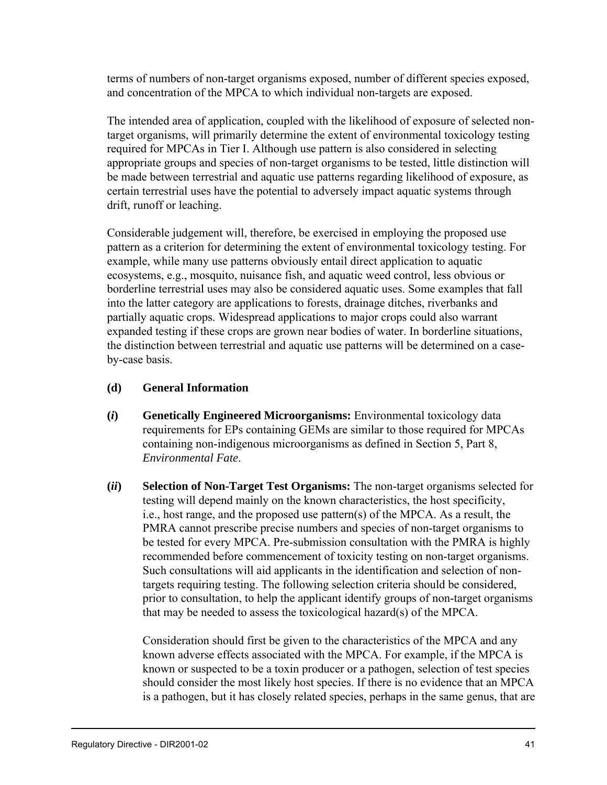terms of numbers of non-target organisms exposed, number of different species exposed, and concentration of the MPCA to which individual non-targets are exposed.

The intended area of application, coupled with the likelihood of exposure of selected nontarget organisms, will primarily determine the extent of environmental toxicology testing required for MPCAs in Tier I. Although use pattern is also considered in selecting appropriate groups and species of non-target organisms to be tested, little distinction will be made between terrestrial and aquatic use patterns regarding likelihood of exposure, as certain terrestrial uses have the potential to adversely impact aquatic systems through drift, runoff or leaching.

Considerable judgement will, therefore, be exercised in employing the proposed use pattern as a criterion for determining the extent of environmental toxicology testing. For example, while many use patterns obviously entail direct application to aquatic ecosystems, e.g., mosquito, nuisance fish, and aquatic weed control, less obvious or borderline terrestrial uses may also be considered aquatic uses. Some examples that fall into the latter category are applications to forests, drainage ditches, riverbanks and partially aquatic crops. Widespread applications to major crops could also warrant expanded testing if these crops are grown near bodies of water. In borderline situations, the distinction between terrestrial and aquatic use patterns will be determined on a caseby-case basis.

#### **(d) General Information**

- **(***i***) Genetically Engineered Microorganisms:** Environmental toxicology data requirements for EPs containing GEMs are similar to those required for MPCAs containing non-indigenous microorganisms as defined in Section 5, Part 8, *Environmental Fate*.
- **(***ii***) Selection of Non-Target Test Organisms:** The non-target organisms selected for testing will depend mainly on the known characteristics, the host specificity, i.e., host range, and the proposed use pattern(s) of the MPCA. As a result, the PMRA cannot prescribe precise numbers and species of non-target organisms to be tested for every MPCA. Pre-submission consultation with the PMRA is highly recommended before commencement of toxicity testing on non-target organisms. Such consultations will aid applicants in the identification and selection of nontargets requiring testing. The following selection criteria should be considered, prior to consultation, to help the applicant identify groups of non-target organisms that may be needed to assess the toxicological hazard(s) of the MPCA.

Consideration should first be given to the characteristics of the MPCA and any known adverse effects associated with the MPCA. For example, if the MPCA is known or suspected to be a toxin producer or a pathogen, selection of test species should consider the most likely host species. If there is no evidence that an MPCA is a pathogen, but it has closely related species, perhaps in the same genus, that are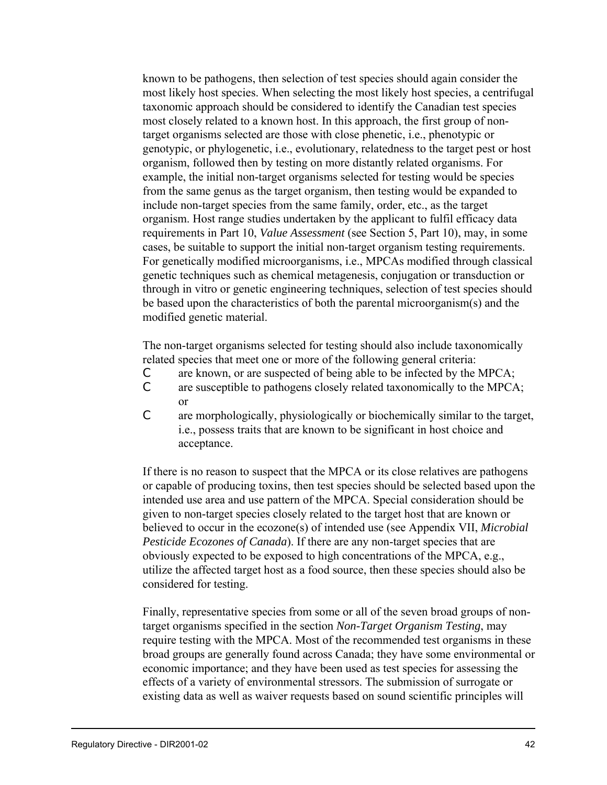known to be pathogens, then selection of test species should again consider the most likely host species. When selecting the most likely host species, a centrifugal taxonomic approach should be considered to identify the Canadian test species most closely related to a known host. In this approach, the first group of nontarget organisms selected are those with close phenetic, i.e., phenotypic or genotypic, or phylogenetic, i.e., evolutionary, relatedness to the target pest or host organism, followed then by testing on more distantly related organisms. For example, the initial non-target organisms selected for testing would be species from the same genus as the target organism, then testing would be expanded to include non-target species from the same family, order, etc., as the target organism. Host range studies undertaken by the applicant to fulfil efficacy data requirements in Part 10, *Value Assessment* (see Section 5, Part 10), may, in some cases, be suitable to support the initial non-target organism testing requirements. For genetically modified microorganisms, i.e., MPCAs modified through classical genetic techniques such as chemical metagenesis, conjugation or transduction or through in vitro or genetic engineering techniques, selection of test species should be based upon the characteristics of both the parental microorganism(s) and the modified genetic material.

The non-target organisms selected for testing should also include taxonomically related species that meet one or more of the following general criteria:

- C are known, or are suspected of being able to be infected by the MPCA;
- C are susceptible to pathogens closely related taxonomically to the MPCA; or
- C are morphologically, physiologically or biochemically similar to the target, i.e., possess traits that are known to be significant in host choice and acceptance.

If there is no reason to suspect that the MPCA or its close relatives are pathogens or capable of producing toxins, then test species should be selected based upon the intended use area and use pattern of the MPCA. Special consideration should be given to non-target species closely related to the target host that are known or believed to occur in the ecozone(s) of intended use (see Appendix VII, *Microbial Pesticide Ecozones of Canada*). If there are any non-target species that are obviously expected to be exposed to high concentrations of the MPCA, e.g., utilize the affected target host as a food source, then these species should also be considered for testing.

Finally, representative species from some or all of the seven broad groups of nontarget organisms specified in the section *Non-Target Organism Testing*, may require testing with the MPCA. Most of the recommended test organisms in these broad groups are generally found across Canada; they have some environmental or economic importance; and they have been used as test species for assessing the effects of a variety of environmental stressors. The submission of surrogate or existing data as well as waiver requests based on sound scientific principles will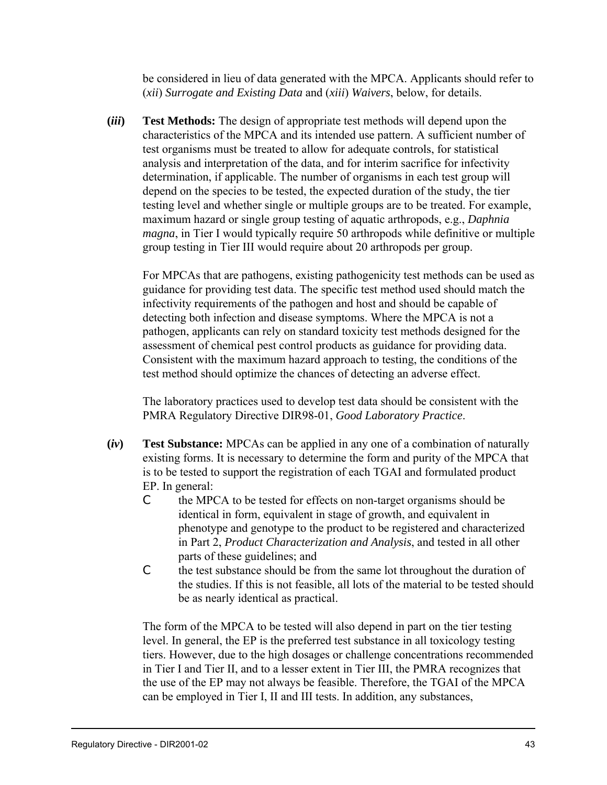be considered in lieu of data generated with the MPCA. Applicants should refer to (*xii*) *Surrogate and Existing Data* and (*xiii*) *Waivers*, below, for details.

**(***iii***) Test Methods:** The design of appropriate test methods will depend upon the characteristics of the MPCA and its intended use pattern. A sufficient number of test organisms must be treated to allow for adequate controls, for statistical analysis and interpretation of the data, and for interim sacrifice for infectivity determination, if applicable. The number of organisms in each test group will depend on the species to be tested, the expected duration of the study, the tier testing level and whether single or multiple groups are to be treated. For example, maximum hazard or single group testing of aquatic arthropods, e.g., *Daphnia magna*, in Tier I would typically require 50 arthropods while definitive or multiple group testing in Tier III would require about 20 arthropods per group.

For MPCAs that are pathogens, existing pathogenicity test methods can be used as guidance for providing test data. The specific test method used should match the infectivity requirements of the pathogen and host and should be capable of detecting both infection and disease symptoms. Where the MPCA is not a pathogen, applicants can rely on standard toxicity test methods designed for the assessment of chemical pest control products as guidance for providing data. Consistent with the maximum hazard approach to testing, the conditions of the test method should optimize the chances of detecting an adverse effect.

The laboratory practices used to develop test data should be consistent with the PMRA Regulatory Directive DIR98-01, *Good Laboratory Practice*.

- **(***iv***) Test Substance:** MPCAs can be applied in any one of a combination of naturally existing forms. It is necessary to determine the form and purity of the MPCA that is to be tested to support the registration of each TGAI and formulated product EP. In general:
	- C the MPCA to be tested for effects on non-target organisms should be identical in form, equivalent in stage of growth, and equivalent in phenotype and genotype to the product to be registered and characterized in Part 2, *Product Characterization and Analysis*, and tested in all other parts of these guidelines; and
	- C the test substance should be from the same lot throughout the duration of the studies. If this is not feasible, all lots of the material to be tested should be as nearly identical as practical.

The form of the MPCA to be tested will also depend in part on the tier testing level. In general, the EP is the preferred test substance in all toxicology testing tiers. However, due to the high dosages or challenge concentrations recommended in Tier I and Tier II, and to a lesser extent in Tier III, the PMRA recognizes that the use of the EP may not always be feasible. Therefore, the TGAI of the MPCA can be employed in Tier I, II and III tests. In addition, any substances,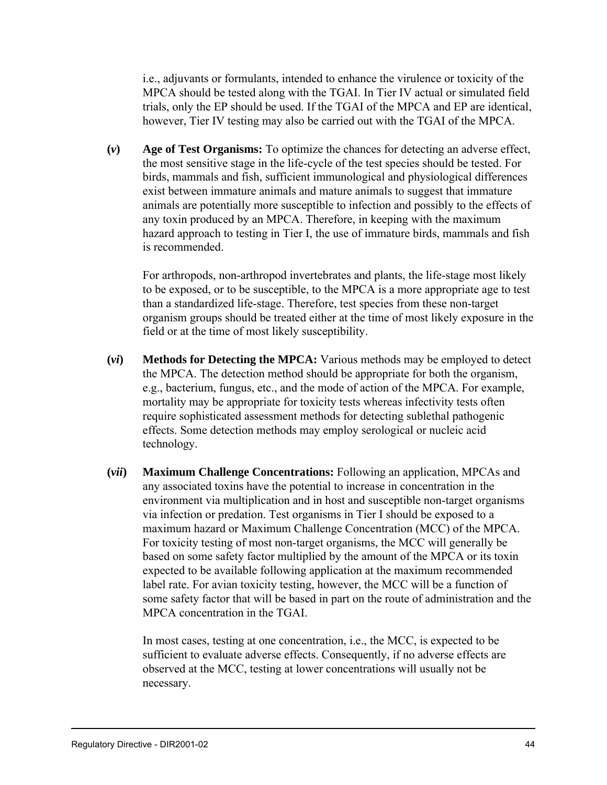i.e., adjuvants or formulants, intended to enhance the virulence or toxicity of the MPCA should be tested along with the TGAI. In Tier IV actual or simulated field trials, only the EP should be used. If the TGAI of the MPCA and EP are identical, however, Tier IV testing may also be carried out with the TGAI of the MPCA.

**(***v***) Age of Test Organisms:** To optimize the chances for detecting an adverse effect, the most sensitive stage in the life-cycle of the test species should be tested. For birds, mammals and fish, sufficient immunological and physiological differences exist between immature animals and mature animals to suggest that immature animals are potentially more susceptible to infection and possibly to the effects of any toxin produced by an MPCA. Therefore, in keeping with the maximum hazard approach to testing in Tier I, the use of immature birds, mammals and fish is recommended.

For arthropods, non-arthropod invertebrates and plants, the life-stage most likely to be exposed, or to be susceptible, to the MPCA is a more appropriate age to test than a standardized life-stage. Therefore, test species from these non-target organism groups should be treated either at the time of most likely exposure in the field or at the time of most likely susceptibility.

- **(***vi***) Methods for Detecting the MPCA:** Various methods may be employed to detect the MPCA. The detection method should be appropriate for both the organism, e.g., bacterium, fungus, etc., and the mode of action of the MPCA. For example, mortality may be appropriate for toxicity tests whereas infectivity tests often require sophisticated assessment methods for detecting sublethal pathogenic effects. Some detection methods may employ serological or nucleic acid technology.
- **(***vii***) Maximum Challenge Concentrations:** Following an application, MPCAs and any associated toxins have the potential to increase in concentration in the environment via multiplication and in host and susceptible non-target organisms via infection or predation. Test organisms in Tier I should be exposed to a maximum hazard or Maximum Challenge Concentration (MCC) of the MPCA. For toxicity testing of most non-target organisms, the MCC will generally be based on some safety factor multiplied by the amount of the MPCA or its toxin expected to be available following application at the maximum recommended label rate. For avian toxicity testing, however, the MCC will be a function of some safety factor that will be based in part on the route of administration and the MPCA concentration in the TGAI.

In most cases, testing at one concentration, i.e., the MCC, is expected to be sufficient to evaluate adverse effects. Consequently, if no adverse effects are observed at the MCC, testing at lower concentrations will usually not be necessary.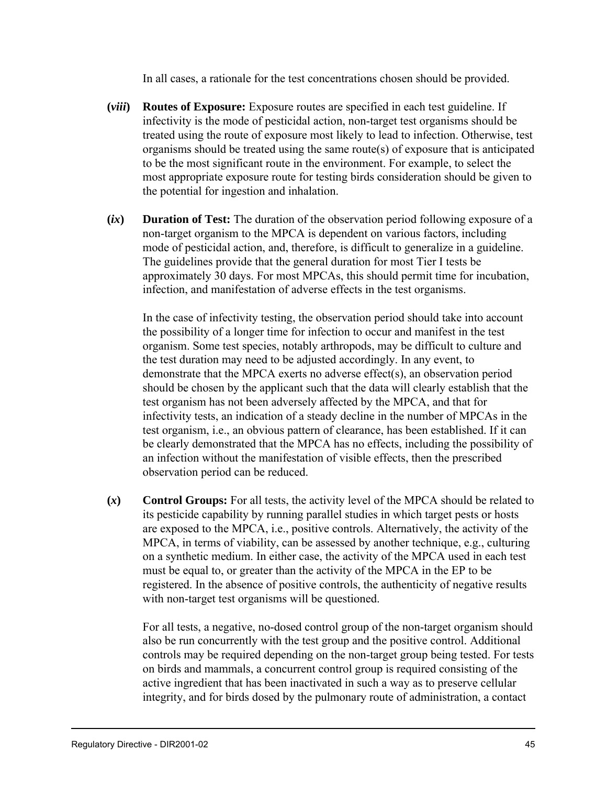In all cases, a rationale for the test concentrations chosen should be provided.

- **(***viii***) Routes of Exposure:** Exposure routes are specified in each test guideline. If infectivity is the mode of pesticidal action, non-target test organisms should be treated using the route of exposure most likely to lead to infection. Otherwise, test organisms should be treated using the same route(s) of exposure that is anticipated to be the most significant route in the environment. For example, to select the most appropriate exposure route for testing birds consideration should be given to the potential for ingestion and inhalation.
- **(***ix***) Duration of Test:** The duration of the observation period following exposure of a non-target organism to the MPCA is dependent on various factors, including mode of pesticidal action, and, therefore, is difficult to generalize in a guideline. The guidelines provide that the general duration for most Tier I tests be approximately 30 days. For most MPCAs, this should permit time for incubation, infection, and manifestation of adverse effects in the test organisms.

In the case of infectivity testing, the observation period should take into account the possibility of a longer time for infection to occur and manifest in the test organism. Some test species, notably arthropods, may be difficult to culture and the test duration may need to be adjusted accordingly. In any event, to demonstrate that the MPCA exerts no adverse effect(s), an observation period should be chosen by the applicant such that the data will clearly establish that the test organism has not been adversely affected by the MPCA, and that for infectivity tests, an indication of a steady decline in the number of MPCAs in the test organism, i.e., an obvious pattern of clearance, has been established. If it can be clearly demonstrated that the MPCA has no effects, including the possibility of an infection without the manifestation of visible effects, then the prescribed observation period can be reduced.

**(***x***) Control Groups:** For all tests, the activity level of the MPCA should be related to its pesticide capability by running parallel studies in which target pests or hosts are exposed to the MPCA, i.e., positive controls. Alternatively, the activity of the MPCA, in terms of viability, can be assessed by another technique, e.g., culturing on a synthetic medium. In either case, the activity of the MPCA used in each test must be equal to, or greater than the activity of the MPCA in the EP to be registered. In the absence of positive controls, the authenticity of negative results with non-target test organisms will be questioned.

For all tests, a negative, no-dosed control group of the non-target organism should also be run concurrently with the test group and the positive control. Additional controls may be required depending on the non-target group being tested. For tests on birds and mammals, a concurrent control group is required consisting of the active ingredient that has been inactivated in such a way as to preserve cellular integrity, and for birds dosed by the pulmonary route of administration, a contact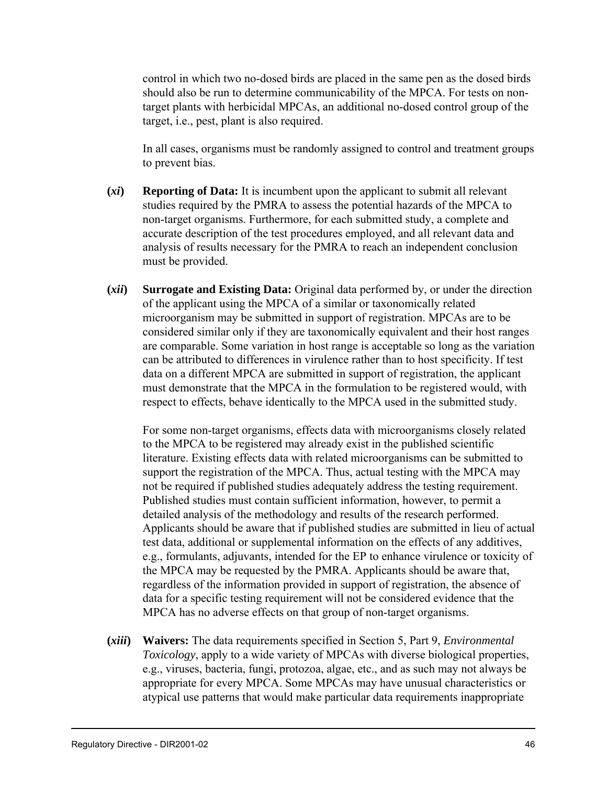control in which two no-dosed birds are placed in the same pen as the dosed birds should also be run to determine communicability of the MPCA. For tests on nontarget plants with herbicidal MPCAs, an additional no-dosed control group of the target, i.e., pest, plant is also required.

In all cases, organisms must be randomly assigned to control and treatment groups to prevent bias.

- **(***xi***) Reporting of Data:** It is incumbent upon the applicant to submit all relevant studies required by the PMRA to assess the potential hazards of the MPCA to non-target organisms. Furthermore, for each submitted study, a complete and accurate description of the test procedures employed, and all relevant data and analysis of results necessary for the PMRA to reach an independent conclusion must be provided.
- **(***xii***) Surrogate and Existing Data:** Original data performed by, or under the direction of the applicant using the MPCA of a similar or taxonomically related microorganism may be submitted in support of registration. MPCAs are to be considered similar only if they are taxonomically equivalent and their host ranges are comparable. Some variation in host range is acceptable so long as the variation can be attributed to differences in virulence rather than to host specificity. If test data on a different MPCA are submitted in support of registration, the applicant must demonstrate that the MPCA in the formulation to be registered would, with respect to effects, behave identically to the MPCA used in the submitted study.

For some non-target organisms, effects data with microorganisms closely related to the MPCA to be registered may already exist in the published scientific literature. Existing effects data with related microorganisms can be submitted to support the registration of the MPCA. Thus, actual testing with the MPCA may not be required if published studies adequately address the testing requirement. Published studies must contain sufficient information, however, to permit a detailed analysis of the methodology and results of the research performed. Applicants should be aware that if published studies are submitted in lieu of actual test data, additional or supplemental information on the effects of any additives, e.g., formulants, adjuvants, intended for the EP to enhance virulence or toxicity of the MPCA may be requested by the PMRA. Applicants should be aware that, regardless of the information provided in support of registration, the absence of data for a specific testing requirement will not be considered evidence that the MPCA has no adverse effects on that group of non-target organisms.

**(***xiii***) Waivers:** The data requirements specified in Section 5, Part 9, *Environmental Toxicology*, apply to a wide variety of MPCAs with diverse biological properties, e.g., viruses, bacteria, fungi, protozoa, algae, etc., and as such may not always be appropriate for every MPCA. Some MPCAs may have unusual characteristics or atypical use patterns that would make particular data requirements inappropriate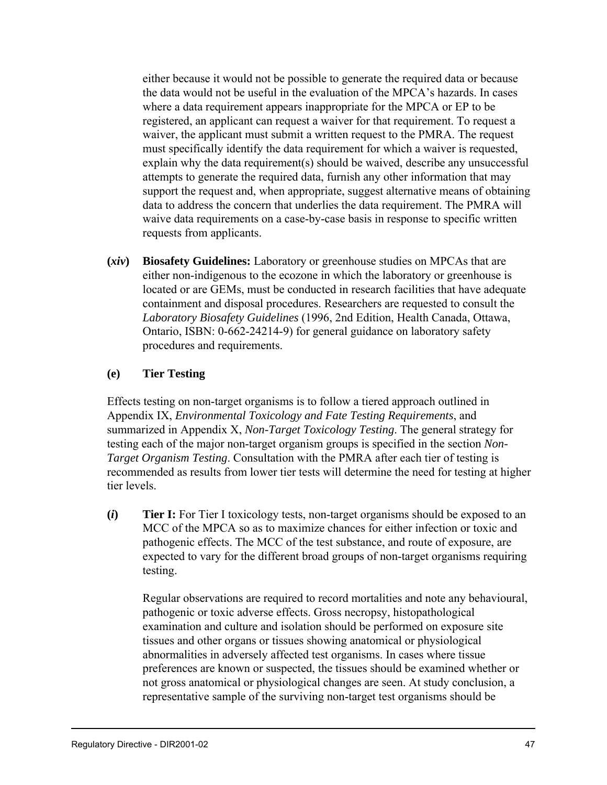either because it would not be possible to generate the required data or because the data would not be useful in the evaluation of the MPCA's hazards. In cases where a data requirement appears inappropriate for the MPCA or EP to be registered, an applicant can request a waiver for that requirement. To request a waiver, the applicant must submit a written request to the PMRA. The request must specifically identify the data requirement for which a waiver is requested, explain why the data requirement(s) should be waived, describe any unsuccessful attempts to generate the required data, furnish any other information that may support the request and, when appropriate, suggest alternative means of obtaining data to address the concern that underlies the data requirement. The PMRA will waive data requirements on a case-by-case basis in response to specific written requests from applicants.

**(***xiv***) Biosafety Guidelines:** Laboratory or greenhouse studies on MPCAs that are either non-indigenous to the ecozone in which the laboratory or greenhouse is located or are GEMs, must be conducted in research facilities that have adequate containment and disposal procedures. Researchers are requested to consult the *Laboratory Biosafety Guidelines* (1996, 2nd Edition, Health Canada, Ottawa, Ontario, ISBN: 0-662-24214-9) for general guidance on laboratory safety procedures and requirements.

#### **(e) Tier Testing**

Effects testing on non-target organisms is to follow a tiered approach outlined in Appendix IX, *Environmental Toxicology and Fate Testing Requirements*, and summarized in Appendix X, *Non-Target Toxicology Testing*. The general strategy for testing each of the major non-target organism groups is specified in the section *Non-Target Organism Testing*. Consultation with the PMRA after each tier of testing is recommended as results from lower tier tests will determine the need for testing at higher tier levels.

**(***i***) Tier I:** For Tier I toxicology tests, non-target organisms should be exposed to an MCC of the MPCA so as to maximize chances for either infection or toxic and pathogenic effects. The MCC of the test substance, and route of exposure, are expected to vary for the different broad groups of non-target organisms requiring testing.

Regular observations are required to record mortalities and note any behavioural, pathogenic or toxic adverse effects. Gross necropsy, histopathological examination and culture and isolation should be performed on exposure site tissues and other organs or tissues showing anatomical or physiological abnormalities in adversely affected test organisms. In cases where tissue preferences are known or suspected, the tissues should be examined whether or not gross anatomical or physiological changes are seen. At study conclusion, a representative sample of the surviving non-target test organisms should be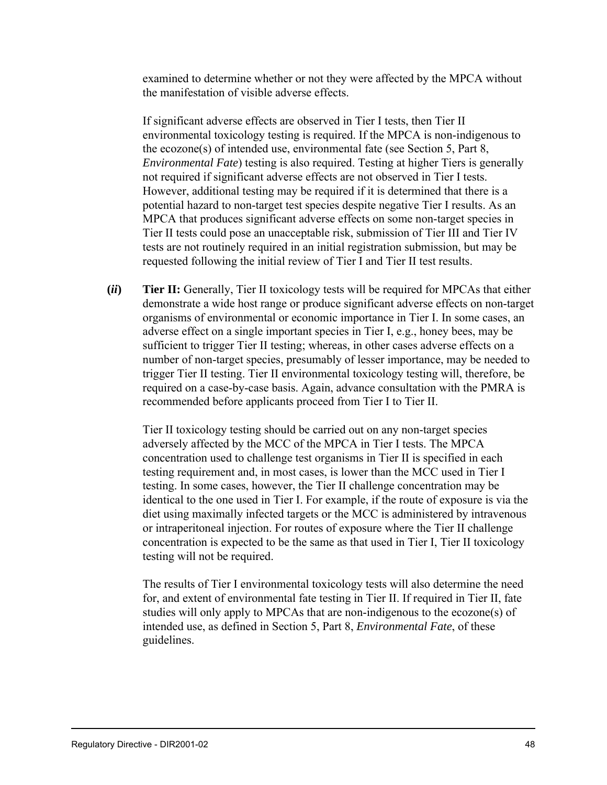examined to determine whether or not they were affected by the MPCA without the manifestation of visible adverse effects.

If significant adverse effects are observed in Tier I tests, then Tier II environmental toxicology testing is required. If the MPCA is non-indigenous to the ecozone(s) of intended use, environmental fate (see Section 5, Part 8, *Environmental Fate*) testing is also required. Testing at higher Tiers is generally not required if significant adverse effects are not observed in Tier I tests. However, additional testing may be required if it is determined that there is a potential hazard to non-target test species despite negative Tier I results. As an MPCA that produces significant adverse effects on some non-target species in Tier II tests could pose an unacceptable risk, submission of Tier III and Tier IV tests are not routinely required in an initial registration submission, but may be requested following the initial review of Tier I and Tier II test results.

**(***ii***) Tier II:** Generally, Tier II toxicology tests will be required for MPCAs that either demonstrate a wide host range or produce significant adverse effects on non-target organisms of environmental or economic importance in Tier I. In some cases, an adverse effect on a single important species in Tier I, e.g., honey bees, may be sufficient to trigger Tier II testing; whereas, in other cases adverse effects on a number of non-target species, presumably of lesser importance, may be needed to trigger Tier II testing. Tier II environmental toxicology testing will, therefore, be required on a case-by-case basis. Again, advance consultation with the PMRA is recommended before applicants proceed from Tier I to Tier II.

Tier II toxicology testing should be carried out on any non-target species adversely affected by the MCC of the MPCA in Tier I tests. The MPCA concentration used to challenge test organisms in Tier II is specified in each testing requirement and, in most cases, is lower than the MCC used in Tier I testing. In some cases, however, the Tier II challenge concentration may be identical to the one used in Tier I. For example, if the route of exposure is via the diet using maximally infected targets or the MCC is administered by intravenous or intraperitoneal injection. For routes of exposure where the Tier II challenge concentration is expected to be the same as that used in Tier I, Tier II toxicology testing will not be required.

The results of Tier I environmental toxicology tests will also determine the need for, and extent of environmental fate testing in Tier II. If required in Tier II, fate studies will only apply to MPCAs that are non-indigenous to the ecozone(s) of intended use, as defined in Section 5, Part 8, *Environmental Fate*, of these guidelines.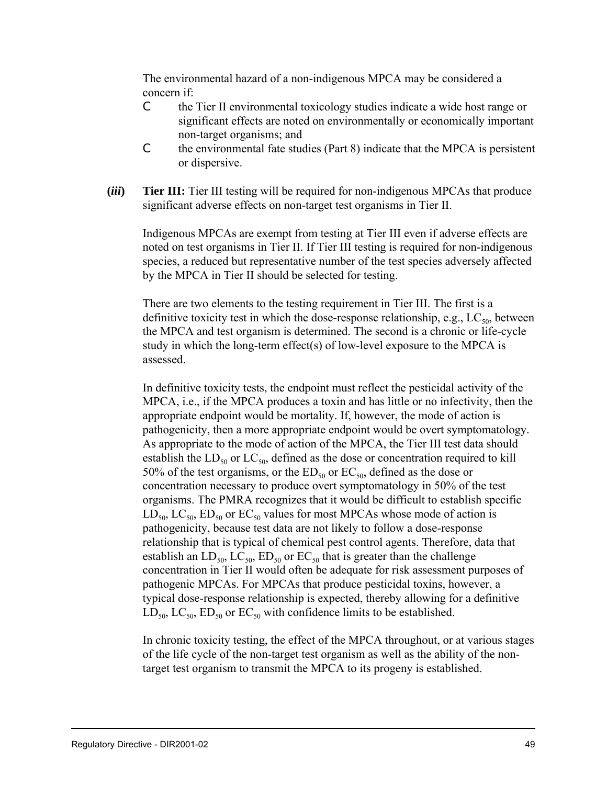The environmental hazard of a non-indigenous MPCA may be considered a concern if:

- C the Tier II environmental toxicology studies indicate a wide host range or significant effects are noted on environmentally or economically important non-target organisms; and
- C the environmental fate studies (Part 8) indicate that the MPCA is persistent or dispersive.
- **(***iii***) Tier III:** Tier III testing will be required for non-indigenous MPCAs that produce significant adverse effects on non-target test organisms in Tier II.

Indigenous MPCAs are exempt from testing at Tier III even if adverse effects are noted on test organisms in Tier II. If Tier III testing is required for non-indigenous species, a reduced but representative number of the test species adversely affected by the MPCA in Tier II should be selected for testing.

There are two elements to the testing requirement in Tier III. The first is a definitive toxicity test in which the dose-response relationship, e.g.,  $LC_{50}$ , between the MPCA and test organism is determined. The second is a chronic or life-cycle study in which the long-term effect(s) of low-level exposure to the MPCA is assessed.

In definitive toxicity tests, the endpoint must reflect the pesticidal activity of the MPCA, i.e., if the MPCA produces a toxin and has little or no infectivity, then the appropriate endpoint would be mortality. If, however, the mode of action is pathogenicity, then a more appropriate endpoint would be overt symptomatology. As appropriate to the mode of action of the MPCA, the Tier III test data should establish the  $LD_{50}$  or  $LC_{50}$ , defined as the dose or concentration required to kill 50% of the test organisms, or the  $ED_{50}$  or  $EC_{50}$ , defined as the dose or concentration necessary to produce overt symptomatology in 50% of the test organisms. The PMRA recognizes that it would be difficult to establish specific  $LD_{50}$ ,  $LC_{50}$ ,  $ED_{50}$  or  $EC_{50}$  values for most MPCAs whose mode of action is pathogenicity, because test data are not likely to follow a dose-response relationship that is typical of chemical pest control agents. Therefore, data that establish an  $LD_{50}$ ,  $LC_{50}$ ,  $ED_{50}$  or  $EC_{50}$  that is greater than the challenge concentration in Tier II would often be adequate for risk assessment purposes of pathogenic MPCAs. For MPCAs that produce pesticidal toxins, however, a typical dose-response relationship is expected, thereby allowing for a definitive  $LD_{50}$ ,  $LC_{50}$ ,  $ED_{50}$  or  $EC_{50}$  with confidence limits to be established.

In chronic toxicity testing, the effect of the MPCA throughout, or at various stages of the life cycle of the non-target test organism as well as the ability of the nontarget test organism to transmit the MPCA to its progeny is established.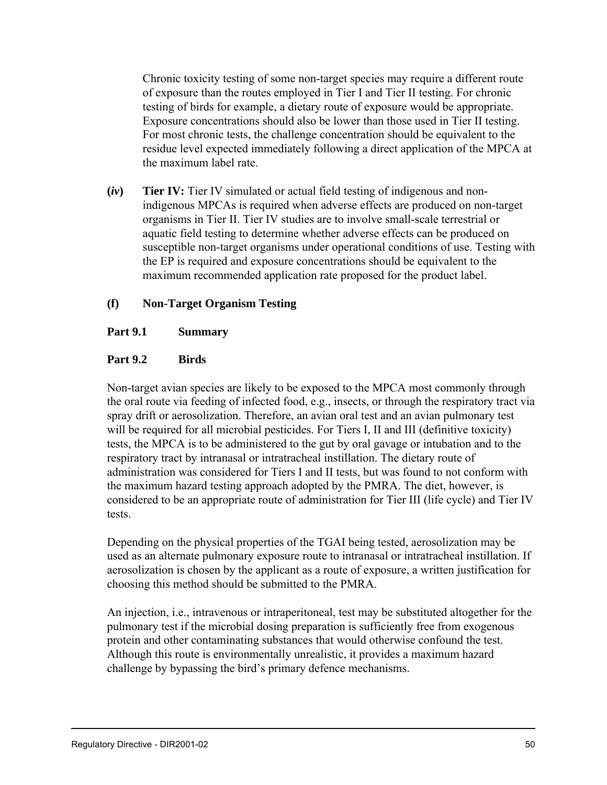Chronic toxicity testing of some non-target species may require a different route of exposure than the routes employed in Tier I and Tier II testing. For chronic testing of birds for example, a dietary route of exposure would be appropriate. Exposure concentrations should also be lower than those used in Tier II testing. For most chronic tests, the challenge concentration should be equivalent to the residue level expected immediately following a direct application of the MPCA at the maximum label rate.

**(***iv***) Tier IV:** Tier IV simulated or actual field testing of indigenous and nonindigenous MPCAs is required when adverse effects are produced on non-target organisms in Tier II. Tier IV studies are to involve small-scale terrestrial or aquatic field testing to determine whether adverse effects can be produced on susceptible non-target organisms under operational conditions of use. Testing with the EP is required and exposure concentrations should be equivalent to the maximum recommended application rate proposed for the product label.

### **(f) Non-Target Organism Testing**

#### **Part 9.1 Summary**

#### **Part 9.2 Birds**

Non-target avian species are likely to be exposed to the MPCA most commonly through the oral route via feeding of infected food, e.g., insects, or through the respiratory tract via spray drift or aerosolization. Therefore, an avian oral test and an avian pulmonary test will be required for all microbial pesticides. For Tiers I, II and III (definitive toxicity) tests, the MPCA is to be administered to the gut by oral gavage or intubation and to the respiratory tract by intranasal or intratracheal instillation. The dietary route of administration was considered for Tiers I and II tests, but was found to not conform with the maximum hazard testing approach adopted by the PMRA. The diet, however, is considered to be an appropriate route of administration for Tier III (life cycle) and Tier IV tests.

Depending on the physical properties of the TGAI being tested, aerosolization may be used as an alternate pulmonary exposure route to intranasal or intratracheal instillation. If aerosolization is chosen by the applicant as a route of exposure, a written justification for choosing this method should be submitted to the PMRA.

An injection, i.e., intravenous or intraperitoneal, test may be substituted altogether for the pulmonary test if the microbial dosing preparation is sufficiently free from exogenous protein and other contaminating substances that would otherwise confound the test. Although this route is environmentally unrealistic, it provides a maximum hazard challenge by bypassing the bird's primary defence mechanisms.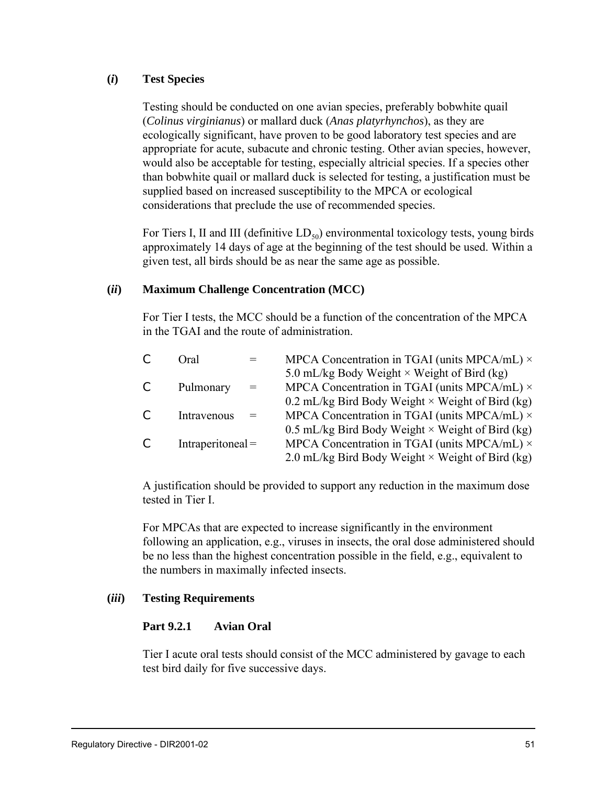#### **(***i***) Test Species**

Testing should be conducted on one avian species, preferably bobwhite quail (*Colinus virginianus*) or mallard duck (*Anas platyrhynchos*), as they are ecologically significant, have proven to be good laboratory test species and are appropriate for acute, subacute and chronic testing. Other avian species, however, would also be acceptable for testing, especially altricial species. If a species other than bobwhite quail or mallard duck is selected for testing, a justification must be supplied based on increased susceptibility to the MPCA or ecological considerations that preclude the use of recommended species.

For Tiers I, II and III (definitive  $LD_{50}$ ) environmental toxicology tests, young birds approximately 14 days of age at the beginning of the test should be used. Within a given test, all birds should be as near the same age as possible.

#### **(***ii***) Maximum Challenge Concentration (MCC)**

For Tier I tests, the MCC should be a function of the concentration of the MPCA in the TGAI and the route of administration.

|                | Oral.               |     | MPCA Concentration in TGAI (units MPCA/mL) $\times$     |
|----------------|---------------------|-----|---------------------------------------------------------|
|                |                     |     | 5.0 mL/kg Body Weight $\times$ Weight of Bird (kg)      |
| $\mathfrak{c}$ | Pulmonary           | $=$ | MPCA Concentration in TGAI (units MPCA/mL) $\times$     |
|                |                     |     | 0.2 mL/kg Bird Body Weight $\times$ Weight of Bird (kg) |
| C              | Intravenous         |     | MPCA Concentration in TGAI (units MPCA/mL) $\times$     |
|                |                     |     | 0.5 mL/kg Bird Body Weight $\times$ Weight of Bird (kg) |
| $\mathsf{C}$   | $Intraperiodical =$ |     | MPCA Concentration in TGAI (units MPCA/mL) $\times$     |
|                |                     |     | 2.0 mL/kg Bird Body Weight $\times$ Weight of Bird (kg) |

A justification should be provided to support any reduction in the maximum dose tested in Tier I.

For MPCAs that are expected to increase significantly in the environment following an application, e.g., viruses in insects, the oral dose administered should be no less than the highest concentration possible in the field, e.g., equivalent to the numbers in maximally infected insects.

#### **(***iii***) Testing Requirements**

#### **Part 9.2.1 Avian Oral**

Tier I acute oral tests should consist of the MCC administered by gavage to each test bird daily for five successive days.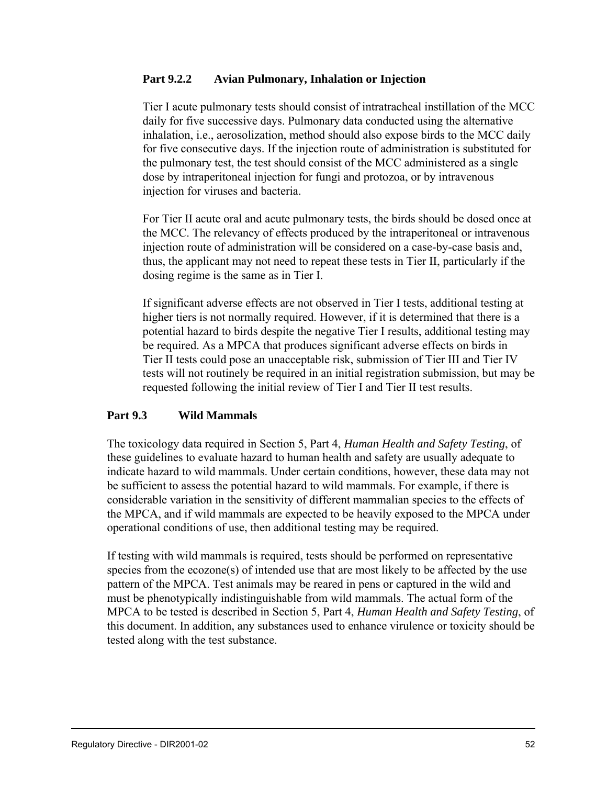### **Part 9.2.2 Avian Pulmonary, Inhalation or Injection**

Tier I acute pulmonary tests should consist of intratracheal instillation of the MCC daily for five successive days. Pulmonary data conducted using the alternative inhalation, i.e., aerosolization, method should also expose birds to the MCC daily for five consecutive days. If the injection route of administration is substituted for the pulmonary test, the test should consist of the MCC administered as a single dose by intraperitoneal injection for fungi and protozoa, or by intravenous injection for viruses and bacteria.

For Tier II acute oral and acute pulmonary tests, the birds should be dosed once at the MCC. The relevancy of effects produced by the intraperitoneal or intravenous injection route of administration will be considered on a case-by-case basis and, thus, the applicant may not need to repeat these tests in Tier II, particularly if the dosing regime is the same as in Tier I.

If significant adverse effects are not observed in Tier I tests, additional testing at higher tiers is not normally required. However, if it is determined that there is a potential hazard to birds despite the negative Tier I results, additional testing may be required. As a MPCA that produces significant adverse effects on birds in Tier II tests could pose an unacceptable risk, submission of Tier III and Tier IV tests will not routinely be required in an initial registration submission, but may be requested following the initial review of Tier I and Tier II test results.

### **Part 9.3 Wild Mammals**

The toxicology data required in Section 5, Part 4, *Human Health and Safety Testing*, of these guidelines to evaluate hazard to human health and safety are usually adequate to indicate hazard to wild mammals. Under certain conditions, however, these data may not be sufficient to assess the potential hazard to wild mammals. For example, if there is considerable variation in the sensitivity of different mammalian species to the effects of the MPCA, and if wild mammals are expected to be heavily exposed to the MPCA under operational conditions of use, then additional testing may be required.

If testing with wild mammals is required, tests should be performed on representative species from the ecozone(s) of intended use that are most likely to be affected by the use pattern of the MPCA. Test animals may be reared in pens or captured in the wild and must be phenotypically indistinguishable from wild mammals. The actual form of the MPCA to be tested is described in Section 5, Part 4, *Human Health and Safety Testing*, of this document. In addition, any substances used to enhance virulence or toxicity should be tested along with the test substance.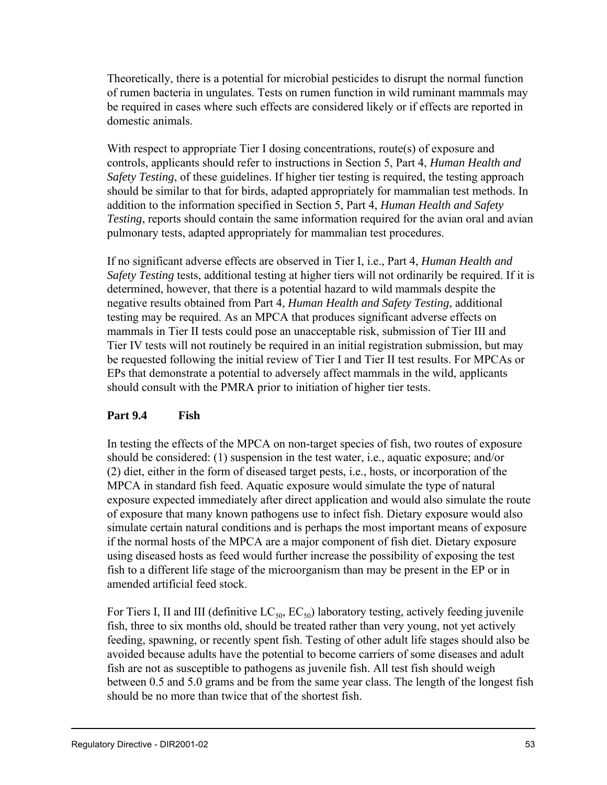Theoretically, there is a potential for microbial pesticides to disrupt the normal function of rumen bacteria in ungulates. Tests on rumen function in wild ruminant mammals may be required in cases where such effects are considered likely or if effects are reported in domestic animals.

With respect to appropriate Tier I dosing concentrations, route(s) of exposure and controls, applicants should refer to instructions in Section 5, Part 4, *Human Health and Safety Testing*, of these guidelines. If higher tier testing is required, the testing approach should be similar to that for birds, adapted appropriately for mammalian test methods. In addition to the information specified in Section 5, Part 4, *Human Health and Safety Testing*, reports should contain the same information required for the avian oral and avian pulmonary tests, adapted appropriately for mammalian test procedures.

If no significant adverse effects are observed in Tier I, i.e., Part 4, *Human Health and Safety Testing* tests, additional testing at higher tiers will not ordinarily be required. If it is determined, however, that there is a potential hazard to wild mammals despite the negative results obtained from Part 4, *Human Health and Safety Testing*, additional testing may be required. As an MPCA that produces significant adverse effects on mammals in Tier II tests could pose an unacceptable risk, submission of Tier III and Tier IV tests will not routinely be required in an initial registration submission, but may be requested following the initial review of Tier I and Tier II test results. For MPCAs or EPs that demonstrate a potential to adversely affect mammals in the wild, applicants should consult with the PMRA prior to initiation of higher tier tests.

# **Part 9.4 Fish**

In testing the effects of the MPCA on non-target species of fish, two routes of exposure should be considered: (1) suspension in the test water, i.e., aquatic exposure; and/or (2) diet, either in the form of diseased target pests, i.e., hosts, or incorporation of the MPCA in standard fish feed. Aquatic exposure would simulate the type of natural exposure expected immediately after direct application and would also simulate the route of exposure that many known pathogens use to infect fish. Dietary exposure would also simulate certain natural conditions and is perhaps the most important means of exposure if the normal hosts of the MPCA are a major component of fish diet. Dietary exposure using diseased hosts as feed would further increase the possibility of exposing the test fish to a different life stage of the microorganism than may be present in the EP or in amended artificial feed stock.

For Tiers I, II and III (definitive  $LC_{50}$ ,  $EC_{50}$ ) laboratory testing, actively feeding juvenile fish, three to six months old, should be treated rather than very young, not yet actively feeding, spawning, or recently spent fish. Testing of other adult life stages should also be avoided because adults have the potential to become carriers of some diseases and adult fish are not as susceptible to pathogens as juvenile fish. All test fish should weigh between 0.5 and 5.0 grams and be from the same year class. The length of the longest fish should be no more than twice that of the shortest fish.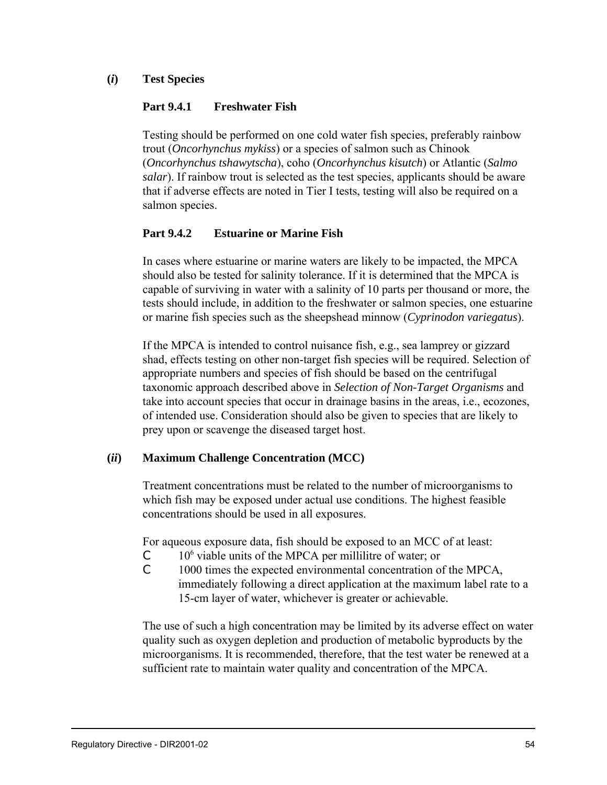**(***i***) Test Species**

#### **Part 9.4.1 Freshwater Fish**

Testing should be performed on one cold water fish species, preferably rainbow trout (*Oncorhynchus mykiss*) or a species of salmon such as Chinook (*Oncorhynchus tshawytscha*), coho (*Oncorhynchus kisutch*) or Atlantic (*Salmo salar*). If rainbow trout is selected as the test species, applicants should be aware that if adverse effects are noted in Tier I tests, testing will also be required on a salmon species.

### **Part 9.4.2 Estuarine or Marine Fish**

In cases where estuarine or marine waters are likely to be impacted, the MPCA should also be tested for salinity tolerance. If it is determined that the MPCA is capable of surviving in water with a salinity of 10 parts per thousand or more, the tests should include, in addition to the freshwater or salmon species, one estuarine or marine fish species such as the sheepshead minnow (*Cyprinodon variegatus*).

If the MPCA is intended to control nuisance fish, e.g., sea lamprey or gizzard shad, effects testing on other non-target fish species will be required. Selection of appropriate numbers and species of fish should be based on the centrifugal taxonomic approach described above in *Selection of Non-Target Organisms* and take into account species that occur in drainage basins in the areas, i.e., ecozones, of intended use. Consideration should also be given to species that are likely to prey upon or scavenge the diseased target host.

### **(***ii***) Maximum Challenge Concentration (MCC)**

Treatment concentrations must be related to the number of microorganisms to which fish may be exposed under actual use conditions. The highest feasible concentrations should be used in all exposures.

For aqueous exposure data, fish should be exposed to an MCC of at least:

- $C = 10<sup>6</sup>$  viable units of the MPCA per millilitre of water; or
- C 1000 times the expected environmental concentration of the MPCA, immediately following a direct application at the maximum label rate to a 15-cm layer of water, whichever is greater or achievable.

The use of such a high concentration may be limited by its adverse effect on water quality such as oxygen depletion and production of metabolic byproducts by the microorganisms. It is recommended, therefore, that the test water be renewed at a sufficient rate to maintain water quality and concentration of the MPCA.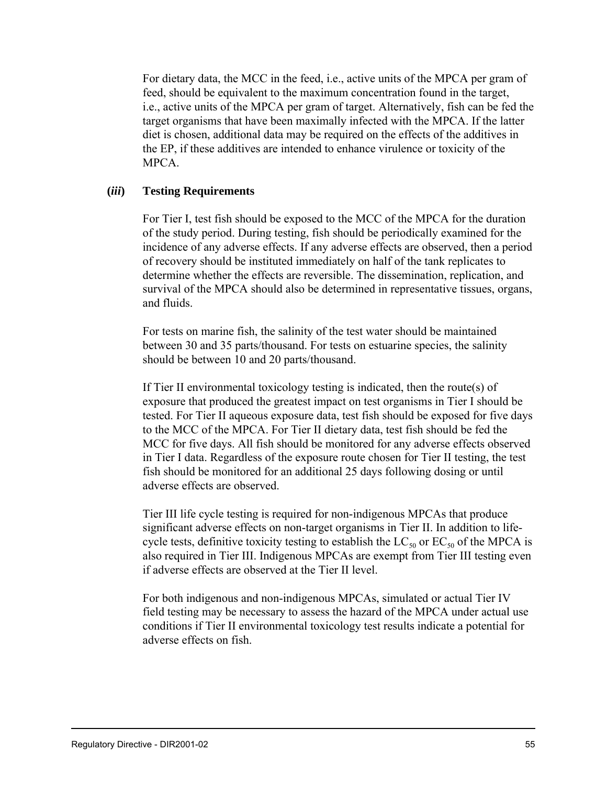For dietary data, the MCC in the feed, i.e., active units of the MPCA per gram of feed, should be equivalent to the maximum concentration found in the target, i.e., active units of the MPCA per gram of target. Alternatively, fish can be fed the target organisms that have been maximally infected with the MPCA. If the latter diet is chosen, additional data may be required on the effects of the additives in the EP, if these additives are intended to enhance virulence or toxicity of the MPCA.

#### **(***iii***) Testing Requirements**

For Tier I, test fish should be exposed to the MCC of the MPCA for the duration of the study period. During testing, fish should be periodically examined for the incidence of any adverse effects. If any adverse effects are observed, then a period of recovery should be instituted immediately on half of the tank replicates to determine whether the effects are reversible. The dissemination, replication, and survival of the MPCA should also be determined in representative tissues, organs, and fluids.

For tests on marine fish, the salinity of the test water should be maintained between 30 and 35 parts/thousand. For tests on estuarine species, the salinity should be between 10 and 20 parts/thousand.

If Tier II environmental toxicology testing is indicated, then the route(s) of exposure that produced the greatest impact on test organisms in Tier I should be tested. For Tier II aqueous exposure data, test fish should be exposed for five days to the MCC of the MPCA. For Tier II dietary data, test fish should be fed the MCC for five days. All fish should be monitored for any adverse effects observed in Tier I data. Regardless of the exposure route chosen for Tier II testing, the test fish should be monitored for an additional 25 days following dosing or until adverse effects are observed.

Tier III life cycle testing is required for non-indigenous MPCAs that produce significant adverse effects on non-target organisms in Tier II. In addition to lifecycle tests, definitive toxicity testing to establish the  $LC_{50}$  or  $EC_{50}$  of the MPCA is also required in Tier III. Indigenous MPCAs are exempt from Tier III testing even if adverse effects are observed at the Tier II level.

For both indigenous and non-indigenous MPCAs, simulated or actual Tier IV field testing may be necessary to assess the hazard of the MPCA under actual use conditions if Tier II environmental toxicology test results indicate a potential for adverse effects on fish.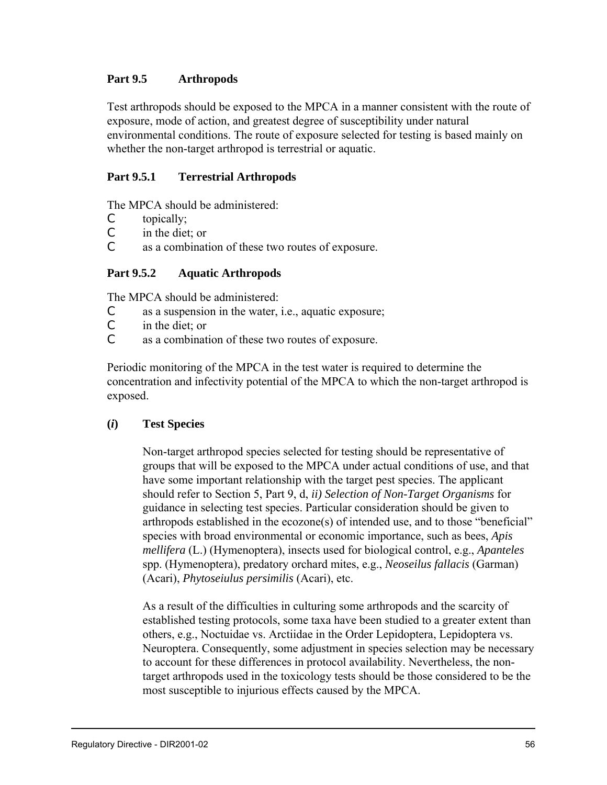## **Part 9.5 Arthropods**

Test arthropods should be exposed to the MPCA in a manner consistent with the route of exposure, mode of action, and greatest degree of susceptibility under natural environmental conditions. The route of exposure selected for testing is based mainly on whether the non-target arthropod is terrestrial or aquatic.

# **Part 9.5.1 Terrestrial Arthropods**

The MPCA should be administered:

- C topically;
- C in the diet; or
- C as a combination of these two routes of exposure.

### **Part 9.5.2 Aquatic Arthropods**

The MPCA should be administered:

- C as a suspension in the water, i.e., aquatic exposure;
- C in the diet; or
- C as a combination of these two routes of exposure.

Periodic monitoring of the MPCA in the test water is required to determine the concentration and infectivity potential of the MPCA to which the non-target arthropod is exposed.

### **(***i***) Test Species**

Non-target arthropod species selected for testing should be representative of groups that will be exposed to the MPCA under actual conditions of use, and that have some important relationship with the target pest species. The applicant should refer to Section 5, Part 9, d, *ii) Selection of Non-Target Organisms* for guidance in selecting test species. Particular consideration should be given to arthropods established in the ecozone(s) of intended use, and to those "beneficial" species with broad environmental or economic importance, such as bees, *Apis mellifera* (L.) (Hymenoptera), insects used for biological control, e.g., *Apanteles* spp. (Hymenoptera), predatory orchard mites, e.g., *Neoseilus fallacis* (Garman) (Acari), *Phytoseiulus persimilis* (Acari), etc.

As a result of the difficulties in culturing some arthropods and the scarcity of established testing protocols, some taxa have been studied to a greater extent than others, e.g., Noctuidae vs. Arctiidae in the Order Lepidoptera, Lepidoptera vs. Neuroptera. Consequently, some adjustment in species selection may be necessary to account for these differences in protocol availability. Nevertheless, the nontarget arthropods used in the toxicology tests should be those considered to be the most susceptible to injurious effects caused by the MPCA.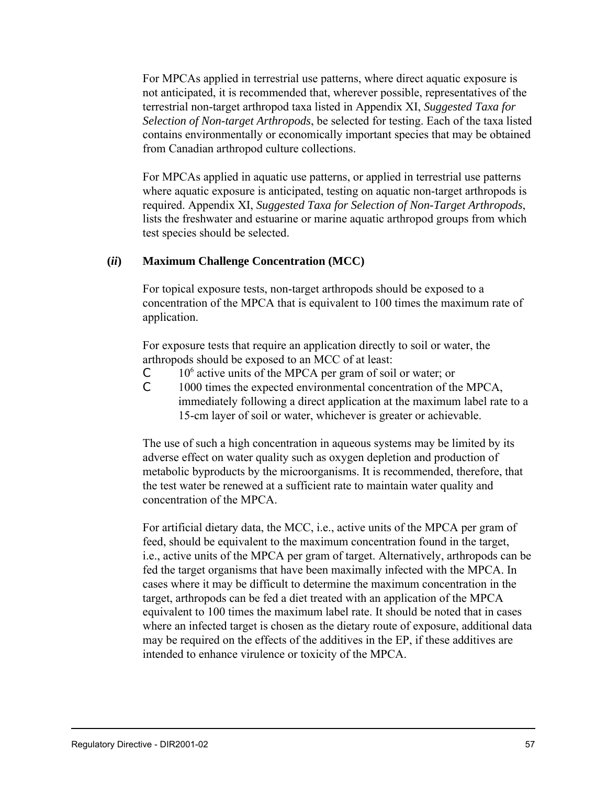For MPCAs applied in terrestrial use patterns, where direct aquatic exposure is not anticipated, it is recommended that, wherever possible, representatives of the terrestrial non-target arthropod taxa listed in Appendix XI, *Suggested Taxa for Selection of Non-target Arthropods*, be selected for testing. Each of the taxa listed contains environmentally or economically important species that may be obtained from Canadian arthropod culture collections.

For MPCAs applied in aquatic use patterns, or applied in terrestrial use patterns where aquatic exposure is anticipated, testing on aquatic non-target arthropods is required. Appendix XI, *Suggested Taxa for Selection of Non-Target Arthropods*, lists the freshwater and estuarine or marine aquatic arthropod groups from which test species should be selected.

#### **(***ii***) Maximum Challenge Concentration (MCC)**

For topical exposure tests, non-target arthropods should be exposed to a concentration of the MPCA that is equivalent to 100 times the maximum rate of application.

For exposure tests that require an application directly to soil or water, the arthropods should be exposed to an MCC of at least:

- $C = 10<sup>6</sup>$  active units of the MPCA per gram of soil or water; or
- C 1000 times the expected environmental concentration of the MPCA, immediately following a direct application at the maximum label rate to a 15-cm layer of soil or water, whichever is greater or achievable.

The use of such a high concentration in aqueous systems may be limited by its adverse effect on water quality such as oxygen depletion and production of metabolic byproducts by the microorganisms. It is recommended, therefore, that the test water be renewed at a sufficient rate to maintain water quality and concentration of the MPCA.

For artificial dietary data, the MCC, i.e., active units of the MPCA per gram of feed, should be equivalent to the maximum concentration found in the target, i.e., active units of the MPCA per gram of target. Alternatively, arthropods can be fed the target organisms that have been maximally infected with the MPCA. In cases where it may be difficult to determine the maximum concentration in the target, arthropods can be fed a diet treated with an application of the MPCA equivalent to 100 times the maximum label rate. It should be noted that in cases where an infected target is chosen as the dietary route of exposure, additional data may be required on the effects of the additives in the EP, if these additives are intended to enhance virulence or toxicity of the MPCA.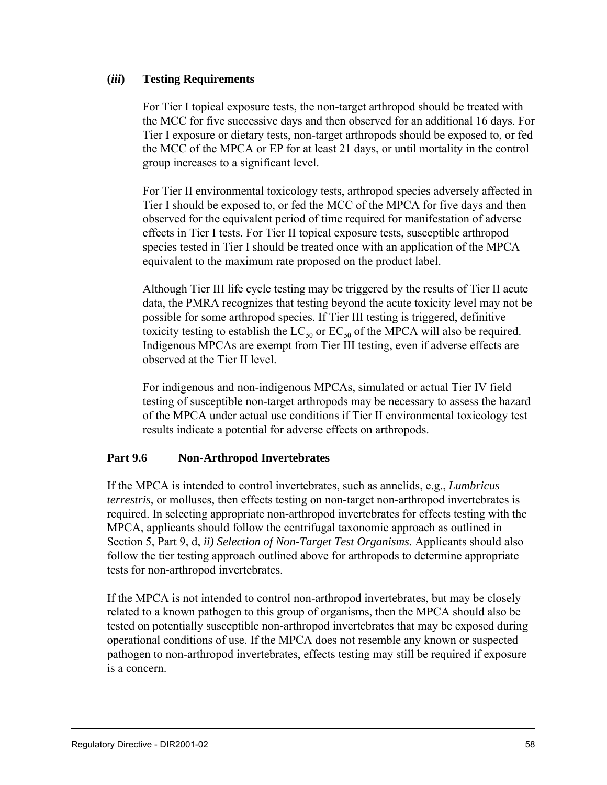#### **(***iii***) Testing Requirements**

For Tier I topical exposure tests, the non-target arthropod should be treated with the MCC for five successive days and then observed for an additional 16 days. For Tier I exposure or dietary tests, non-target arthropods should be exposed to, or fed the MCC of the MPCA or EP for at least 21 days, or until mortality in the control group increases to a significant level.

For Tier II environmental toxicology tests, arthropod species adversely affected in Tier I should be exposed to, or fed the MCC of the MPCA for five days and then observed for the equivalent period of time required for manifestation of adverse effects in Tier I tests. For Tier II topical exposure tests, susceptible arthropod species tested in Tier I should be treated once with an application of the MPCA equivalent to the maximum rate proposed on the product label.

Although Tier III life cycle testing may be triggered by the results of Tier II acute data, the PMRA recognizes that testing beyond the acute toxicity level may not be possible for some arthropod species. If Tier III testing is triggered, definitive toxicity testing to establish the  $LC_{50}$  or  $EC_{50}$  of the MPCA will also be required. Indigenous MPCAs are exempt from Tier III testing, even if adverse effects are observed at the Tier II level.

For indigenous and non-indigenous MPCAs, simulated or actual Tier IV field testing of susceptible non-target arthropods may be necessary to assess the hazard of the MPCA under actual use conditions if Tier II environmental toxicology test results indicate a potential for adverse effects on arthropods.

### **Part 9.6 Non-Arthropod Invertebrates**

If the MPCA is intended to control invertebrates, such as annelids, e.g., *Lumbricus terrestris*, or molluscs, then effects testing on non-target non-arthropod invertebrates is required. In selecting appropriate non-arthropod invertebrates for effects testing with the MPCA, applicants should follow the centrifugal taxonomic approach as outlined in Section 5, Part 9, d, *ii) Selection of Non-Target Test Organisms*. Applicants should also follow the tier testing approach outlined above for arthropods to determine appropriate tests for non-arthropod invertebrates.

If the MPCA is not intended to control non-arthropod invertebrates, but may be closely related to a known pathogen to this group of organisms, then the MPCA should also be tested on potentially susceptible non-arthropod invertebrates that may be exposed during operational conditions of use. If the MPCA does not resemble any known or suspected pathogen to non-arthropod invertebrates, effects testing may still be required if exposure is a concern.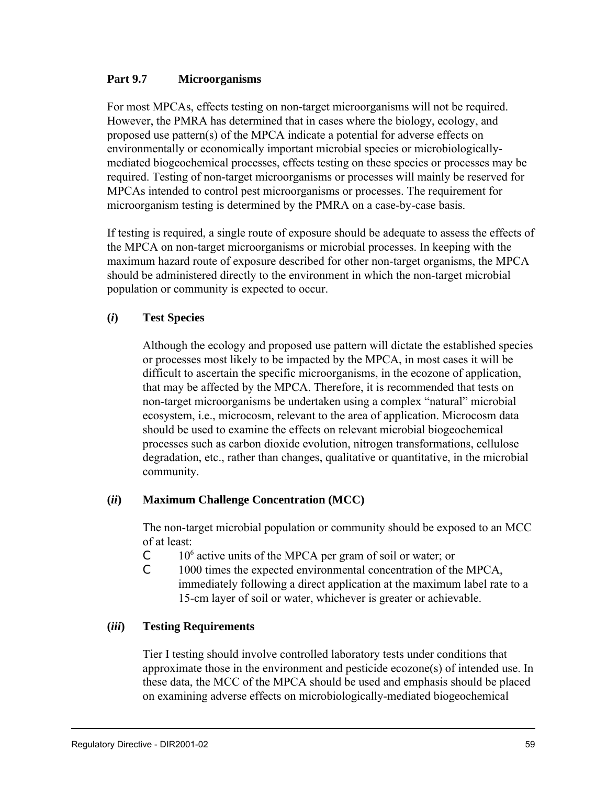#### **Part 9.7 Microorganisms**

For most MPCAs, effects testing on non-target microorganisms will not be required. However, the PMRA has determined that in cases where the biology, ecology, and proposed use pattern(s) of the MPCA indicate a potential for adverse effects on environmentally or economically important microbial species or microbiologicallymediated biogeochemical processes, effects testing on these species or processes may be required. Testing of non-target microorganisms or processes will mainly be reserved for MPCAs intended to control pest microorganisms or processes. The requirement for microorganism testing is determined by the PMRA on a case-by-case basis.

If testing is required, a single route of exposure should be adequate to assess the effects of the MPCA on non-target microorganisms or microbial processes. In keeping with the maximum hazard route of exposure described for other non-target organisms, the MPCA should be administered directly to the environment in which the non-target microbial population or community is expected to occur.

#### **(***i***) Test Species**

Although the ecology and proposed use pattern will dictate the established species or processes most likely to be impacted by the MPCA, in most cases it will be difficult to ascertain the specific microorganisms, in the ecozone of application, that may be affected by the MPCA. Therefore, it is recommended that tests on non-target microorganisms be undertaken using a complex "natural" microbial ecosystem, i.e., microcosm, relevant to the area of application. Microcosm data should be used to examine the effects on relevant microbial biogeochemical processes such as carbon dioxide evolution, nitrogen transformations, cellulose degradation, etc., rather than changes, qualitative or quantitative, in the microbial community.

#### **(***ii***) Maximum Challenge Concentration (MCC)**

The non-target microbial population or community should be exposed to an MCC of at least:

- $C = 10<sup>6</sup>$  active units of the MPCA per gram of soil or water; or
- C 1000 times the expected environmental concentration of the MPCA, immediately following a direct application at the maximum label rate to a 15-cm layer of soil or water, whichever is greater or achievable.

#### **(***iii***) Testing Requirements**

Tier I testing should involve controlled laboratory tests under conditions that approximate those in the environment and pesticide ecozone(s) of intended use. In these data, the MCC of the MPCA should be used and emphasis should be placed on examining adverse effects on microbiologically-mediated biogeochemical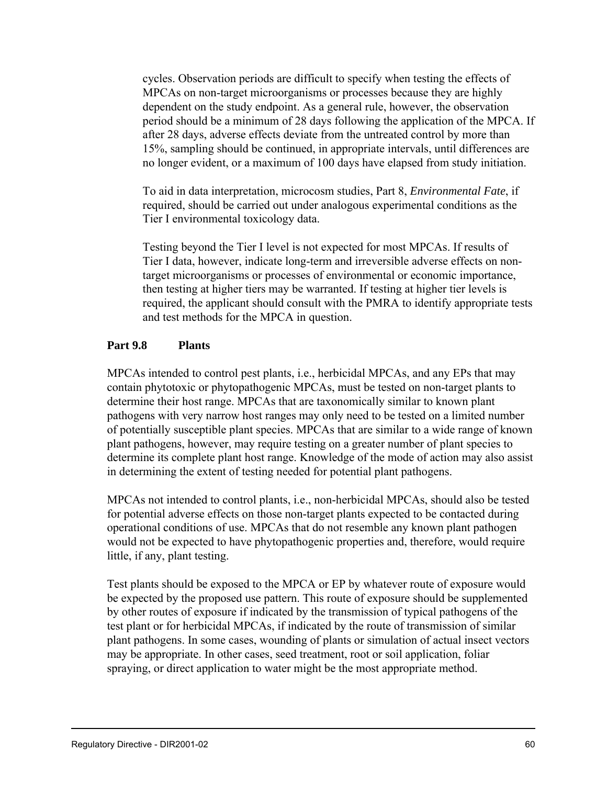cycles. Observation periods are difficult to specify when testing the effects of MPCAs on non-target microorganisms or processes because they are highly dependent on the study endpoint. As a general rule, however, the observation period should be a minimum of 28 days following the application of the MPCA. If after 28 days, adverse effects deviate from the untreated control by more than 15%, sampling should be continued, in appropriate intervals, until differences are no longer evident, or a maximum of 100 days have elapsed from study initiation.

To aid in data interpretation, microcosm studies, Part 8, *Environmental Fate*, if required, should be carried out under analogous experimental conditions as the Tier I environmental toxicology data.

Testing beyond the Tier I level is not expected for most MPCAs. If results of Tier I data, however, indicate long-term and irreversible adverse effects on nontarget microorganisms or processes of environmental or economic importance, then testing at higher tiers may be warranted. If testing at higher tier levels is required, the applicant should consult with the PMRA to identify appropriate tests and test methods for the MPCA in question.

#### **Part 9.8 Plants**

MPCAs intended to control pest plants, i.e., herbicidal MPCAs, and any EPs that may contain phytotoxic or phytopathogenic MPCAs, must be tested on non-target plants to determine their host range. MPCAs that are taxonomically similar to known plant pathogens with very narrow host ranges may only need to be tested on a limited number of potentially susceptible plant species. MPCAs that are similar to a wide range of known plant pathogens, however, may require testing on a greater number of plant species to determine its complete plant host range. Knowledge of the mode of action may also assist in determining the extent of testing needed for potential plant pathogens.

MPCAs not intended to control plants, i.e., non-herbicidal MPCAs, should also be tested for potential adverse effects on those non-target plants expected to be contacted during operational conditions of use. MPCAs that do not resemble any known plant pathogen would not be expected to have phytopathogenic properties and, therefore, would require little, if any, plant testing.

Test plants should be exposed to the MPCA or EP by whatever route of exposure would be expected by the proposed use pattern. This route of exposure should be supplemented by other routes of exposure if indicated by the transmission of typical pathogens of the test plant or for herbicidal MPCAs, if indicated by the route of transmission of similar plant pathogens. In some cases, wounding of plants or simulation of actual insect vectors may be appropriate. In other cases, seed treatment, root or soil application, foliar spraying, or direct application to water might be the most appropriate method.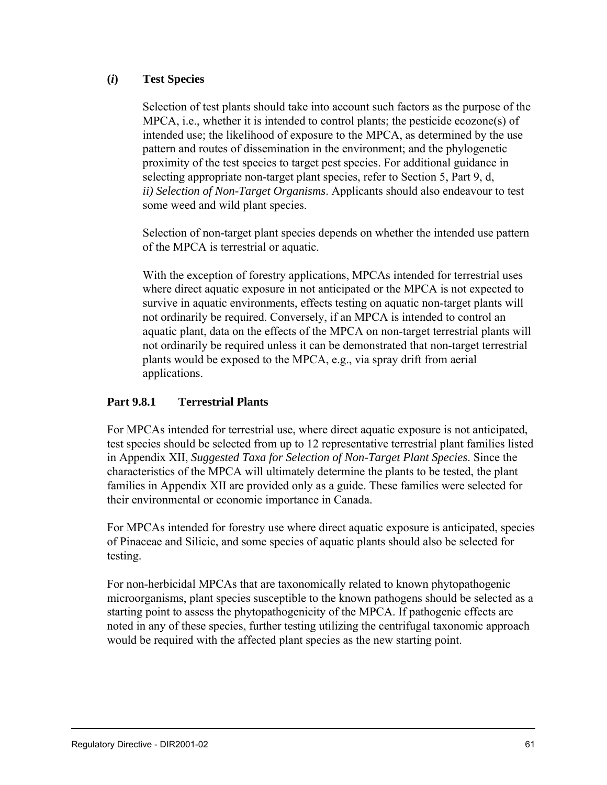## **(***i***) Test Species**

Selection of test plants should take into account such factors as the purpose of the MPCA, i.e., whether it is intended to control plants; the pesticide ecozone(s) of intended use; the likelihood of exposure to the MPCA, as determined by the use pattern and routes of dissemination in the environment; and the phylogenetic proximity of the test species to target pest species. For additional guidance in selecting appropriate non-target plant species, refer to Section 5, Part 9, d, *ii) Selection of Non-Target Organisms*. Applicants should also endeavour to test some weed and wild plant species.

Selection of non-target plant species depends on whether the intended use pattern of the MPCA is terrestrial or aquatic.

With the exception of forestry applications, MPCAs intended for terrestrial uses where direct aquatic exposure in not anticipated or the MPCA is not expected to survive in aquatic environments, effects testing on aquatic non-target plants will not ordinarily be required. Conversely, if an MPCA is intended to control an aquatic plant, data on the effects of the MPCA on non-target terrestrial plants will not ordinarily be required unless it can be demonstrated that non-target terrestrial plants would be exposed to the MPCA, e.g., via spray drift from aerial applications.

### **Part 9.8.1 Terrestrial Plants**

For MPCAs intended for terrestrial use, where direct aquatic exposure is not anticipated, test species should be selected from up to 12 representative terrestrial plant families listed in Appendix XII, *Suggested Taxa for Selection of Non-Target Plant Species*. Since the characteristics of the MPCA will ultimately determine the plants to be tested, the plant families in Appendix XII are provided only as a guide. These families were selected for their environmental or economic importance in Canada.

For MPCAs intended for forestry use where direct aquatic exposure is anticipated, species of Pinaceae and Silicic, and some species of aquatic plants should also be selected for testing.

For non-herbicidal MPCAs that are taxonomically related to known phytopathogenic microorganisms, plant species susceptible to the known pathogens should be selected as a starting point to assess the phytopathogenicity of the MPCA. If pathogenic effects are noted in any of these species, further testing utilizing the centrifugal taxonomic approach would be required with the affected plant species as the new starting point.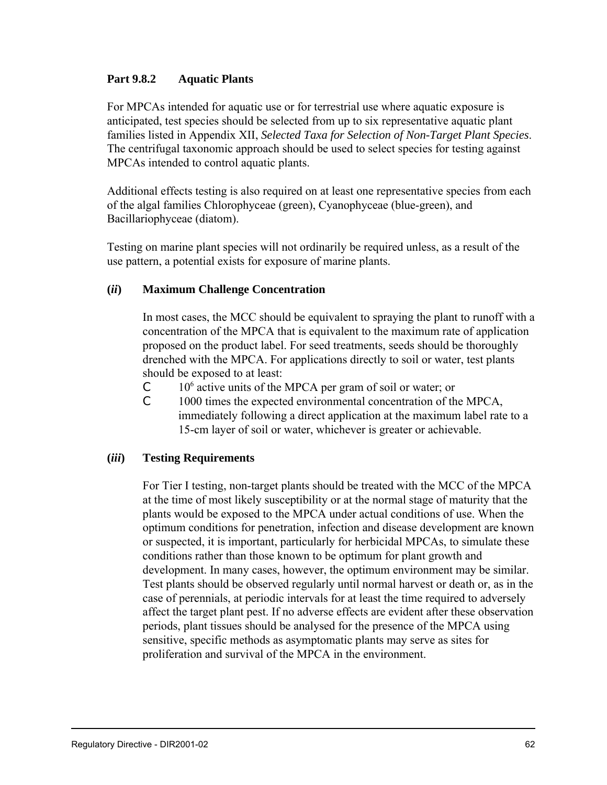#### **Part 9.8.2 Aquatic Plants**

For MPCAs intended for aquatic use or for terrestrial use where aquatic exposure is anticipated, test species should be selected from up to six representative aquatic plant families listed in Appendix XII, *Selected Taxa for Selection of Non-Target Plant Species*. The centrifugal taxonomic approach should be used to select species for testing against MPCAs intended to control aquatic plants.

Additional effects testing is also required on at least one representative species from each of the algal families Chlorophyceae (green), Cyanophyceae (blue-green), and Bacillariophyceae (diatom).

Testing on marine plant species will not ordinarily be required unless, as a result of the use pattern, a potential exists for exposure of marine plants.

#### **(***ii***) Maximum Challenge Concentration**

In most cases, the MCC should be equivalent to spraying the plant to runoff with a concentration of the MPCA that is equivalent to the maximum rate of application proposed on the product label. For seed treatments, seeds should be thoroughly drenched with the MPCA. For applications directly to soil or water, test plants should be exposed to at least:

- $C = 10<sup>6</sup>$  active units of the MPCA per gram of soil or water; or
- C 1000 times the expected environmental concentration of the MPCA, immediately following a direct application at the maximum label rate to a 15-cm layer of soil or water, whichever is greater or achievable.

#### **(***iii***) Testing Requirements**

For Tier I testing, non-target plants should be treated with the MCC of the MPCA at the time of most likely susceptibility or at the normal stage of maturity that the plants would be exposed to the MPCA under actual conditions of use. When the optimum conditions for penetration, infection and disease development are known or suspected, it is important, particularly for herbicidal MPCAs, to simulate these conditions rather than those known to be optimum for plant growth and development. In many cases, however, the optimum environment may be similar. Test plants should be observed regularly until normal harvest or death or, as in the case of perennials, at periodic intervals for at least the time required to adversely affect the target plant pest. If no adverse effects are evident after these observation periods, plant tissues should be analysed for the presence of the MPCA using sensitive, specific methods as asymptomatic plants may serve as sites for proliferation and survival of the MPCA in the environment.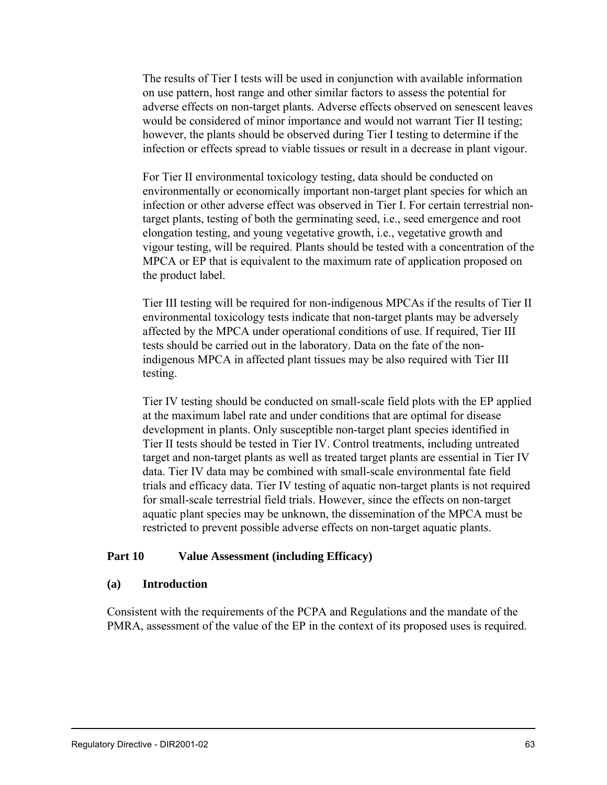The results of Tier I tests will be used in conjunction with available information on use pattern, host range and other similar factors to assess the potential for adverse effects on non-target plants. Adverse effects observed on senescent leaves would be considered of minor importance and would not warrant Tier II testing; however, the plants should be observed during Tier I testing to determine if the infection or effects spread to viable tissues or result in a decrease in plant vigour.

For Tier II environmental toxicology testing, data should be conducted on environmentally or economically important non-target plant species for which an infection or other adverse effect was observed in Tier I. For certain terrestrial nontarget plants, testing of both the germinating seed, i.e., seed emergence and root elongation testing, and young vegetative growth, i.e., vegetative growth and vigour testing, will be required. Plants should be tested with a concentration of the MPCA or EP that is equivalent to the maximum rate of application proposed on the product label.

Tier III testing will be required for non-indigenous MPCAs if the results of Tier II environmental toxicology tests indicate that non-target plants may be adversely affected by the MPCA under operational conditions of use. If required, Tier III tests should be carried out in the laboratory. Data on the fate of the nonindigenous MPCA in affected plant tissues may be also required with Tier III testing.

Tier IV testing should be conducted on small-scale field plots with the EP applied at the maximum label rate and under conditions that are optimal for disease development in plants. Only susceptible non-target plant species identified in Tier II tests should be tested in Tier IV. Control treatments, including untreated target and non-target plants as well as treated target plants are essential in Tier IV data. Tier IV data may be combined with small-scale environmental fate field trials and efficacy data. Tier IV testing of aquatic non-target plants is not required for small-scale terrestrial field trials. However, since the effects on non-target aquatic plant species may be unknown, the dissemination of the MPCA must be restricted to prevent possible adverse effects on non-target aquatic plants.

### **Part 10 Value Assessment (including Efficacy)**

#### **(a) Introduction**

Consistent with the requirements of the PCPA and Regulations and the mandate of the PMRA, assessment of the value of the EP in the context of its proposed uses is required.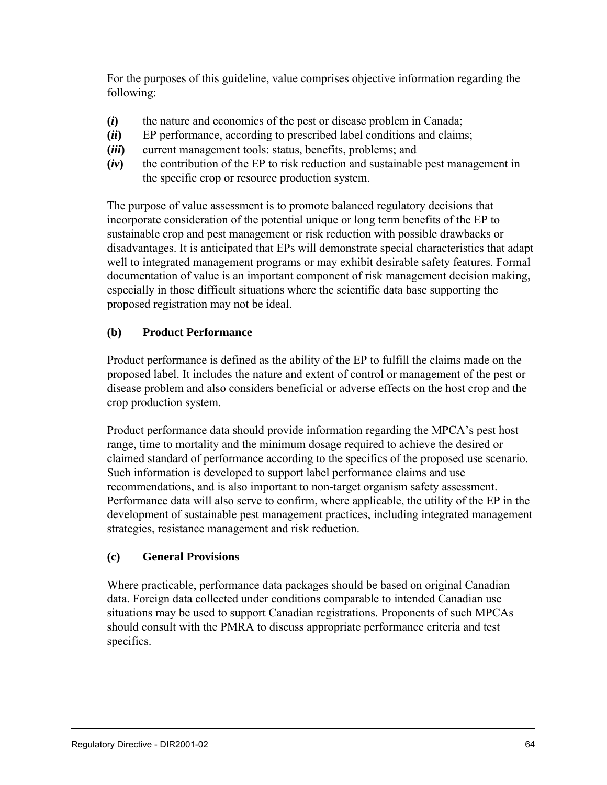For the purposes of this guideline, value comprises objective information regarding the following:

- **(***i***)** the nature and economics of the pest or disease problem in Canada;
- **(***ii***)** EP performance, according to prescribed label conditions and claims;
- **(***iii***)** current management tools: status, benefits, problems; and
- **(***iv***)** the contribution of the EP to risk reduction and sustainable pest management in the specific crop or resource production system.

The purpose of value assessment is to promote balanced regulatory decisions that incorporate consideration of the potential unique or long term benefits of the EP to sustainable crop and pest management or risk reduction with possible drawbacks or disadvantages. It is anticipated that EPs will demonstrate special characteristics that adapt well to integrated management programs or may exhibit desirable safety features. Formal documentation of value is an important component of risk management decision making, especially in those difficult situations where the scientific data base supporting the proposed registration may not be ideal.

# **(b) Product Performance**

Product performance is defined as the ability of the EP to fulfill the claims made on the proposed label. It includes the nature and extent of control or management of the pest or disease problem and also considers beneficial or adverse effects on the host crop and the crop production system.

Product performance data should provide information regarding the MPCA's pest host range, time to mortality and the minimum dosage required to achieve the desired or claimed standard of performance according to the specifics of the proposed use scenario. Such information is developed to support label performance claims and use recommendations, and is also important to non-target organism safety assessment. Performance data will also serve to confirm, where applicable, the utility of the EP in the development of sustainable pest management practices, including integrated management strategies, resistance management and risk reduction.

### **(c) General Provisions**

Where practicable, performance data packages should be based on original Canadian data. Foreign data collected under conditions comparable to intended Canadian use situations may be used to support Canadian registrations. Proponents of such MPCAs should consult with the PMRA to discuss appropriate performance criteria and test specifics.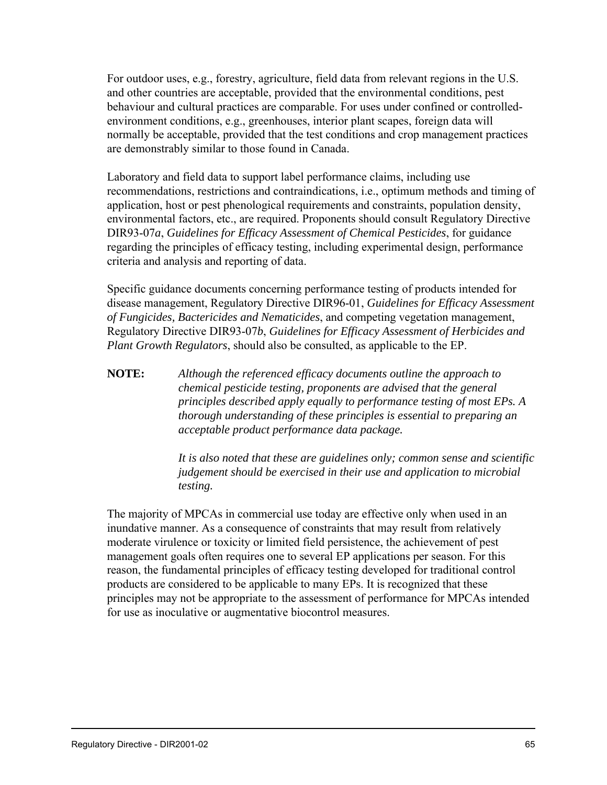For outdoor uses, e.g., forestry, agriculture, field data from relevant regions in the U.S. and other countries are acceptable, provided that the environmental conditions, pest behaviour and cultural practices are comparable. For uses under confined or controlledenvironment conditions, e.g., greenhouses, interior plant scapes, foreign data will normally be acceptable, provided that the test conditions and crop management practices are demonstrably similar to those found in Canada.

Laboratory and field data to support label performance claims, including use recommendations, restrictions and contraindications, i.e., optimum methods and timing of application, host or pest phenological requirements and constraints, population density, environmental factors, etc., are required. Proponents should consult Regulatory Directive DIR93-07*a*, *Guidelines for Efficacy Assessment of Chemical Pesticides*, for guidance regarding the principles of efficacy testing, including experimental design, performance criteria and analysis and reporting of data.

Specific guidance documents concerning performance testing of products intended for disease management, Regulatory Directive DIR96-01, *Guidelines for Efficacy Assessment of Fungicides, Bactericides and Nematicides*, and competing vegetation management, Regulatory Directive DIR93-07*b*, *Guidelines for Efficacy Assessment of Herbicides and Plant Growth Regulators*, should also be consulted, as applicable to the EP.

**NOTE:** *Although the referenced efficacy documents outline the approach to chemical pesticide testing, proponents are advised that the general principles described apply equally to performance testing of most EPs. A thorough understanding of these principles is essential to preparing an acceptable product performance data package.*

> *It is also noted that these are guidelines only; common sense and scientific judgement should be exercised in their use and application to microbial testing.*

The majority of MPCAs in commercial use today are effective only when used in an inundative manner. As a consequence of constraints that may result from relatively moderate virulence or toxicity or limited field persistence, the achievement of pest management goals often requires one to several EP applications per season. For this reason, the fundamental principles of efficacy testing developed for traditional control products are considered to be applicable to many EPs. It is recognized that these principles may not be appropriate to the assessment of performance for MPCAs intended for use as inoculative or augmentative biocontrol measures.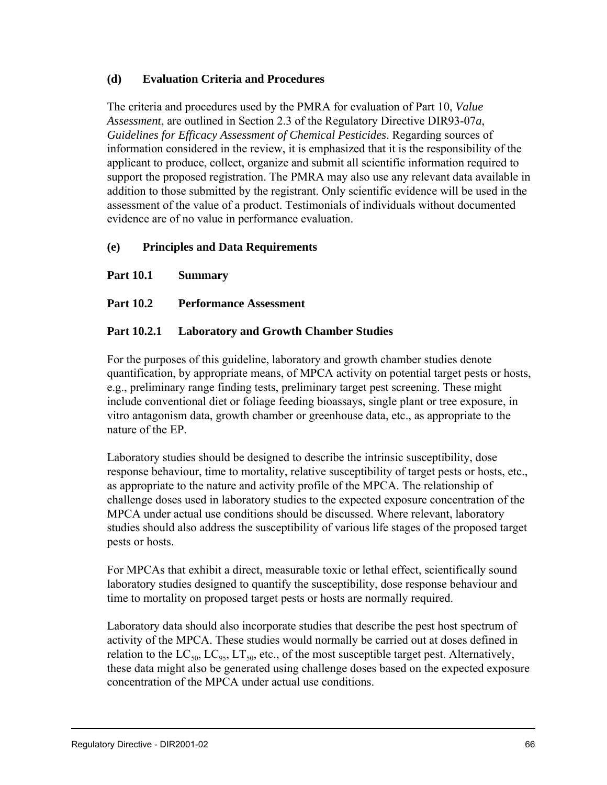# **(d) Evaluation Criteria and Procedures**

The criteria and procedures used by the PMRA for evaluation of Part 10, *Value Assessment*, are outlined in Section 2.3 of the Regulatory Directive DIR93-07*a*, *Guidelines for Efficacy Assessment of Chemical Pesticides*. Regarding sources of information considered in the review, it is emphasized that it is the responsibility of the applicant to produce, collect, organize and submit all scientific information required to support the proposed registration. The PMRA may also use any relevant data available in addition to those submitted by the registrant. Only scientific evidence will be used in the assessment of the value of a product. Testimonials of individuals without documented evidence are of no value in performance evaluation.

# **(e) Principles and Data Requirements**

**Part 10.1 Summary**

# **Part 10.2 Performance Assessment**

# **Part 10.2.1 Laboratory and Growth Chamber Studies**

For the purposes of this guideline, laboratory and growth chamber studies denote quantification, by appropriate means, of MPCA activity on potential target pests or hosts, e.g., preliminary range finding tests, preliminary target pest screening. These might include conventional diet or foliage feeding bioassays, single plant or tree exposure, in vitro antagonism data, growth chamber or greenhouse data, etc., as appropriate to the nature of the EP.

Laboratory studies should be designed to describe the intrinsic susceptibility, dose response behaviour, time to mortality, relative susceptibility of target pests or hosts, etc., as appropriate to the nature and activity profile of the MPCA. The relationship of challenge doses used in laboratory studies to the expected exposure concentration of the MPCA under actual use conditions should be discussed. Where relevant, laboratory studies should also address the susceptibility of various life stages of the proposed target pests or hosts.

For MPCAs that exhibit a direct, measurable toxic or lethal effect, scientifically sound laboratory studies designed to quantify the susceptibility, dose response behaviour and time to mortality on proposed target pests or hosts are normally required.

Laboratory data should also incorporate studies that describe the pest host spectrum of activity of the MPCA. These studies would normally be carried out at doses defined in relation to the  $LC_{50}$ ,  $LC_{95}$ ,  $LT_{50}$ , etc., of the most susceptible target pest. Alternatively, these data might also be generated using challenge doses based on the expected exposure concentration of the MPCA under actual use conditions.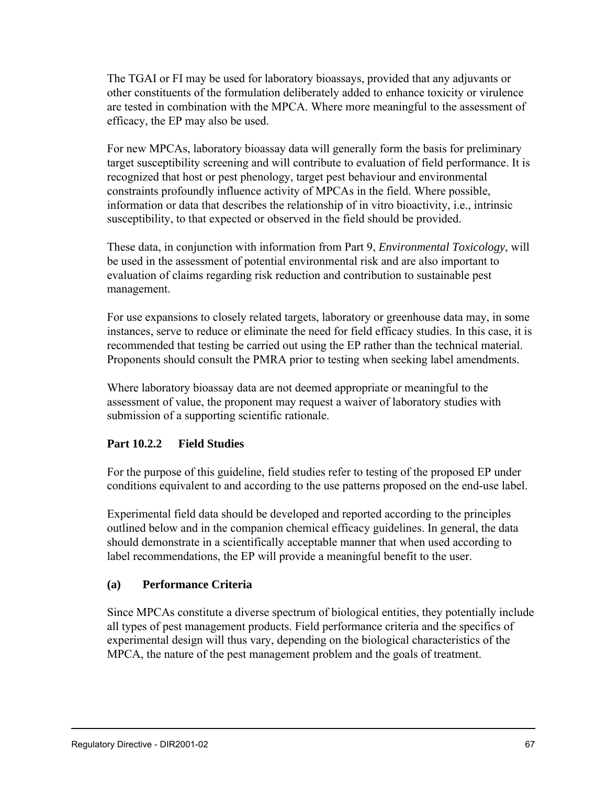The TGAI or FI may be used for laboratory bioassays, provided that any adjuvants or other constituents of the formulation deliberately added to enhance toxicity or virulence are tested in combination with the MPCA. Where more meaningful to the assessment of efficacy, the EP may also be used.

For new MPCAs, laboratory bioassay data will generally form the basis for preliminary target susceptibility screening and will contribute to evaluation of field performance. It is recognized that host or pest phenology, target pest behaviour and environmental constraints profoundly influence activity of MPCAs in the field. Where possible, information or data that describes the relationship of in vitro bioactivity, i.e., intrinsic susceptibility, to that expected or observed in the field should be provided.

These data, in conjunction with information from Part 9, *Environmental Toxicology*, will be used in the assessment of potential environmental risk and are also important to evaluation of claims regarding risk reduction and contribution to sustainable pest management.

For use expansions to closely related targets, laboratory or greenhouse data may, in some instances, serve to reduce or eliminate the need for field efficacy studies. In this case, it is recommended that testing be carried out using the EP rather than the technical material. Proponents should consult the PMRA prior to testing when seeking label amendments.

Where laboratory bioassay data are not deemed appropriate or meaningful to the assessment of value, the proponent may request a waiver of laboratory studies with submission of a supporting scientific rationale.

# **Part 10.2.2 Field Studies**

For the purpose of this guideline, field studies refer to testing of the proposed EP under conditions equivalent to and according to the use patterns proposed on the end-use label.

Experimental field data should be developed and reported according to the principles outlined below and in the companion chemical efficacy guidelines. In general, the data should demonstrate in a scientifically acceptable manner that when used according to label recommendations, the EP will provide a meaningful benefit to the user.

# **(a) Performance Criteria**

Since MPCAs constitute a diverse spectrum of biological entities, they potentially include all types of pest management products. Field performance criteria and the specifics of experimental design will thus vary, depending on the biological characteristics of the MPCA, the nature of the pest management problem and the goals of treatment.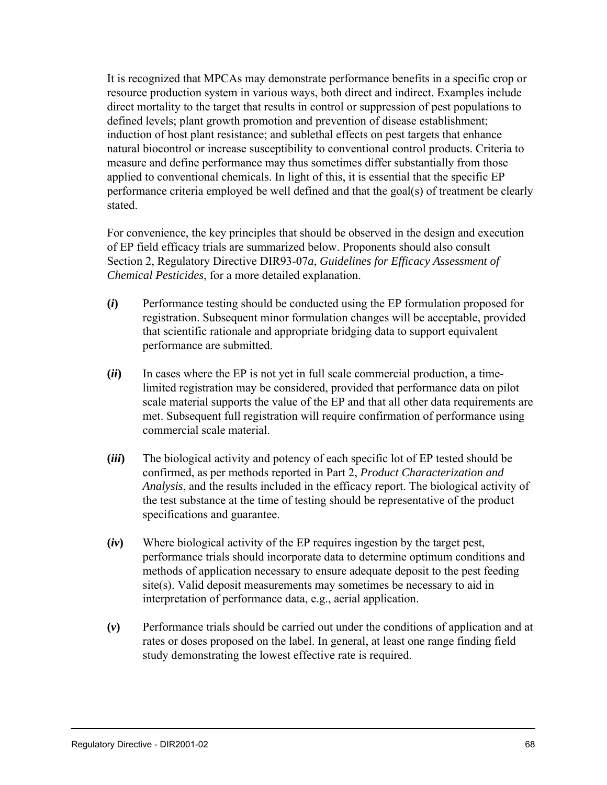It is recognized that MPCAs may demonstrate performance benefits in a specific crop or resource production system in various ways, both direct and indirect. Examples include direct mortality to the target that results in control or suppression of pest populations to defined levels; plant growth promotion and prevention of disease establishment; induction of host plant resistance; and sublethal effects on pest targets that enhance natural biocontrol or increase susceptibility to conventional control products. Criteria to measure and define performance may thus sometimes differ substantially from those applied to conventional chemicals. In light of this, it is essential that the specific EP performance criteria employed be well defined and that the goal(s) of treatment be clearly stated.

For convenience, the key principles that should be observed in the design and execution of EP field efficacy trials are summarized below. Proponents should also consult Section 2, Regulatory Directive DIR93-07*a*, *Guidelines for Efficacy Assessment of Chemical Pesticides*, for a more detailed explanation.

- **(***i***)** Performance testing should be conducted using the EP formulation proposed for registration. Subsequent minor formulation changes will be acceptable, provided that scientific rationale and appropriate bridging data to support equivalent performance are submitted.
- **(***ii***)** In cases where the EP is not yet in full scale commercial production, a timelimited registration may be considered, provided that performance data on pilot scale material supports the value of the EP and that all other data requirements are met. Subsequent full registration will require confirmation of performance using commercial scale material.
- **(***iii***)** The biological activity and potency of each specific lot of EP tested should be confirmed, as per methods reported in Part 2, *Product Characterization and Analysis*, and the results included in the efficacy report. The biological activity of the test substance at the time of testing should be representative of the product specifications and guarantee.
- **(***iv***)** Where biological activity of the EP requires ingestion by the target pest, performance trials should incorporate data to determine optimum conditions and methods of application necessary to ensure adequate deposit to the pest feeding site(s). Valid deposit measurements may sometimes be necessary to aid in interpretation of performance data, e.g., aerial application.
- **(***v***)** Performance trials should be carried out under the conditions of application and at rates or doses proposed on the label. In general, at least one range finding field study demonstrating the lowest effective rate is required.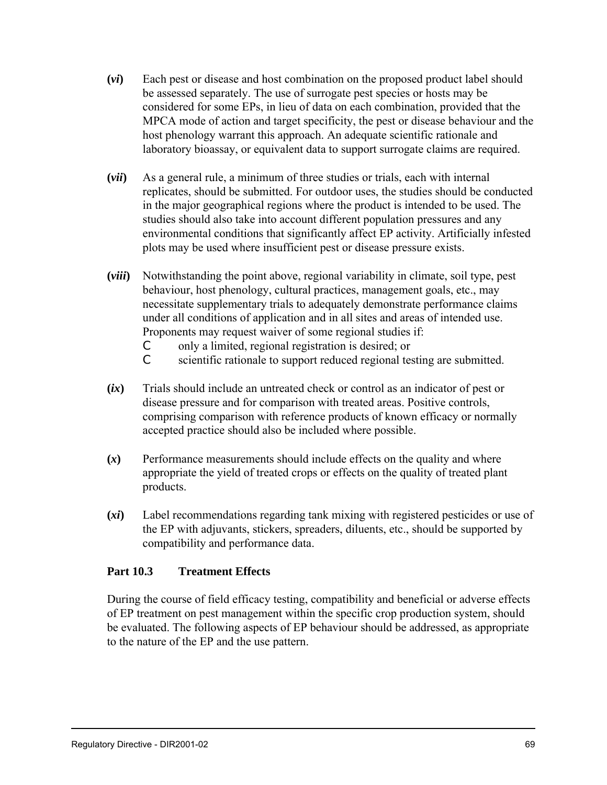- **(***vi***)** Each pest or disease and host combination on the proposed product label should be assessed separately. The use of surrogate pest species or hosts may be considered for some EPs, in lieu of data on each combination, provided that the MPCA mode of action and target specificity, the pest or disease behaviour and the host phenology warrant this approach. An adequate scientific rationale and laboratory bioassay, or equivalent data to support surrogate claims are required.
- **(***vii***)** As a general rule, a minimum of three studies or trials, each with internal replicates, should be submitted. For outdoor uses, the studies should be conducted in the major geographical regions where the product is intended to be used. The studies should also take into account different population pressures and any environmental conditions that significantly affect EP activity. Artificially infested plots may be used where insufficient pest or disease pressure exists.
- **(***viii***)** Notwithstanding the point above, regional variability in climate, soil type, pest behaviour, host phenology, cultural practices, management goals, etc., may necessitate supplementary trials to adequately demonstrate performance claims under all conditions of application and in all sites and areas of intended use. Proponents may request waiver of some regional studies if:
	- C only a limited, regional registration is desired; or
	- C scientific rationale to support reduced regional testing are submitted.
- **(***ix***)** Trials should include an untreated check or control as an indicator of pest or disease pressure and for comparison with treated areas. Positive controls, comprising comparison with reference products of known efficacy or normally accepted practice should also be included where possible.
- **(***x***)** Performance measurements should include effects on the quality and where appropriate the yield of treated crops or effects on the quality of treated plant products.
- **(***xi***)** Label recommendations regarding tank mixing with registered pesticides or use of the EP with adjuvants, stickers, spreaders, diluents, etc., should be supported by compatibility and performance data.

# **Part 10.3 Treatment Effects**

During the course of field efficacy testing, compatibility and beneficial or adverse effects of EP treatment on pest management within the specific crop production system, should be evaluated. The following aspects of EP behaviour should be addressed, as appropriate to the nature of the EP and the use pattern.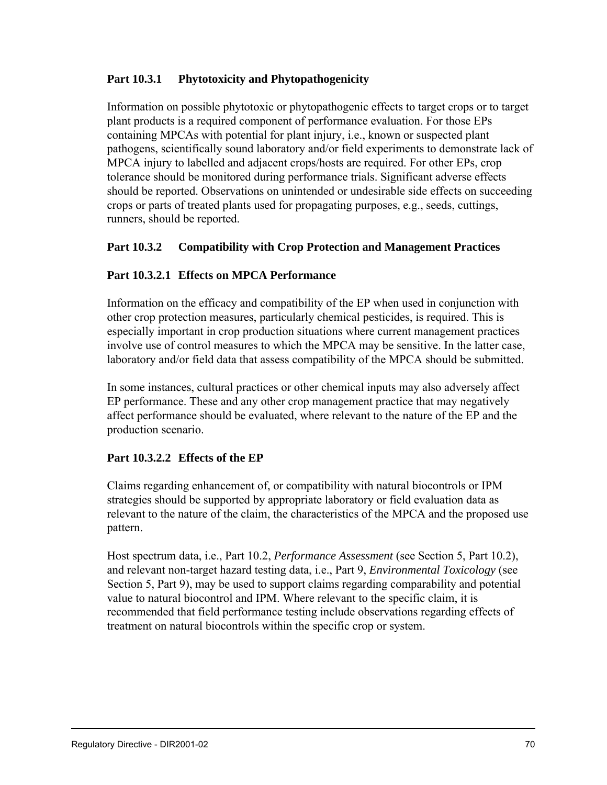# **Part 10.3.1 Phytotoxicity and Phytopathogenicity**

Information on possible phytotoxic or phytopathogenic effects to target crops or to target plant products is a required component of performance evaluation. For those EPs containing MPCAs with potential for plant injury, i.e., known or suspected plant pathogens, scientifically sound laboratory and/or field experiments to demonstrate lack of MPCA injury to labelled and adjacent crops/hosts are required. For other EPs, crop tolerance should be monitored during performance trials. Significant adverse effects should be reported. Observations on unintended or undesirable side effects on succeeding crops or parts of treated plants used for propagating purposes, e.g., seeds, cuttings, runners, should be reported.

# **Part 10.3.2 Compatibility with Crop Protection and Management Practices**

# **Part 10.3.2.1 Effects on MPCA Performance**

Information on the efficacy and compatibility of the EP when used in conjunction with other crop protection measures, particularly chemical pesticides, is required. This is especially important in crop production situations where current management practices involve use of control measures to which the MPCA may be sensitive. In the latter case, laboratory and/or field data that assess compatibility of the MPCA should be submitted.

In some instances, cultural practices or other chemical inputs may also adversely affect EP performance. These and any other crop management practice that may negatively affect performance should be evaluated, where relevant to the nature of the EP and the production scenario.

# **Part 10.3.2.2 Effects of the EP**

Claims regarding enhancement of, or compatibility with natural biocontrols or IPM strategies should be supported by appropriate laboratory or field evaluation data as relevant to the nature of the claim, the characteristics of the MPCA and the proposed use pattern.

Host spectrum data, i.e., Part 10.2, *Performance Assessment* (see Section 5, Part 10.2), and relevant non-target hazard testing data, i.e., Part 9, *Environmental Toxicology* (see Section 5, Part 9), may be used to support claims regarding comparability and potential value to natural biocontrol and IPM. Where relevant to the specific claim, it is recommended that field performance testing include observations regarding effects of treatment on natural biocontrols within the specific crop or system.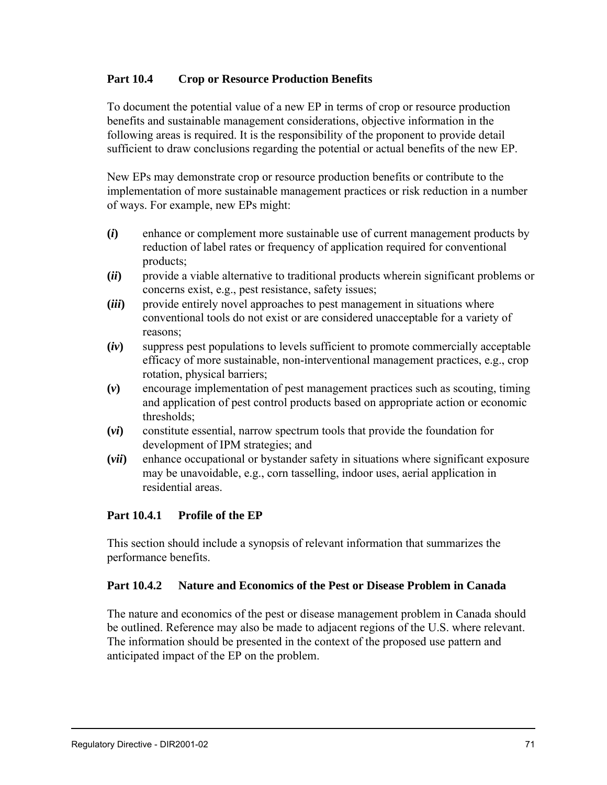# **Part 10.4 Crop or Resource Production Benefits**

To document the potential value of a new EP in terms of crop or resource production benefits and sustainable management considerations, objective information in the following areas is required. It is the responsibility of the proponent to provide detail sufficient to draw conclusions regarding the potential or actual benefits of the new EP.

New EPs may demonstrate crop or resource production benefits or contribute to the implementation of more sustainable management practices or risk reduction in a number of ways. For example, new EPs might:

- **(***i***)** enhance or complement more sustainable use of current management products by reduction of label rates or frequency of application required for conventional products;
- **(***ii***)** provide a viable alternative to traditional products wherein significant problems or concerns exist, e.g., pest resistance, safety issues;
- **(***iii***)** provide entirely novel approaches to pest management in situations where conventional tools do not exist or are considered unacceptable for a variety of reasons;
- **(***iv***)** suppress pest populations to levels sufficient to promote commercially acceptable efficacy of more sustainable, non-interventional management practices, e.g., crop rotation, physical barriers;
- **(***v***)** encourage implementation of pest management practices such as scouting, timing and application of pest control products based on appropriate action or economic thresholds;
- **(***vi***)** constitute essential, narrow spectrum tools that provide the foundation for development of IPM strategies; and
- **(***vii***)** enhance occupational or bystander safety in situations where significant exposure may be unavoidable, e.g., corn tasselling, indoor uses, aerial application in residential areas.

# **Part 10.4.1 Profile of the EP**

This section should include a synopsis of relevant information that summarizes the performance benefits.

# **Part 10.4.2 Nature and Economics of the Pest or Disease Problem in Canada**

The nature and economics of the pest or disease management problem in Canada should be outlined. Reference may also be made to adjacent regions of the U.S. where relevant. The information should be presented in the context of the proposed use pattern and anticipated impact of the EP on the problem.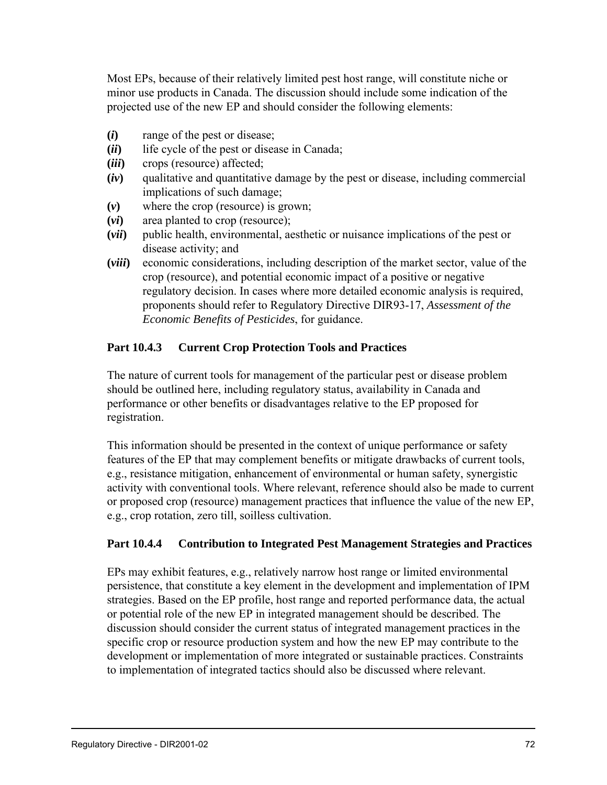Most EPs, because of their relatively limited pest host range, will constitute niche or minor use products in Canada. The discussion should include some indication of the projected use of the new EP and should consider the following elements:

- **(***i***)** range of the pest or disease;
- **(***ii***)** life cycle of the pest or disease in Canada;
- **(***iii***)** crops (resource) affected;
- **(***iv***)** qualitative and quantitative damage by the pest or disease, including commercial implications of such damage;
- **(***v***)** where the crop (resource) is grown;
- **(***vi***)** area planted to crop (resource);
- **(***vii***)** public health, environmental, aesthetic or nuisance implications of the pest or disease activity; and
- **(***viii***)** economic considerations, including description of the market sector, value of the crop (resource), and potential economic impact of a positive or negative regulatory decision. In cases where more detailed economic analysis is required, proponents should refer to Regulatory Directive DIR93-17, *Assessment of the Economic Benefits of Pesticides*, for guidance.

# **Part 10.4.3 Current Crop Protection Tools and Practices**

The nature of current tools for management of the particular pest or disease problem should be outlined here, including regulatory status, availability in Canada and performance or other benefits or disadvantages relative to the EP proposed for registration.

This information should be presented in the context of unique performance or safety features of the EP that may complement benefits or mitigate drawbacks of current tools, e.g., resistance mitigation, enhancement of environmental or human safety, synergistic activity with conventional tools. Where relevant, reference should also be made to current or proposed crop (resource) management practices that influence the value of the new EP, e.g., crop rotation, zero till, soilless cultivation.

#### **Part 10.4.4 Contribution to Integrated Pest Management Strategies and Practices**

EPs may exhibit features, e.g., relatively narrow host range or limited environmental persistence, that constitute a key element in the development and implementation of IPM strategies. Based on the EP profile, host range and reported performance data, the actual or potential role of the new EP in integrated management should be described. The discussion should consider the current status of integrated management practices in the specific crop or resource production system and how the new EP may contribute to the development or implementation of more integrated or sustainable practices. Constraints to implementation of integrated tactics should also be discussed where relevant.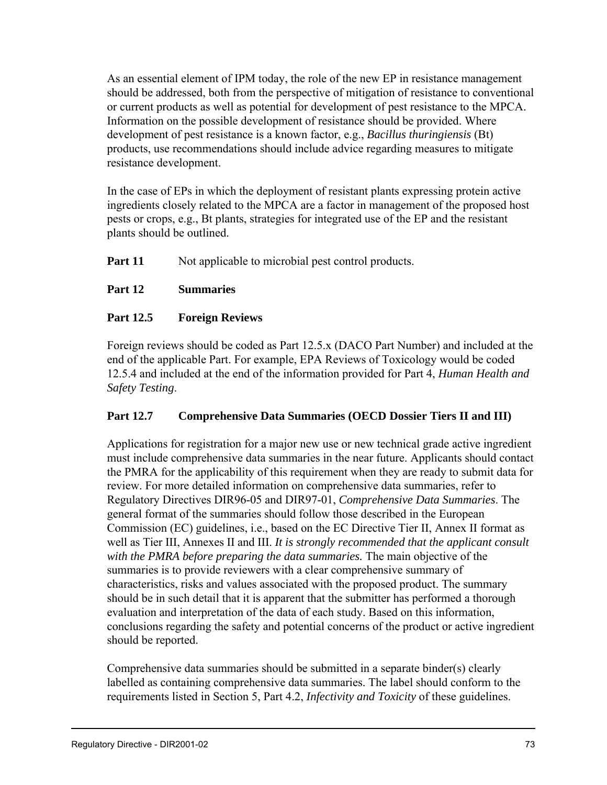As an essential element of IPM today, the role of the new EP in resistance management should be addressed, both from the perspective of mitigation of resistance to conventional or current products as well as potential for development of pest resistance to the MPCA. Information on the possible development of resistance should be provided. Where development of pest resistance is a known factor, e.g., *Bacillus thuringiensis* (Bt) products, use recommendations should include advice regarding measures to mitigate resistance development.

In the case of EPs in which the deployment of resistant plants expressing protein active ingredients closely related to the MPCA are a factor in management of the proposed host pests or crops, e.g., Bt plants, strategies for integrated use of the EP and the resistant plants should be outlined.

**Part 11** Not applicable to microbial pest control products.

# **Part 12 Summaries**

# **Part 12.5 Foreign Reviews**

Foreign reviews should be coded as Part 12.5.x (DACO Part Number) and included at the end of the applicable Part. For example, EPA Reviews of Toxicology would be coded 12.5.4 and included at the end of the information provided for Part 4, *Human Health and Safety Testing*.

# **Part 12.7 Comprehensive Data Summaries (OECD Dossier Tiers II and III)**

Applications for registration for a major new use or new technical grade active ingredient must include comprehensive data summaries in the near future. Applicants should contact the PMRA for the applicability of this requirement when they are ready to submit data for review. For more detailed information on comprehensive data summaries, refer to Regulatory Directives DIR96-05 and DIR97-01, *Comprehensive Data Summaries*. The general format of the summaries should follow those described in the European Commission (EC) guidelines, i.e., based on the EC Directive Tier II, Annex II format as well as Tier III, Annexes II and III. *It is strongly recommended that the applicant consult with the PMRA before preparing the data summaries.* The main objective of the summaries is to provide reviewers with a clear comprehensive summary of characteristics, risks and values associated with the proposed product. The summary should be in such detail that it is apparent that the submitter has performed a thorough evaluation and interpretation of the data of each study. Based on this information, conclusions regarding the safety and potential concerns of the product or active ingredient should be reported.

Comprehensive data summaries should be submitted in a separate binder(s) clearly labelled as containing comprehensive data summaries. The label should conform to the requirements listed in Section 5, Part 4.2, *Infectivity and Toxicity* of these guidelines.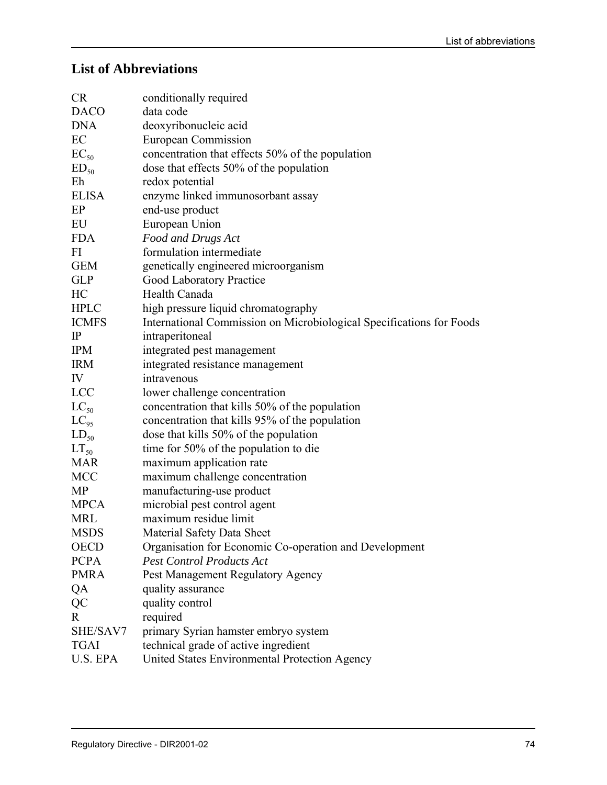# **List of Abbreviations**

| <b>CR</b>        | conditionally required                                               |
|------------------|----------------------------------------------------------------------|
| <b>DACO</b>      | data code                                                            |
| <b>DNA</b>       | deoxyribonucleic acid                                                |
| EC               | European Commission                                                  |
| $EC_{50}$        | concentration that effects 50% of the population                     |
| ED <sub>50</sub> | dose that effects 50% of the population                              |
| Eh               | redox potential                                                      |
| <b>ELISA</b>     | enzyme linked immunosorbant assay                                    |
| EP               | end-use product                                                      |
| EU               | European Union                                                       |
| <b>FDA</b>       | Food and Drugs Act                                                   |
| FI               | formulation intermediate                                             |
| <b>GEM</b>       | genetically engineered microorganism                                 |
| <b>GLP</b>       | <b>Good Laboratory Practice</b>                                      |
| HC               | Health Canada                                                        |
| <b>HPLC</b>      | high pressure liquid chromatography                                  |
| <b>ICMFS</b>     | International Commission on Microbiological Specifications for Foods |
| $\mathbb{P}$     | intraperitoneal                                                      |
| <b>IPM</b>       | integrated pest management                                           |
| <b>IRM</b>       | integrated resistance management                                     |
| IV               | intravenous                                                          |
| <b>LCC</b>       | lower challenge concentration                                        |
| $LC_{50}$        | concentration that kills 50% of the population                       |
| $LC_{95}$        | concentration that kills 95% of the population                       |
| $LD_{50}$        | dose that kills 50% of the population                                |
| $LT_{50}$        | time for 50% of the population to die                                |
| <b>MAR</b>       | maximum application rate                                             |
| <b>MCC</b>       | maximum challenge concentration                                      |
| MP               | manufacturing-use product                                            |
| <b>MPCA</b>      | microbial pest control agent                                         |
| <b>MRL</b>       | maximum residue limit                                                |
| <b>MSDS</b>      | Material Safety Data Sheet                                           |
| <b>OECD</b>      | Organisation for Economic Co-operation and Development               |
| <b>PCPA</b>      | <b>Pest Control Products Act</b>                                     |
| <b>PMRA</b>      | Pest Management Regulatory Agency                                    |
| QA               | quality assurance                                                    |
| $\rm QC$         | quality control                                                      |
| $\mathbf{R}$     | required                                                             |
| SHE/SAV7         | primary Syrian hamster embryo system                                 |
| <b>TGAI</b>      | technical grade of active ingredient                                 |
| U.S. EPA         | United States Environmental Protection Agency                        |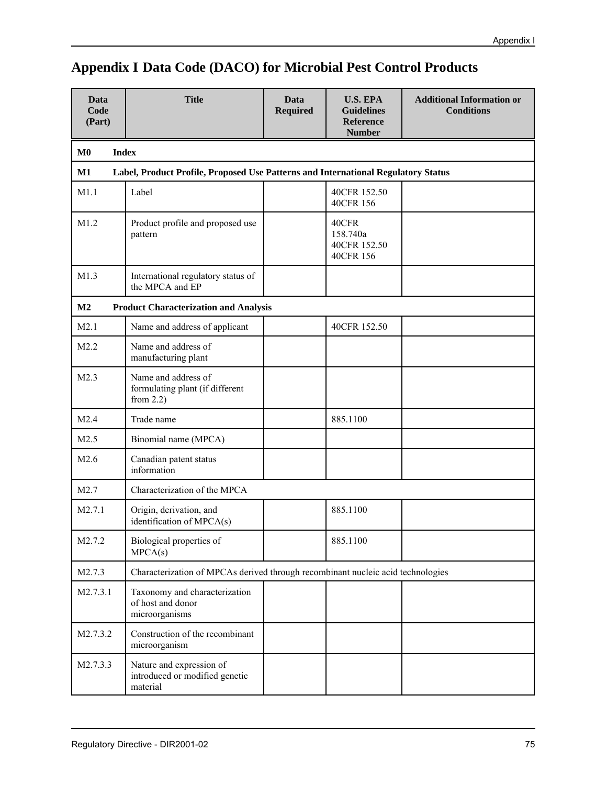| <b>Title</b><br>Data<br>Code<br>(Part)              |                                                                                   | Data<br><b>Required</b> | <b>U.S. EPA</b><br><b>Guidelines</b><br><b>Reference</b><br><b>Number</b> | <b>Additional Information or</b><br><b>Conditions</b> |  |  |  |  |  |  |
|-----------------------------------------------------|-----------------------------------------------------------------------------------|-------------------------|---------------------------------------------------------------------------|-------------------------------------------------------|--|--|--|--|--|--|
| M <sub>0</sub>                                      | <b>Index</b>                                                                      |                         |                                                                           |                                                       |  |  |  |  |  |  |
| M1                                                  | Label, Product Profile, Proposed Use Patterns and International Regulatory Status |                         |                                                                           |                                                       |  |  |  |  |  |  |
| M1.1                                                | Label                                                                             |                         | 40CFR 152.50<br>40CFR 156                                                 |                                                       |  |  |  |  |  |  |
| M1.2<br>Product profile and proposed use<br>pattern |                                                                                   |                         | 40CFR<br>158.740a<br>40CFR 152.50<br>40CFR 156                            |                                                       |  |  |  |  |  |  |
| M1.3                                                | International regulatory status of<br>the MPCA and EP                             |                         |                                                                           |                                                       |  |  |  |  |  |  |
| M2                                                  | <b>Product Characterization and Analysis</b>                                      |                         |                                                                           |                                                       |  |  |  |  |  |  |
| M2.1                                                | Name and address of applicant                                                     |                         | 40CFR 152.50                                                              |                                                       |  |  |  |  |  |  |
| M2.2                                                | Name and address of<br>manufacturing plant                                        |                         |                                                                           |                                                       |  |  |  |  |  |  |
| M2.3                                                | Name and address of<br>formulating plant (if different<br>from $2.2$ )            |                         |                                                                           |                                                       |  |  |  |  |  |  |
| M2.4                                                | Trade name                                                                        |                         | 885.1100                                                                  |                                                       |  |  |  |  |  |  |
| M2.5                                                | Binomial name (MPCA)                                                              |                         |                                                                           |                                                       |  |  |  |  |  |  |
| M2.6                                                | Canadian patent status<br>information                                             |                         |                                                                           |                                                       |  |  |  |  |  |  |
| M2.7                                                | Characterization of the MPCA                                                      |                         |                                                                           |                                                       |  |  |  |  |  |  |
| M2.7.1                                              | Origin, derivation, and<br>identification of MPCA(s)                              |                         | 885.1100                                                                  |                                                       |  |  |  |  |  |  |
| M2.7.2                                              | Biological properties of<br>MPCA(s)                                               |                         | 885.1100                                                                  |                                                       |  |  |  |  |  |  |
| M2.7.3                                              | Characterization of MPCAs derived through recombinant nucleic acid technologies   |                         |                                                                           |                                                       |  |  |  |  |  |  |
| M2.7.3.1                                            | Taxonomy and characterization<br>of host and donor<br>microorganisms              |                         |                                                                           |                                                       |  |  |  |  |  |  |
| M2.7.3.2                                            | Construction of the recombinant<br>microorganism                                  |                         |                                                                           |                                                       |  |  |  |  |  |  |
| M2.7.3.3                                            | Nature and expression of<br>introduced or modified genetic<br>material            |                         |                                                                           |                                                       |  |  |  |  |  |  |

# **Appendix I Data Code (DACO) for Microbial Pest Control Products**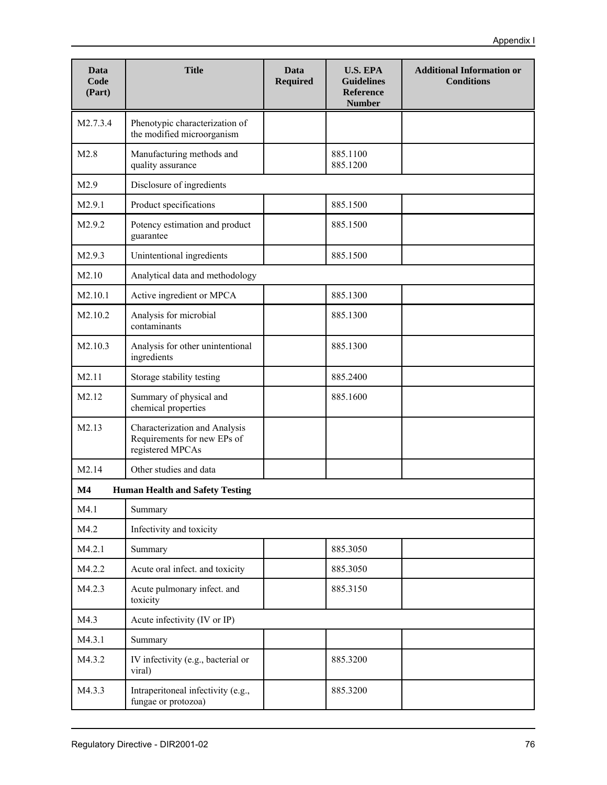| Data<br><b>Code</b><br>(Part) | <b>Title</b>                                                                     | Data<br><b>Required</b> | <b>U.S. EPA</b><br><b>Guidelines</b><br><b>Reference</b><br><b>Number</b> | <b>Additional Information or</b><br><b>Conditions</b> |
|-------------------------------|----------------------------------------------------------------------------------|-------------------------|---------------------------------------------------------------------------|-------------------------------------------------------|
| M2.7.3.4                      | Phenotypic characterization of<br>the modified microorganism                     |                         |                                                                           |                                                       |
| M2.8                          | Manufacturing methods and<br>quality assurance                                   |                         | 885.1100<br>885.1200                                                      |                                                       |
| M2.9                          | Disclosure of ingredients                                                        |                         |                                                                           |                                                       |
| M2.9.1                        | Product specifications                                                           |                         | 885.1500                                                                  |                                                       |
| M2.9.2                        | Potency estimation and product<br>guarantee                                      |                         | 885.1500                                                                  |                                                       |
| M2.9.3                        | Unintentional ingredients                                                        |                         | 885.1500                                                                  |                                                       |
| M2.10                         | Analytical data and methodology                                                  |                         |                                                                           |                                                       |
| M2.10.1                       | Active ingredient or MPCA                                                        |                         | 885.1300                                                                  |                                                       |
| M2.10.2                       | Analysis for microbial<br>contaminants                                           |                         | 885.1300                                                                  |                                                       |
| M2.10.3                       | Analysis for other unintentional<br>ingredients                                  |                         | 885.1300                                                                  |                                                       |
| M2.11                         | Storage stability testing                                                        |                         | 885.2400                                                                  |                                                       |
| M2.12                         | Summary of physical and<br>chemical properties                                   |                         | 885.1600                                                                  |                                                       |
| M2.13                         | Characterization and Analysis<br>Requirements for new EPs of<br>registered MPCAs |                         |                                                                           |                                                       |
| M2.14                         | Other studies and data                                                           |                         |                                                                           |                                                       |
| M <sub>4</sub>                | <b>Human Health and Safety Testing</b>                                           |                         |                                                                           |                                                       |
| M4.1                          | Summary                                                                          |                         |                                                                           |                                                       |
| M4.2                          | Infectivity and toxicity                                                         |                         |                                                                           |                                                       |
| M4.2.1                        | Summary                                                                          |                         | 885.3050                                                                  |                                                       |
| M4.2.2                        | Acute oral infect. and toxicity                                                  |                         | 885.3050                                                                  |                                                       |
| M4.2.3                        | Acute pulmonary infect. and<br>toxicity                                          |                         | 885.3150                                                                  |                                                       |
| M4.3                          | Acute infectivity (IV or IP)                                                     |                         |                                                                           |                                                       |
| M4.3.1                        | Summary                                                                          |                         |                                                                           |                                                       |
| M4.3.2                        | IV infectivity (e.g., bacterial or<br>viral)                                     |                         | 885.3200                                                                  |                                                       |
| M4.3.3                        | Intraperitoneal infectivity (e.g.,<br>fungae or protozoa)                        |                         | 885.3200                                                                  |                                                       |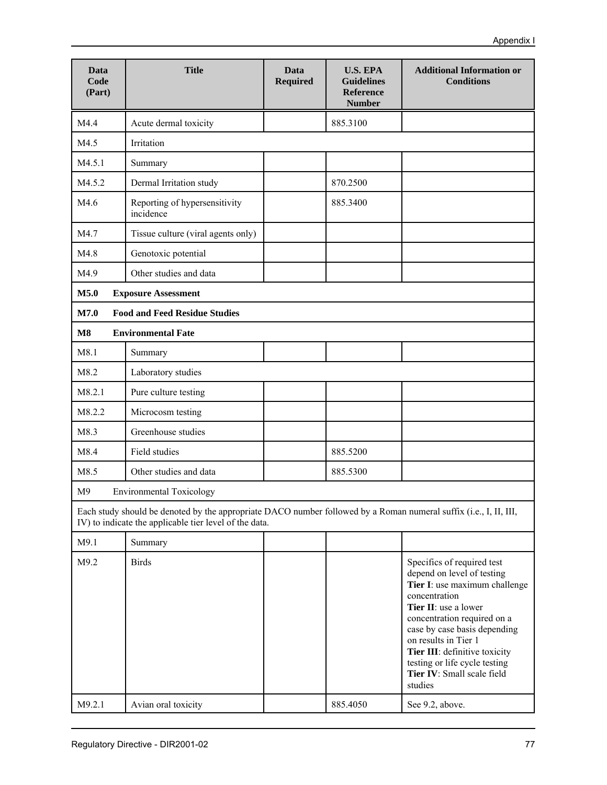| Data<br>Code<br>(Part) | <b>Title</b>                                                                                                                                                                | Data<br><b>Required</b> | <b>U.S. EPA</b><br><b>Guidelines</b><br><b>Reference</b><br><b>Number</b> | <b>Additional Information or</b><br><b>Conditions</b>                                                                                                                                                                                                                                                                                |
|------------------------|-----------------------------------------------------------------------------------------------------------------------------------------------------------------------------|-------------------------|---------------------------------------------------------------------------|--------------------------------------------------------------------------------------------------------------------------------------------------------------------------------------------------------------------------------------------------------------------------------------------------------------------------------------|
| M4.4                   | Acute dermal toxicity                                                                                                                                                       |                         | 885.3100                                                                  |                                                                                                                                                                                                                                                                                                                                      |
| M4.5                   | Irritation                                                                                                                                                                  |                         |                                                                           |                                                                                                                                                                                                                                                                                                                                      |
| M4.5.1                 | Summary                                                                                                                                                                     |                         |                                                                           |                                                                                                                                                                                                                                                                                                                                      |
| M4.5.2                 | Dermal Irritation study                                                                                                                                                     |                         | 870.2500                                                                  |                                                                                                                                                                                                                                                                                                                                      |
| M4.6                   | Reporting of hypersensitivity<br>incidence                                                                                                                                  |                         | 885.3400                                                                  |                                                                                                                                                                                                                                                                                                                                      |
| M4.7                   | Tissue culture (viral agents only)                                                                                                                                          |                         |                                                                           |                                                                                                                                                                                                                                                                                                                                      |
| M4.8                   | Genotoxic potential                                                                                                                                                         |                         |                                                                           |                                                                                                                                                                                                                                                                                                                                      |
| M4.9                   | Other studies and data                                                                                                                                                      |                         |                                                                           |                                                                                                                                                                                                                                                                                                                                      |
| M5.0                   | <b>Exposure Assessment</b>                                                                                                                                                  |                         |                                                                           |                                                                                                                                                                                                                                                                                                                                      |
| M7.0                   | <b>Food and Feed Residue Studies</b>                                                                                                                                        |                         |                                                                           |                                                                                                                                                                                                                                                                                                                                      |
| M8                     | <b>Environmental Fate</b>                                                                                                                                                   |                         |                                                                           |                                                                                                                                                                                                                                                                                                                                      |
| M8.1                   | Summary                                                                                                                                                                     |                         |                                                                           |                                                                                                                                                                                                                                                                                                                                      |
| M8.2                   | Laboratory studies                                                                                                                                                          |                         |                                                                           |                                                                                                                                                                                                                                                                                                                                      |
| M8.2.1                 | Pure culture testing                                                                                                                                                        |                         |                                                                           |                                                                                                                                                                                                                                                                                                                                      |
| M8.2.2                 | Microcosm testing                                                                                                                                                           |                         |                                                                           |                                                                                                                                                                                                                                                                                                                                      |
| M8.3                   | Greenhouse studies                                                                                                                                                          |                         |                                                                           |                                                                                                                                                                                                                                                                                                                                      |
| M8.4                   | Field studies                                                                                                                                                               |                         | 885.5200                                                                  |                                                                                                                                                                                                                                                                                                                                      |
| M8.5                   | Other studies and data                                                                                                                                                      |                         | 885.5300                                                                  |                                                                                                                                                                                                                                                                                                                                      |
| M <sub>9</sub>         | <b>Environmental Toxicology</b>                                                                                                                                             |                         |                                                                           |                                                                                                                                                                                                                                                                                                                                      |
|                        | Each study should be denoted by the appropriate DACO number followed by a Roman numeral suffix (i.e., I, II, III,<br>IV) to indicate the applicable tier level of the data. |                         |                                                                           |                                                                                                                                                                                                                                                                                                                                      |
| M9.1                   | Summary                                                                                                                                                                     |                         |                                                                           |                                                                                                                                                                                                                                                                                                                                      |
| M9.2                   | <b>Birds</b>                                                                                                                                                                |                         |                                                                           | Specifics of required test<br>depend on level of testing<br>Tier I: use maximum challenge<br>concentration<br>Tier II: use a lower<br>concentration required on a<br>case by case basis depending<br>on results in Tier 1<br>Tier III: definitive toxicity<br>testing or life cycle testing<br>Tier IV: Small scale field<br>studies |
| M9.2.1                 | Avian oral toxicity                                                                                                                                                         |                         | 885.4050                                                                  | See 9.2, above.                                                                                                                                                                                                                                                                                                                      |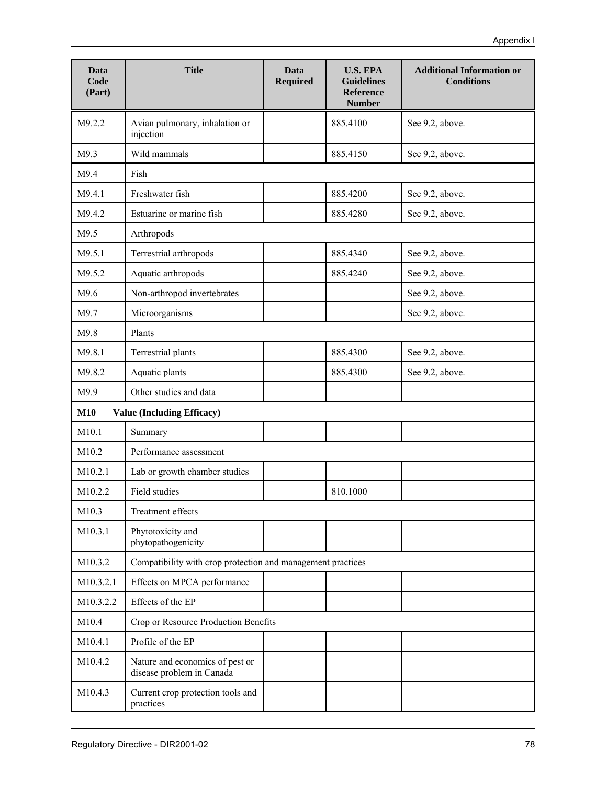| Data<br>Code<br>(Part) | <b>Title</b>                                                 | Data<br>Required | <b>U.S. EPA</b><br><b>Guidelines</b><br><b>Reference</b><br><b>Number</b> | <b>Additional Information or</b><br><b>Conditions</b> |
|------------------------|--------------------------------------------------------------|------------------|---------------------------------------------------------------------------|-------------------------------------------------------|
| M9.2.2                 | Avian pulmonary, inhalation or<br>injection                  |                  | 885.4100                                                                  | See 9.2, above.                                       |
| M9.3                   | Wild mammals                                                 |                  | 885.4150                                                                  | See 9.2, above.                                       |
| M9.4                   | Fish                                                         |                  |                                                                           |                                                       |
| M9.4.1                 | Freshwater fish                                              |                  | 885.4200                                                                  | See 9.2, above.                                       |
| M9.4.2                 | Estuarine or marine fish                                     |                  | 885.4280                                                                  | See 9.2, above.                                       |
| M9.5                   | Arthropods                                                   |                  |                                                                           |                                                       |
| M9.5.1                 | Terrestrial arthropods                                       |                  | 885.4340                                                                  | See 9.2, above.                                       |
| M9.5.2                 | Aquatic arthropods                                           |                  | 885.4240                                                                  | See 9.2, above.                                       |
| M9.6                   | Non-arthropod invertebrates                                  |                  |                                                                           | See 9.2, above.                                       |
| M9.7                   | Microorganisms                                               |                  |                                                                           | See 9.2, above.                                       |
| M9.8                   | Plants                                                       |                  |                                                                           |                                                       |
| M9.8.1                 | Terrestrial plants                                           |                  | 885.4300                                                                  | See 9.2, above.                                       |
| M9.8.2                 | Aquatic plants                                               |                  | 885.4300                                                                  | See 9.2, above.                                       |
| M9.9                   | Other studies and data                                       |                  |                                                                           |                                                       |
| <b>M10</b>             | <b>Value (Including Efficacy)</b>                            |                  |                                                                           |                                                       |
| M10.1                  | Summary                                                      |                  |                                                                           |                                                       |
| M10.2                  | Performance assessment                                       |                  |                                                                           |                                                       |
| M10.2.1                | Lab or growth chamber studies                                |                  |                                                                           |                                                       |
| M10.2.2                | <b>Field studies</b>                                         |                  | 810.1000                                                                  |                                                       |
| M10.3                  | Treatment effects                                            |                  |                                                                           |                                                       |
| M10.3.1                | Phytotoxicity and<br>phytopathogenicity                      |                  |                                                                           |                                                       |
| M10.3.2                | Compatibility with crop protection and management practices  |                  |                                                                           |                                                       |
| M10.3.2.1              | Effects on MPCA performance                                  |                  |                                                                           |                                                       |
| M10.3.2.2              | Effects of the EP                                            |                  |                                                                           |                                                       |
| M10.4                  | Crop or Resource Production Benefits                         |                  |                                                                           |                                                       |
| M10.4.1                | Profile of the EP                                            |                  |                                                                           |                                                       |
| M10.4.2                | Nature and economics of pest or<br>disease problem in Canada |                  |                                                                           |                                                       |
| M10.4.3                | Current crop protection tools and<br>practices               |                  |                                                                           |                                                       |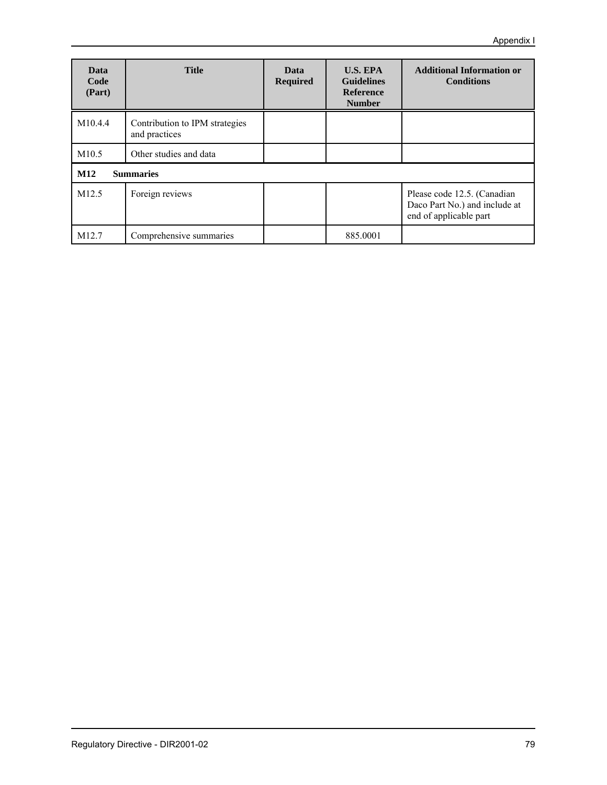| Data<br>Code<br>(Part) | <b>Title</b>                                    | <b>U.S. EPA</b><br>Data<br><b>Guidelines</b><br><b>Required</b><br><b>Reference</b><br><b>Number</b> |          | <b>Additional Information or</b><br><b>Conditions</b>                                  |
|------------------------|-------------------------------------------------|------------------------------------------------------------------------------------------------------|----------|----------------------------------------------------------------------------------------|
| M <sub>10.4.4</sub>    | Contribution to IPM strategies<br>and practices |                                                                                                      |          |                                                                                        |
| M10.5                  | Other studies and data                          |                                                                                                      |          |                                                                                        |
| M12                    | <b>Summaries</b>                                |                                                                                                      |          |                                                                                        |
| M <sub>12.5</sub>      | Foreign reviews                                 |                                                                                                      |          | Please code 12.5. (Canadian<br>Daco Part No.) and include at<br>end of applicable part |
| M <sub>12.7</sub>      | Comprehensive summaries                         |                                                                                                      | 885,0001 |                                                                                        |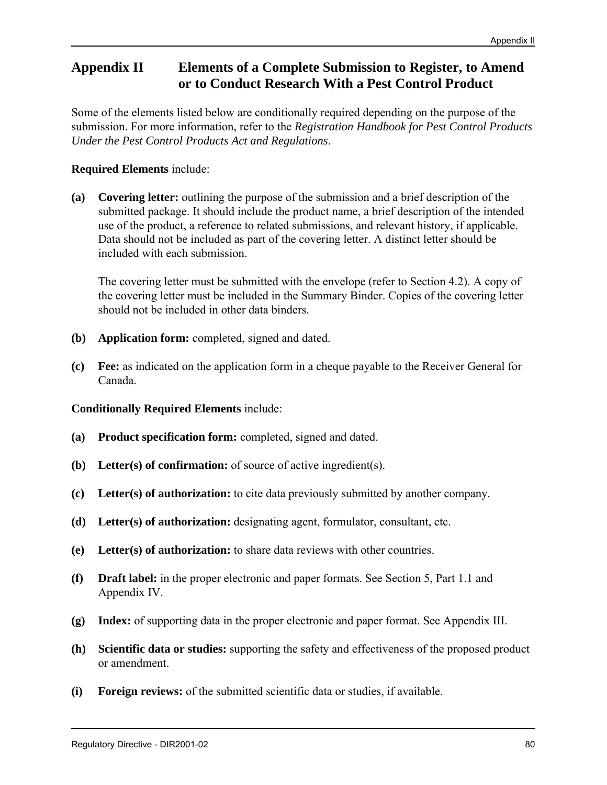# **Appendix II Elements of a Complete Submission to Register, to Amend or to Conduct Research With a Pest Control Product**

Some of the elements listed below are conditionally required depending on the purpose of the submission. For more information, refer to the *Registration Handbook for Pest Control Products Under the Pest Control Products Act and Regulations*.

# **Required Elements** include:

**(a) Covering letter:** outlining the purpose of the submission and a brief description of the submitted package. It should include the product name, a brief description of the intended use of the product, a reference to related submissions, and relevant history, if applicable. Data should not be included as part of the covering letter. A distinct letter should be included with each submission.

The covering letter must be submitted with the envelope (refer to Section 4.2). A copy of the covering letter must be included in the Summary Binder. Copies of the covering letter should not be included in other data binders.

- **(b) Application form:** completed, signed and dated.
- **(c) Fee:** as indicated on the application form in a cheque payable to the Receiver General for Canada.

# **Conditionally Required Elements** include:

- **(a) Product specification form:** completed, signed and dated.
- **(b) Letter(s) of confirmation:** of source of active ingredient(s).
- **(c) Letter(s) of authorization:** to cite data previously submitted by another company.
- **(d) Letter(s) of authorization:** designating agent, formulator, consultant, etc.
- **(e) Letter(s) of authorization:** to share data reviews with other countries.
- **(f) Draft label:** in the proper electronic and paper formats. See Section 5, Part 1.1 and Appendix IV.
- **(g) Index:** of supporting data in the proper electronic and paper format. See Appendix III.
- **(h) Scientific data or studies:** supporting the safety and effectiveness of the proposed product or amendment.
- **(i) Foreign reviews:** of the submitted scientific data or studies, if available.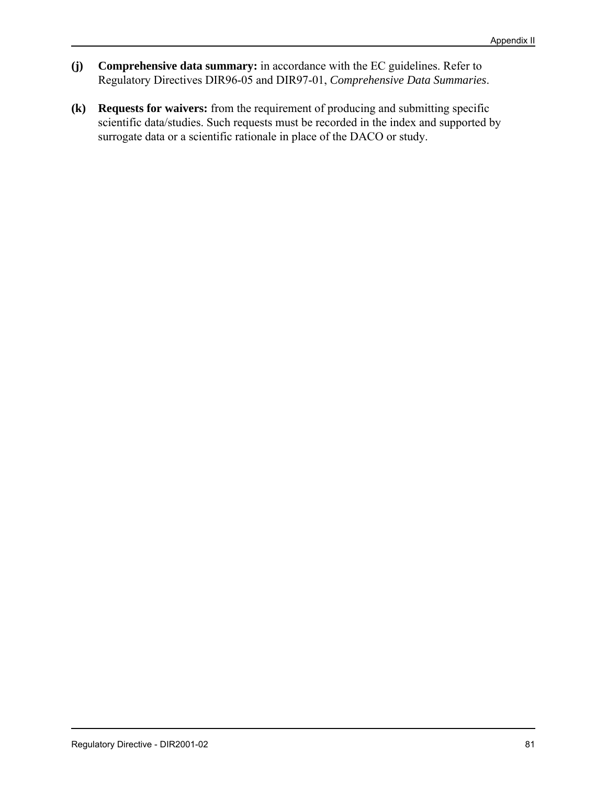- **(j) Comprehensive data summary:** in accordance with the EC guidelines. Refer to Regulatory Directives DIR96-05 and DIR97-01, *Comprehensive Data Summaries*.
- **(k) Requests for waivers:** from the requirement of producing and submitting specific scientific data/studies. Such requests must be recorded in the index and supported by surrogate data or a scientific rationale in place of the DACO or study.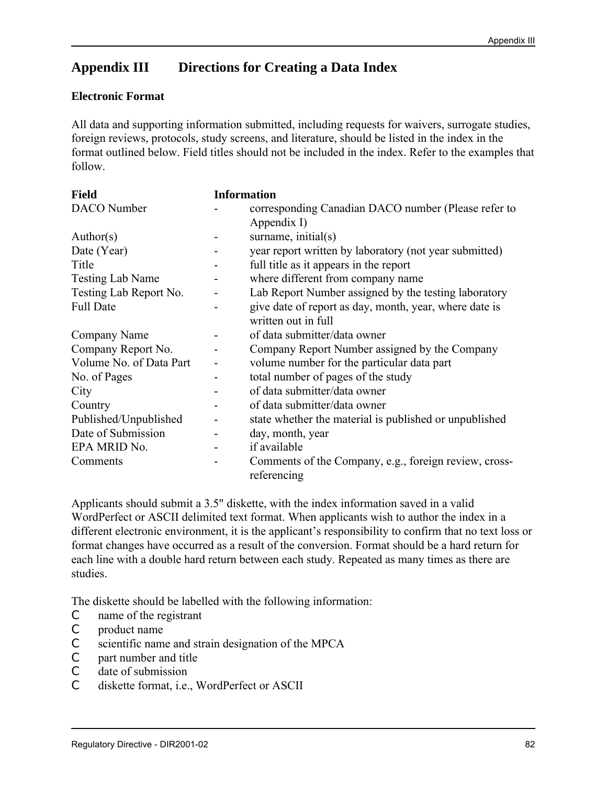# **Appendix III Directions for Creating a Data Index**

#### **Electronic Format**

All data and supporting information submitted, including requests for waivers, surrogate studies, foreign reviews, protocols, study screens, and literature, should be listed in the index in the format outlined below. Field titles should not be included in the index. Refer to the examples that follow.

| <b>Field</b>            |                              | <b>Information</b>                                                   |
|-------------------------|------------------------------|----------------------------------------------------------------------|
| DACO Number             |                              | corresponding Canadian DACO number (Please refer to                  |
|                         |                              | Appendix I)                                                          |
| Author(s)               | ۰                            | surname, initial(s)                                                  |
| Date (Year)             |                              | year report written by laboratory (not year submitted)               |
| Title                   |                              | full title as it appears in the report                               |
| Testing Lab Name        |                              | where different from company name                                    |
| Testing Lab Report No.  |                              | Lab Report Number assigned by the testing laboratory                 |
| <b>Full Date</b>        |                              | give date of report as day, month, year, where date is               |
|                         |                              | written out in full                                                  |
| Company Name            |                              | of data submitter/data owner                                         |
| Company Report No.      |                              | Company Report Number assigned by the Company                        |
| Volume No. of Data Part |                              | volume number for the particular data part                           |
| No. of Pages            | $\qquad \qquad \blacksquare$ | total number of pages of the study                                   |
| City                    |                              | of data submitter/data owner                                         |
| Country                 | $\qquad \qquad \blacksquare$ | of data submitter/data owner                                         |
| Published/Unpublished   |                              | state whether the material is published or unpublished               |
| Date of Submission      |                              | day, month, year                                                     |
| EPA MRID No.            |                              | if available                                                         |
| Comments                |                              | Comments of the Company, e.g., foreign review, cross-<br>referencing |

Applicants should submit a 3.5" diskette, with the index information saved in a valid WordPerfect or ASCII delimited text format. When applicants wish to author the index in a different electronic environment, it is the applicant's responsibility to confirm that no text loss or format changes have occurred as a result of the conversion. Format should be a hard return for each line with a double hard return between each study. Repeated as many times as there are studies.

The diskette should be labelled with the following information:

- C name of the registrant
- C product name
- C scientific name and strain designation of the MPCA
- C part number and title
- C date of submission
- C diskette format, i.e., WordPerfect or ASCII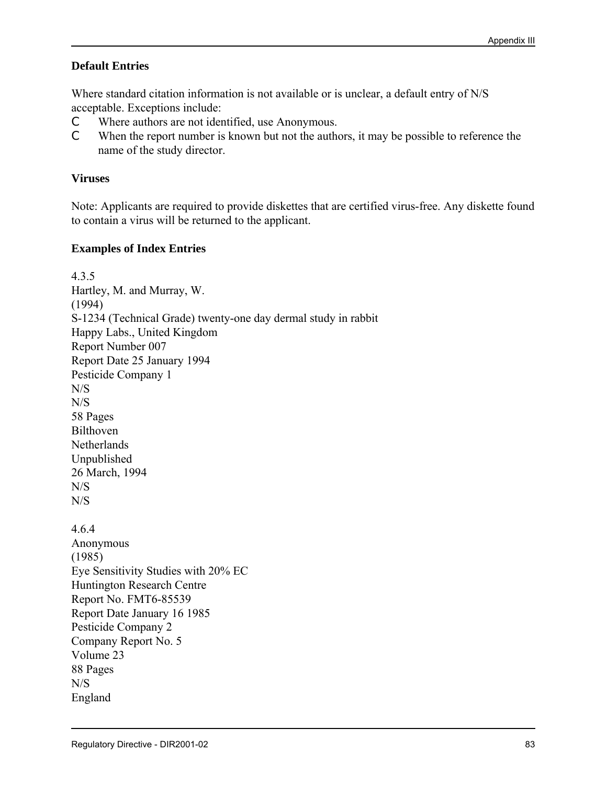# **Default Entries**

Where standard citation information is not available or is unclear, a default entry of N/S acceptable. Exceptions include:

- C Where authors are not identified, use Anonymous.
- C When the report number is known but not the authors, it may be possible to reference the name of the study director.

# **Viruses**

Note: Applicants are required to provide diskettes that are certified virus-free. Any diskette found to contain a virus will be returned to the applicant.

# **Examples of Index Entries**

4.3.5 Hartley, M. and Murray, W. (1994) S-1234 (Technical Grade) twenty-one day dermal study in rabbit Happy Labs., United Kingdom Report Number 007 Report Date 25 January 1994 Pesticide Company 1 N/S N/S 58 Pages Bilthoven **Netherlands** Unpublished 26 March, 1994 N/S N/S 4.6.4 Anonymous (1985) Eye Sensitivity Studies with 20% EC Huntington Research Centre Report No. FMT6-85539 Report Date January 16 1985 Pesticide Company 2 Company Report No. 5 Volume 23 88 Pages N/S England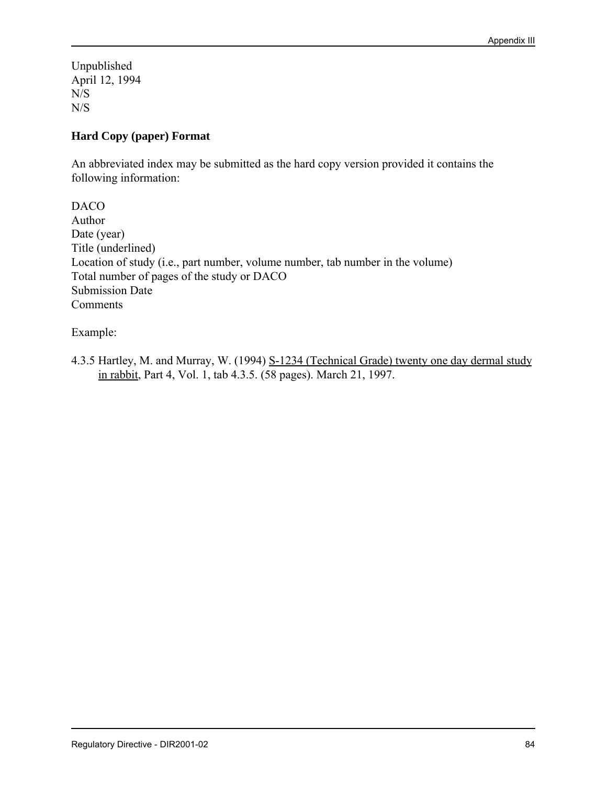Unpublished April 12, 1994 N/S N/S

# **Hard Copy (paper) Format**

An abbreviated index may be submitted as the hard copy version provided it contains the following information:

DACO Author Date (year) Title (underlined) Location of study (i.e., part number, volume number, tab number in the volume) Total number of pages of the study or DACO Submission Date Comments

Example:

4.3.5 Hartley, M. and Murray, W. (1994) S-1234 (Technical Grade) twenty one day dermal study in rabbit, Part 4, Vol. 1, tab 4.3.5. (58 pages). March 21, 1997.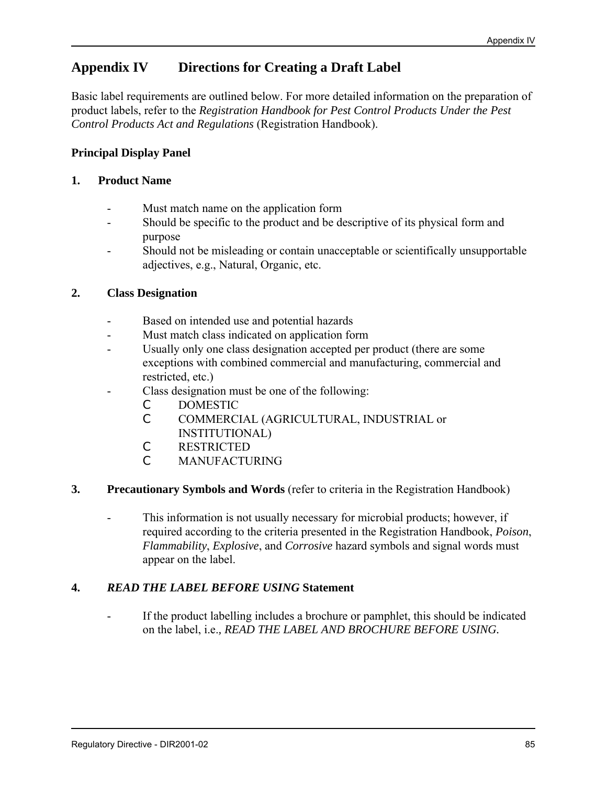# **Appendix IV Directions for Creating a Draft Label**

Basic label requirements are outlined below. For more detailed information on the preparation of product labels, refer to the *Registration Handbook for Pest Control Products Under the Pest Control Products Act and Regulations* (Registration Handbook).

# **Principal Display Panel**

### **1. Product Name**

- Must match name on the application form
- Should be specific to the product and be descriptive of its physical form and purpose
- Should not be misleading or contain unacceptable or scientifically unsupportable adjectives, e.g., Natural, Organic, etc.

# **2. Class Designation**

- Based on intended use and potential hazards
- Must match class indicated on application form
- Usually only one class designation accepted per product (there are some exceptions with combined commercial and manufacturing, commercial and restricted, etc.)
- Class designation must be one of the following:
	- C DOMESTIC
		- C COMMERCIAL (AGRICULTURAL, INDUSTRIAL or INSTITUTIONAL)
		- C RESTRICTED
		- C MANUFACTURING

#### **3. Precautionary Symbols and Words** (refer to criteria in the Registration Handbook)

This information is not usually necessary for microbial products; however, if required according to the criteria presented in the Registration Handbook, *Poison*, *Flammability*, *Explosive*, and *Corrosive* hazard symbols and signal words must appear on the label.

# **4.** *READ THE LABEL BEFORE USING* **Statement**

If the product labelling includes a brochure or pamphlet, this should be indicated on the label, i.e.*, READ THE LABEL AND BROCHURE BEFORE USING.*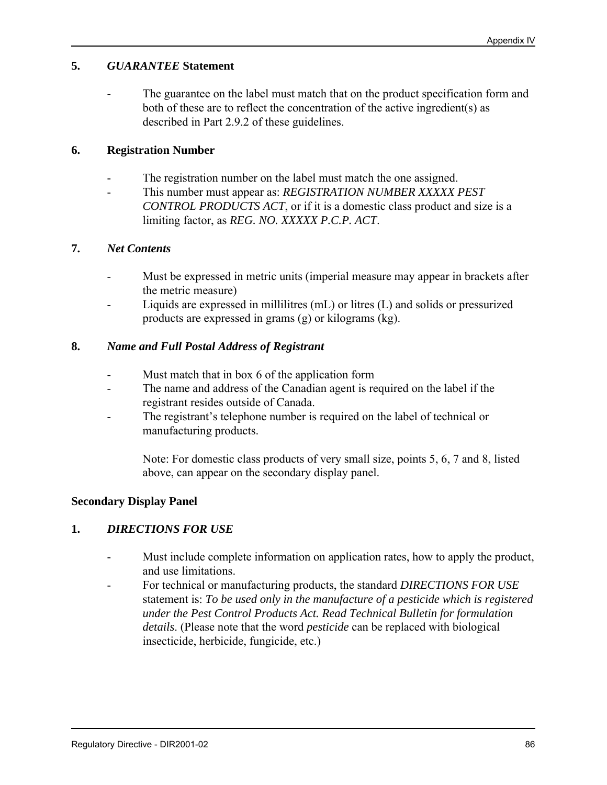# **5.** *GUARANTEE* **Statement**

- The guarantee on the label must match that on the product specification form and both of these are to reflect the concentration of the active ingredient(s) as described in Part 2.9.2 of these guidelines.

#### **6. Registration Number**

- The registration number on the label must match the one assigned.
- This number must appear as: *REGISTRATION NUMBER XXXXX PEST CONTROL PRODUCTS ACT*, or if it is a domestic class product and size is a limiting factor, as *REG. NO. XXXXX P.C.P. ACT*.

#### **7.** *Net Contents*

- Must be expressed in metric units (imperial measure may appear in brackets after the metric measure)
- Liquids are expressed in millilitres (mL) or litres (L) and solids or pressurized products are expressed in grams (g) or kilograms (kg).

# **8.** *Name and Full Postal Address of Registrant*

- Must match that in box 6 of the application form
- The name and address of the Canadian agent is required on the label if the registrant resides outside of Canada.
- The registrant's telephone number is required on the label of technical or manufacturing products.

Note: For domestic class products of very small size, points 5, 6, 7 and 8, listed above, can appear on the secondary display panel.

#### **Secondary Display Panel**

#### **1.** *DIRECTIONS FOR USE*

- Must include complete information on application rates, how to apply the product, and use limitations.
- For technical or manufacturing products, the standard *DIRECTIONS FOR USE* statement is: *To be used only in the manufacture of a pesticide which is registered under the Pest Control Products Act. Read Technical Bulletin for formulation details*. (Please note that the word *pesticide* can be replaced with biological insecticide, herbicide, fungicide, etc.)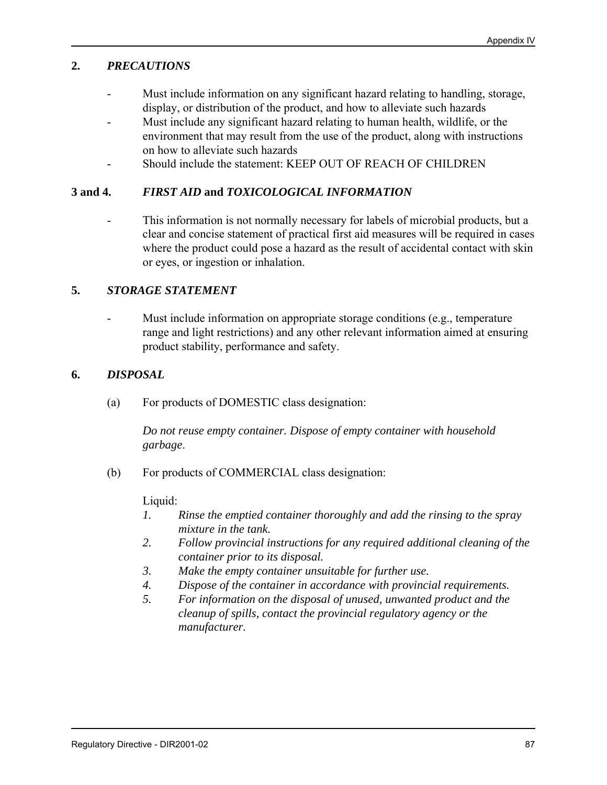# **2.** *PRECAUTIONS*

- Must include information on any significant hazard relating to handling, storage, display, or distribution of the product, and how to alleviate such hazards
- Must include any significant hazard relating to human health, wildlife, or the environment that may result from the use of the product, along with instructions on how to alleviate such hazards
- Should include the statement: KEEP OUT OF REACH OF CHILDREN

# **3 and 4.** *FIRST AID* **and** *TOXICOLOGICAL INFORMATION*

- This information is not normally necessary for labels of microbial products, but a clear and concise statement of practical first aid measures will be required in cases where the product could pose a hazard as the result of accidental contact with skin or eyes, or ingestion or inhalation.

#### **5.** *STORAGE STATEMENT*

Must include information on appropriate storage conditions (e.g., temperature range and light restrictions) and any other relevant information aimed at ensuring product stability, performance and safety.

# **6.** *DISPOSAL*

(a) For products of DOMESTIC class designation:

*Do not reuse empty container. Dispose of empty container with household garbage*.

(b) For products of COMMERCIAL class designation:

#### Liquid:

- *1. Rinse the emptied container thoroughly and add the rinsing to the spray mixture in the tank.*
- *2. Follow provincial instructions for any required additional cleaning of the container prior to its disposal.*
- *3. Make the empty container unsuitable for further use.*
- *4. Dispose of the container in accordance with provincial requirements.*
- *5. For information on the disposal of unused, unwanted product and the cleanup of spills, contact the provincial regulatory agency or the manufacturer.*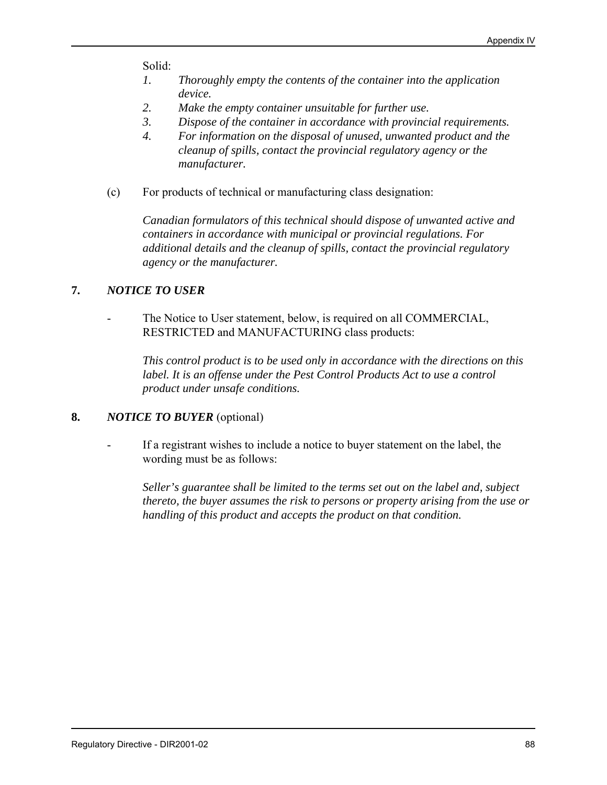Solid:

- *1. Thoroughly empty the contents of the container into the application device.*
- *2. Make the empty container unsuitable for further use.*
- *3. Dispose of the container in accordance with provincial requirements.*
- *4. For information on the disposal of unused, unwanted product and the cleanup of spills, contact the provincial regulatory agency or the manufacturer.*
- (c) For products of technical or manufacturing class designation:

*Canadian formulators of this technical should dispose of unwanted active and containers in accordance with municipal or provincial regulations. For additional details and the cleanup of spills, contact the provincial regulatory agency or the manufacturer.*

#### **7.** *NOTICE TO USER*

The Notice to User statement, below, is required on all COMMERCIAL, RESTRICTED and MANUFACTURING class products:

*This control product is to be used only in accordance with the directions on this label. It is an offense under the Pest Control Products Act to use a control product under unsafe conditions.*

#### **8.** *NOTICE TO BUYER* (optional)

If a registrant wishes to include a notice to buyer statement on the label, the wording must be as follows:

*Seller's guarantee shall be limited to the terms set out on the label and, subject thereto, the buyer assumes the risk to persons or property arising from the use or handling of this product and accepts the product on that condition.*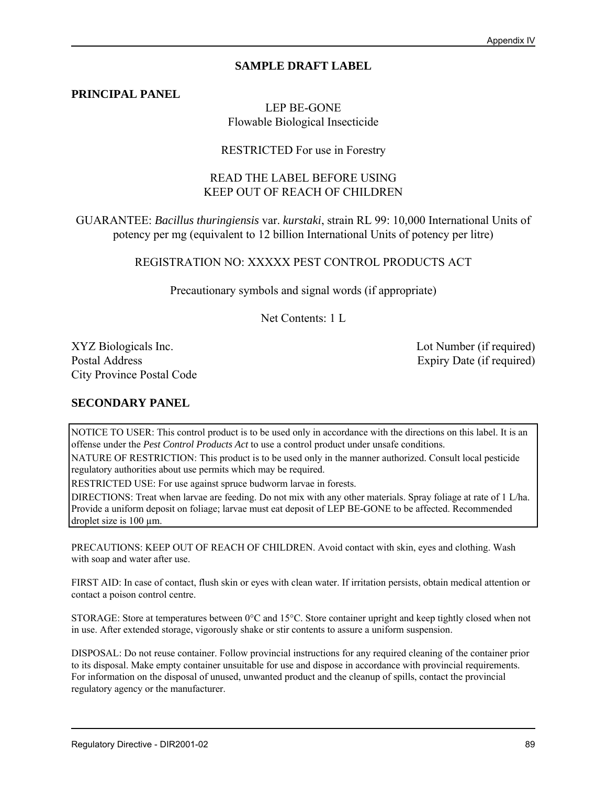### **SAMPLE DRAFT LABEL**

**PRINCIPAL PANEL**

### LEP BE-GONE Flowable Biological Insecticide

#### RESTRICTED For use in Forestry

#### READ THE LABEL BEFORE USING KEEP OUT OF REACH OF CHILDREN

GUARANTEE: *Bacillus thuringiensis* var. *kurstaki*, strain RL 99: 10,000 International Units of potency per mg (equivalent to 12 billion International Units of potency per litre)

REGISTRATION NO: XXXXX PEST CONTROL PRODUCTS ACT

Precautionary symbols and signal words (if appropriate)

Net Contents: 1 L

XYZ Biologicals Inc. Lot Number (if required) Postal Address Expiry Date (if required) City Province Postal Code

#### **SECONDARY PANEL**

NOTICE TO USER: This control product is to be used only in accordance with the directions on this label. It is an offense under the *Pest Control Products Act* to use a control product under unsafe conditions.

NATURE OF RESTRICTION: This product is to be used only in the manner authorized. Consult local pesticide regulatory authorities about use permits which may be required.

RESTRICTED USE: For use against spruce budworm larvae in forests.

DIRECTIONS: Treat when larvae are feeding. Do not mix with any other materials. Spray foliage at rate of 1 L/ha. Provide a uniform deposit on foliage; larvae must eat deposit of LEP BE-GONE to be affected. Recommended droplet size is 100 um.

PRECAUTIONS: KEEP OUT OF REACH OF CHILDREN. Avoid contact with skin, eyes and clothing. Wash with soap and water after use.

FIRST AID: In case of contact, flush skin or eyes with clean water. If irritation persists, obtain medical attention or contact a poison control centre.

STORAGE: Store at temperatures between 0°C and 15°C. Store container upright and keep tightly closed when not in use. After extended storage, vigorously shake or stir contents to assure a uniform suspension.

DISPOSAL: Do not reuse container. Follow provincial instructions for any required cleaning of the container prior to its disposal. Make empty container unsuitable for use and dispose in accordance with provincial requirements. For information on the disposal of unused, unwanted product and the cleanup of spills, contact the provincial regulatory agency or the manufacturer.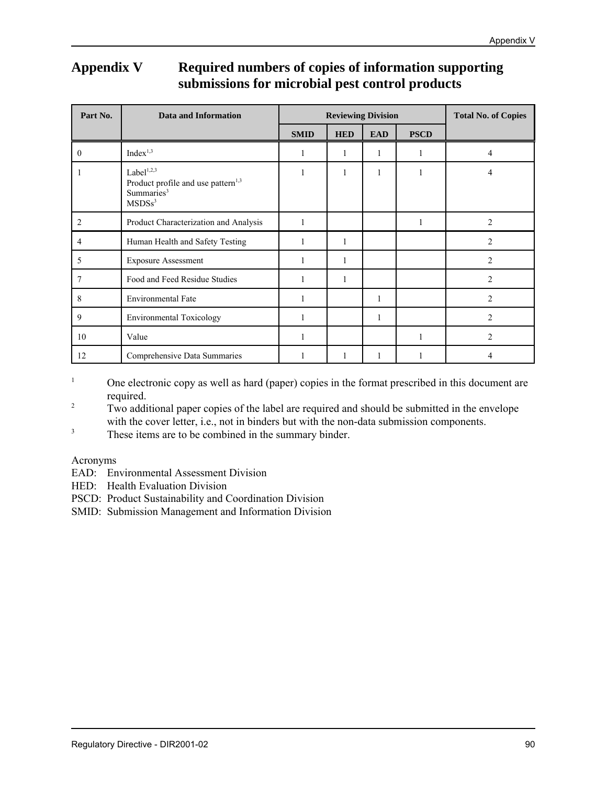# **Appendix V Required numbers of copies of information supporting submissions for microbial pest control products**

| Part No.       | <b>Data and Information</b>                                                                                     | <b>Reviewing Division</b> |            |            |             | <b>Total No. of Copies</b> |
|----------------|-----------------------------------------------------------------------------------------------------------------|---------------------------|------------|------------|-------------|----------------------------|
|                |                                                                                                                 | <b>SMID</b>               | <b>HED</b> | <b>EAD</b> | <b>PSCD</b> |                            |
| $\overline{0}$ | Index <sup>1,3</sup>                                                                                            | 1                         | 1          | 1          | 1           | 4                          |
|                | Label $1,2,3$<br>Product profile and use pattern <sup>1,3</sup><br>Summaries <sup>3</sup><br>MSDSs <sup>3</sup> | 1                         | 1          | 1          | 1           | 4                          |
| 2              | Product Characterization and Analysis                                                                           | 1                         |            |            | 1           | 2                          |
| 4              | Human Health and Safety Testing                                                                                 |                           |            |            |             | $\overline{c}$             |
| 5              | <b>Exposure Assessment</b>                                                                                      |                           | 1          |            |             | 2                          |
| 7              | Food and Feed Residue Studies                                                                                   |                           | 1          |            |             | $\overline{2}$             |
| 8              | <b>Environmental Fate</b>                                                                                       | 1                         |            | 1          |             | 2                          |
| 9              | <b>Environmental Toxicology</b>                                                                                 |                           |            | 1          |             | $\overline{c}$             |
| 10             | Value                                                                                                           |                           |            |            | 1           | $\overline{2}$             |
| 12             | Comprehensive Data Summaries                                                                                    |                           | 1          |            | 1           | 4                          |

<sup>1</sup> One electronic copy as well as hard (paper) copies in the format prescribed in this document are required.

<sup>2</sup> Two additional paper copies of the label are required and should be submitted in the envelope with the cover letter, i.e., not in binders but with the non-data submission components.

<sup>3</sup> These items are to be combined in the summary binder.

#### Acronyms

EAD: Environmental Assessment Division

HED: Health Evaluation Division

PSCD: Product Sustainability and Coordination Division

SMID: Submission Management and Information Division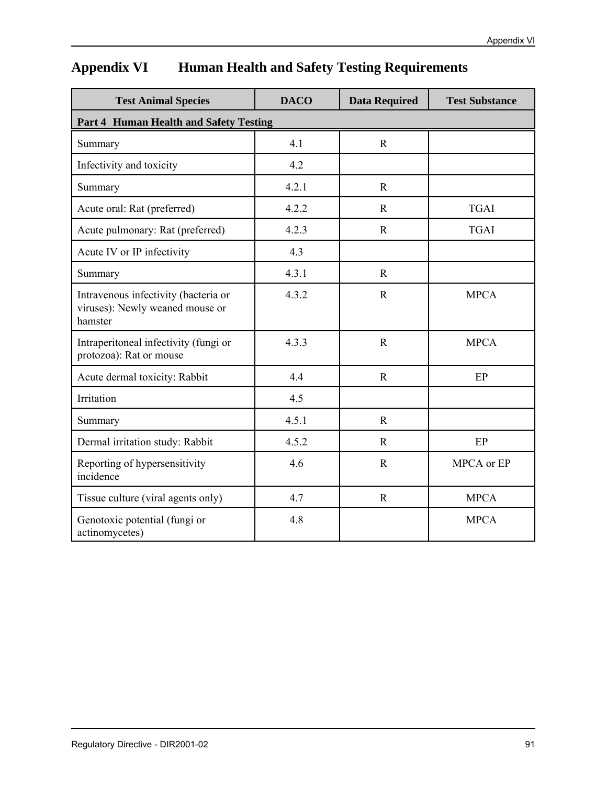# **Appendix VI Human Health and Safety Testing Requirements**

| <b>Test Animal Species</b>                                                         | <b>DACO</b> | <b>Data Required</b> | <b>Test Substance</b> |
|------------------------------------------------------------------------------------|-------------|----------------------|-----------------------|
| Part 4 Human Health and Safety Testing                                             |             |                      |                       |
| Summary                                                                            | 4.1         | $\mathbf R$          |                       |
| Infectivity and toxicity                                                           | 4.2         |                      |                       |
| Summary                                                                            | 4.2.1       | $\mathbf R$          |                       |
| Acute oral: Rat (preferred)                                                        | 4.2.2       | $\mathbf R$          | <b>TGAI</b>           |
| Acute pulmonary: Rat (preferred)                                                   | 4.2.3       | $\mathbf R$          | <b>TGAI</b>           |
| Acute IV or IP infectivity                                                         | 4.3         |                      |                       |
| Summary                                                                            | 4.3.1       | $\mathbf R$          |                       |
| Intravenous infectivity (bacteria or<br>viruses): Newly weaned mouse or<br>hamster | 4.3.2       | $\mathbf R$          | <b>MPCA</b>           |
| Intraperitoneal infectivity (fungi or<br>protozoa): Rat or mouse                   | 4.3.3       | $\mathbf R$          | <b>MPCA</b>           |
| Acute dermal toxicity: Rabbit                                                      | 4.4         | $\mathbf R$          | EP                    |
| Irritation                                                                         | 4.5         |                      |                       |
| Summary                                                                            | 4.5.1       | $\mathbf R$          |                       |
| Dermal irritation study: Rabbit                                                    | 4.5.2       | $\mathbf R$          | EP                    |
| Reporting of hypersensitivity<br>incidence                                         | 4.6         | $\mathbf R$          | MPCA or EP            |
| Tissue culture (viral agents only)                                                 | 4.7         | $\mathbf R$          | <b>MPCA</b>           |
| Genotoxic potential (fungi or<br>actinomycetes)                                    | 4.8         |                      | <b>MPCA</b>           |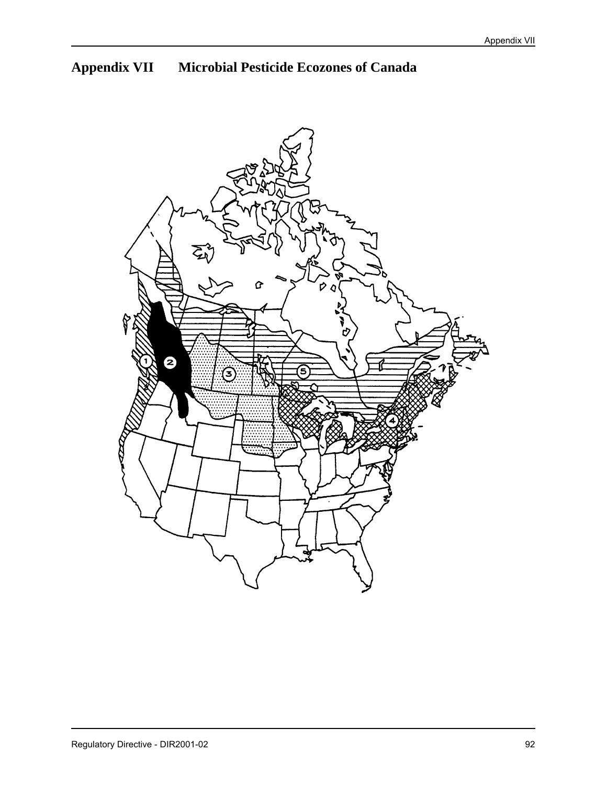# **Appendix VII Microbial Pesticide Ecozones of Canada**

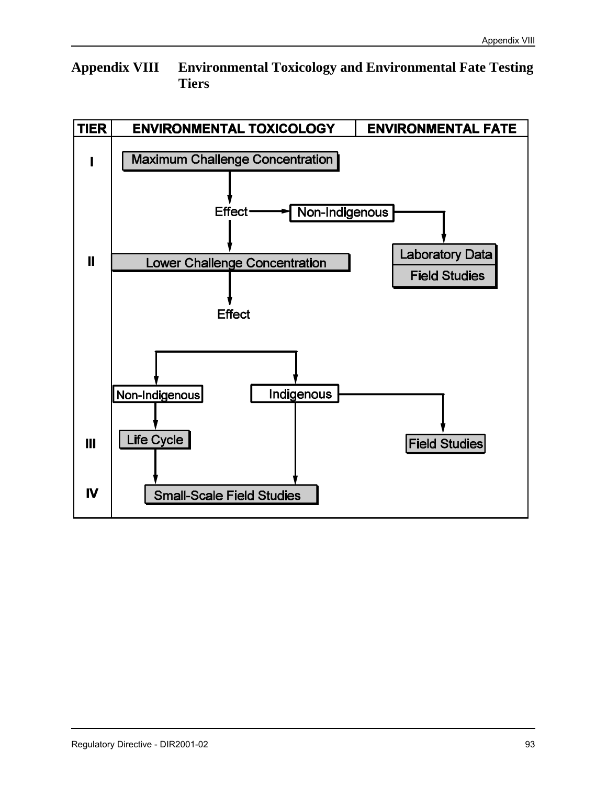# **Appendix VIII Environmental Toxicology and Environmental Fate Testing Tiers**

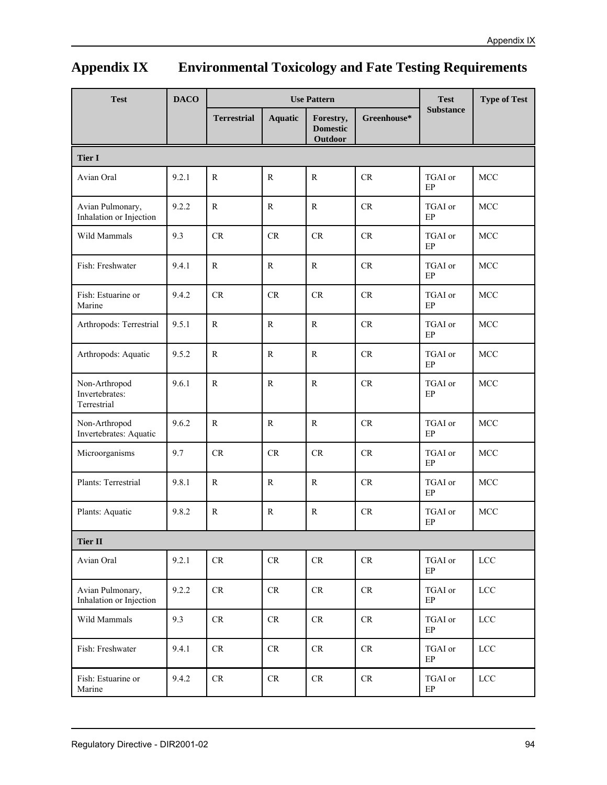# **Appendix IX Environmental Toxicology and Fate Testing Requirements**

| <b>Test</b>                                    | <b>DACO</b> | <b>Use Pattern</b> |                            |                                         |               | <b>Test</b>         | <b>Type of Test</b> |
|------------------------------------------------|-------------|--------------------|----------------------------|-----------------------------------------|---------------|---------------------|---------------------|
|                                                |             | <b>Terrestrial</b> | <b>Aquatic</b>             | Forestry,<br><b>Domestic</b><br>Outdoor | Greenhouse*   | <b>Substance</b>    |                     |
| <b>Tier I</b>                                  |             |                    |                            |                                         |               |                     |                     |
| Avian Oral                                     | 9.2.1       | $\mathbb{R}$       | $\mathbb{R}$               | $\mathbf R$                             | CR            | TGAI or<br>EP       | MCC                 |
| Avian Pulmonary,<br>Inhalation or Injection    | 9.2.2       | R                  | $\mathbb{R}$               | R                                       | CR            | TGAI or<br>EP       | MCC                 |
| Wild Mammals                                   | 9.3         | CR                 | CR                         | CR                                      | CR            | TGAI or<br>EP       | MCC                 |
| Fish: Freshwater                               | 9.4.1       | $\mathbb{R}$       | $\mathbb{R}$               | $\mathbf R$                             | $\mathrm{CR}$ | TGAI or<br>EP       | MCC                 |
| Fish: Estuarine or<br>Marine                   | 9.4.2       | CR                 | CR                         | CR                                      | CR            | TGAI or<br>EP       | <b>MCC</b>          |
| Arthropods: Terrestrial                        | 9.5.1       | $\mathbb{R}$       | $\mathbb{R}$               | $\mathbf R$                             | CR            | TGAI or<br>EP       | MCC                 |
| Arthropods: Aquatic                            | 9.5.2       | $\mathbf R$        | $\mathbb{R}$               | $\mathbb{R}$                            | CR            | TGAI or<br>EP       | MCC                 |
| Non-Arthropod<br>Invertebrates:<br>Terrestrial | 9.6.1       | $\mathbb{R}$       | $\mathbb{R}$               | $\mathbf{R}$                            | $\mathrm{CR}$ | TGAI or<br>EP       | <b>MCC</b>          |
| Non-Arthropod<br>Invertebrates: Aquatic        | 9.6.2       | $\mathbb{R}$       | $\mathbb{R}$               | $\mathbf{R}$                            | CR            | TGAI or<br>EP       | <b>MCC</b>          |
| Microorganisms                                 | 9.7         | CR                 | $\mathrm{CR}$              | CR                                      | $\mathrm{CR}$ | TGAI or<br>EP       | <b>MCC</b>          |
| Plants: Terrestrial                            | 9.8.1       | $\mathbf R$        | $\mathbf R$                | $\mathbb{R}$                            | CR            | TGAI or<br>EP       | MCC                 |
| Plants: Aquatic                                | 9.8.2       | $\mathbf R$        | $\mathbb{R}$               | $\mathbb{R}$                            | CR            | TGAI or<br>EP       | <b>MCC</b>          |
| <b>Tier II</b>                                 |             |                    |                            |                                         |               |                     |                     |
| Avian Oral                                     | 9.2.1       | $\rm CR$           | $\mathsf{CR}$              | ${\cal CR}$                             | $\rm CR$      | TGAI or<br>EP       | LCC                 |
| Avian Pulmonary,<br>Inhalation or Injection    | 9.2.2       | ${\cal CR}$        | $\rm CR$                   | ${\cal CR}$                             | $\rm CR$      | TGAI or<br>EP       | $LCC$               |
| Wild Mammals                                   | 9.3         | $\rm CR$           | $\mathsf{CR}$              | ${\cal CR}$                             | $\rm CR$      | TGAI or<br>$\rm EP$ | $LCC$               |
| Fish: Freshwater                               | 9.4.1       | $\rm CR$           | $\ensuremath{\mathsf{CR}}$ | $\mathsf{CR}$                           | $\rm CR$      | TGAI or<br>$\rm EP$ | $LCC$               |
| Fish: Estuarine or<br>Marine                   | 9.4.2       | CR                 | ${\cal CR}$                | ${\cal CR}$                             | $\rm CR$      | TGAI or<br>$\rm EP$ | $LCC$               |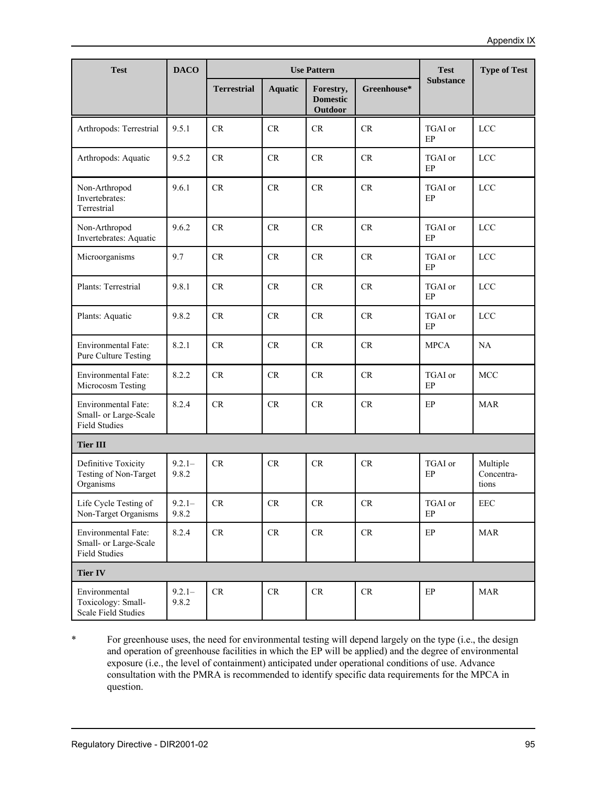| <b>Test</b>                                                          | <b>DACO</b>        |                    | <b>Use Pattern</b> | <b>Test</b>                             | <b>Type of Test</b> |                  |                                 |
|----------------------------------------------------------------------|--------------------|--------------------|--------------------|-----------------------------------------|---------------------|------------------|---------------------------------|
|                                                                      |                    | <b>Terrestrial</b> | <b>Aquatic</b>     | Forestry,<br><b>Domestic</b><br>Outdoor | Greenhouse*         | <b>Substance</b> |                                 |
| Arthropods: Terrestrial                                              | 9.5.1              | CR.                | CR                 | <b>CR</b>                               | <b>CR</b>           | TGAI or<br>EP    | LCC                             |
| Arthropods: Aquatic                                                  | 9.5.2              | CR                 | <b>CR</b>          | CR                                      | CR                  | TGAI or<br>EP    | <b>LCC</b>                      |
| Non-Arthropod<br>Invertebrates:<br>Terrestrial                       | 9.6.1              | CR                 | CR                 | CR                                      | CR                  | TGAI or<br>EP    | <b>LCC</b>                      |
| Non-Arthropod<br>Invertebrates: Aquatic                              | 9.6.2              | CR                 | CR                 | CR                                      | CR                  | TGAI or<br>EP    | <b>LCC</b>                      |
| Microorganisms                                                       | 9.7                | CR                 | CR                 | CR                                      | $\mathrm{CR}$       | TGAI or<br>EP    | LCC                             |
| Plants: Terrestrial                                                  | 9.8.1              | CR                 | CR                 | CR                                      | CR                  | TGAI or<br>EP    | <b>LCC</b>                      |
| Plants: Aquatic                                                      | 9.8.2              | CR                 | <b>CR</b>          | CR                                      | CR                  | TGAI or<br>EP    | <b>LCC</b>                      |
| Environmental Fate:<br>Pure Culture Testing                          | 8.2.1              | CR                 | <b>CR</b>          | CR                                      | CR                  | <b>MPCA</b>      | NA                              |
| Environmental Fate:<br>Microcosm Testing                             | 8.2.2              | CR                 | CR                 | CR                                      | $\mathrm{CR}$       | TGAI or<br>EP    | <b>MCC</b>                      |
| Environmental Fate:<br>Small- or Large-Scale<br><b>Field Studies</b> | 8.2.4              | CR                 | CR                 | <b>CR</b>                               | CR                  | $\rm EP$         | <b>MAR</b>                      |
| <b>Tier III</b>                                                      |                    |                    |                    |                                         |                     |                  |                                 |
| Definitive Toxicity<br>Testing of Non-Target<br>Organisms            | $9.2.1 -$<br>9.8.2 | CR                 | CR                 | CR                                      | CR                  | TGAI or<br>EP    | Multiple<br>Concentra-<br>tions |
| Life Cycle Testing of<br>Non-Target Organisms                        | $9.2.1 -$<br>9.8.2 | CR                 | CR                 | CR                                      | CR                  | TGAI or<br>EP    | EEC                             |
| Environmental Fate:<br>Small- or Large-Scale<br><b>Field Studies</b> | 8.2.4              | CR                 | CR                 | CR                                      | CR                  | EP               | <b>MAR</b>                      |
| <b>Tier IV</b>                                                       |                    |                    |                    |                                         |                     |                  |                                 |
| Environmental<br>Toxicology: Small-<br>Scale Field Studies           | $9.2.1 -$<br>9.8.2 | ${\cal CR}$        | CR                 | CR                                      | ${\cal CR}$         | $\rm EP$         | <b>MAR</b>                      |

\* For greenhouse uses, the need for environmental testing will depend largely on the type (i.e., the design and operation of greenhouse facilities in which the EP will be applied) and the degree of environmental exposure (i.e., the level of containment) anticipated under operational conditions of use. Advance consultation with the PMRA is recommended to identify specific data requirements for the MPCA in question.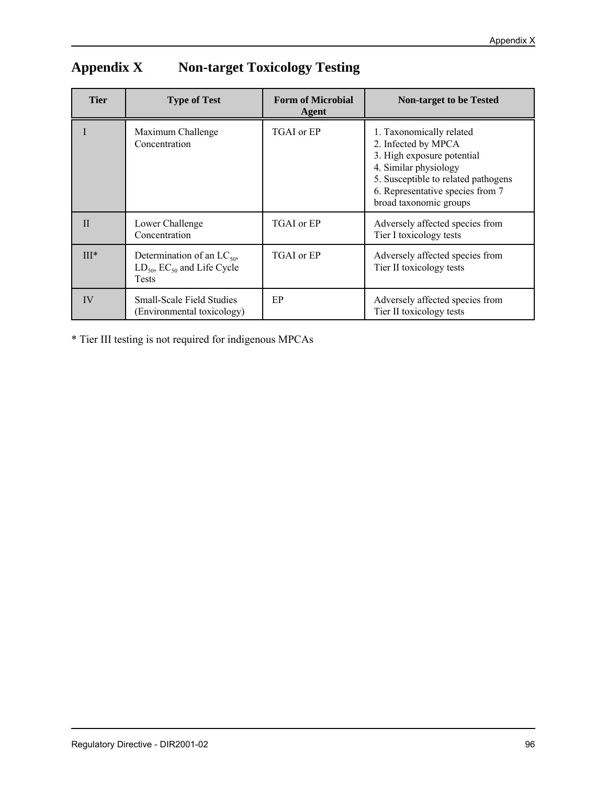| <b>Tier</b>  | <b>Type of Test</b>                                                                     | <b>Form of Microbial</b><br>Agent | <b>Non-target to be Tested</b>                                                                                                                                                                              |
|--------------|-----------------------------------------------------------------------------------------|-----------------------------------|-------------------------------------------------------------------------------------------------------------------------------------------------------------------------------------------------------------|
|              | Maximum Challenge<br>Concentration                                                      | TGAI or EP                        | 1. Taxonomically related<br>2. Infected by MPCA<br>3. High exposure potential<br>4. Similar physiology<br>5. Susceptible to related pathogens<br>6. Representative species from 7<br>broad taxonomic groups |
| $\mathbf{I}$ | Lower Challenge<br>Concentration                                                        | TGAI or EP                        | Adversely affected species from<br>Tier I toxicology tests                                                                                                                                                  |
| $III*$       | Determination of an $LC_{50}$ ,<br>$LD_{50}$ , $EC_{50}$ and Life Cycle<br><b>Tests</b> | TGAI or EP                        | Adversely affected species from<br>Tier II toxicology tests                                                                                                                                                 |
| IV           | <b>Small-Scale Field Studies</b><br>(Environmental toxicology)                          | EP                                | Adversely affected species from<br>Tier II toxicology tests                                                                                                                                                 |

# **Appendix X Non-target Toxicology Testing**

\* Tier III testing is not required for indigenous MPCAs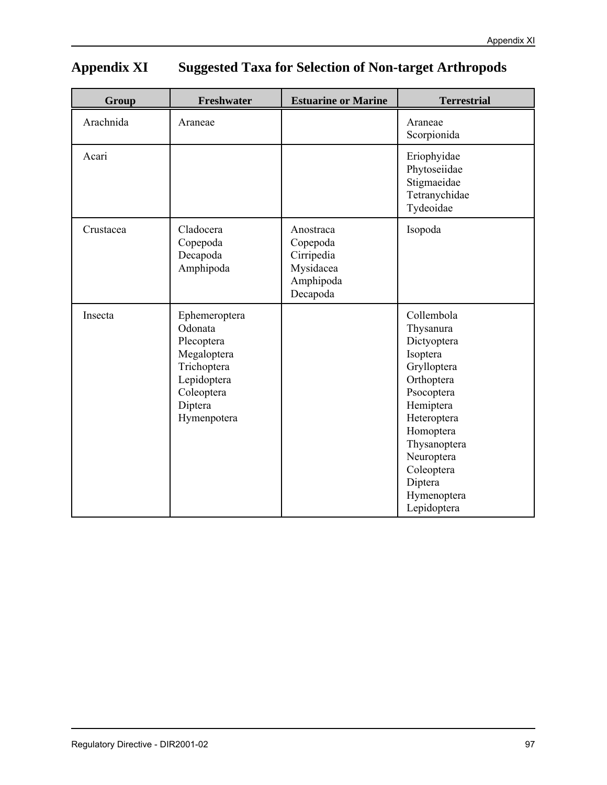# **Appendix XI Suggested Taxa for Selection of Non-target Arthropods**

| Group     | Freshwater                                                                                                                  | <b>Estuarine or Marine</b>                                                | <b>Terrestrial</b>                                                                                                                                                                                                          |
|-----------|-----------------------------------------------------------------------------------------------------------------------------|---------------------------------------------------------------------------|-----------------------------------------------------------------------------------------------------------------------------------------------------------------------------------------------------------------------------|
| Arachnida | Araneae                                                                                                                     |                                                                           | Araneae<br>Scorpionida                                                                                                                                                                                                      |
| Acari     |                                                                                                                             |                                                                           | Eriophyidae<br>Phytoseiidae<br>Stigmaeidae<br>Tetranychidae<br>Tydeoidae                                                                                                                                                    |
| Crustacea | Cladocera<br>Copepoda<br>Decapoda<br>Amphipoda                                                                              | Anostraca<br>Copepoda<br>Cirripedia<br>Mysidacea<br>Amphipoda<br>Decapoda | Isopoda                                                                                                                                                                                                                     |
| Insecta   | Ephemeroptera<br>Odonata<br>Plecoptera<br>Megaloptera<br>Trichoptera<br>Lepidoptera<br>Coleoptera<br>Diptera<br>Hymenpotera |                                                                           | Collembola<br>Thysanura<br>Dictyoptera<br>Isoptera<br>Grylloptera<br>Orthoptera<br>Psocoptera<br>Hemiptera<br>Heteroptera<br>Homoptera<br>Thysanoptera<br>Neuroptera<br>Coleoptera<br>Diptera<br>Hymenoptera<br>Lepidoptera |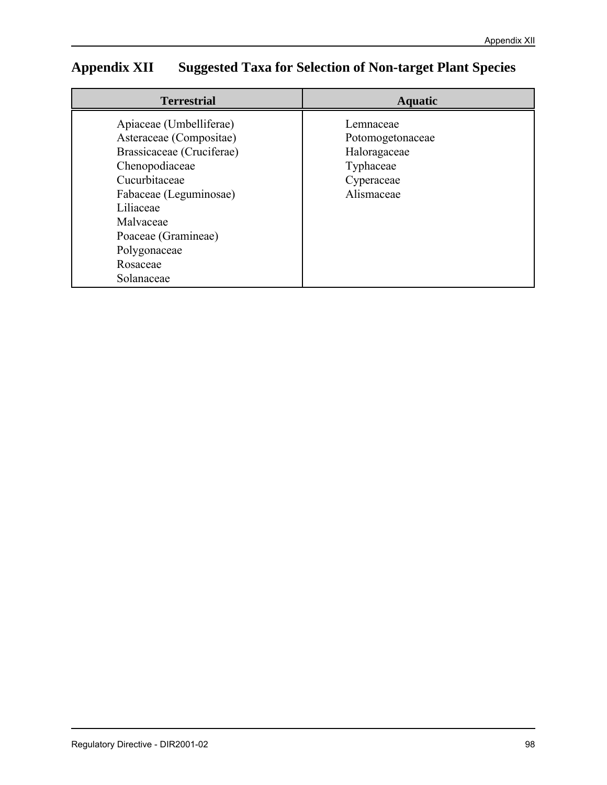# **Appendix XII Suggested Taxa for Selection of Non-target Plant Species**

| <b>Terrestrial</b>                                                                                                                                                                                                                      | <b>Aquatic</b>                                                                         |  |
|-----------------------------------------------------------------------------------------------------------------------------------------------------------------------------------------------------------------------------------------|----------------------------------------------------------------------------------------|--|
| Apiaceae (Umbelliferae)<br>Asteraceae (Compositae)<br>Brassicaceae (Cruciferae)<br>Chenopodiaceae<br>Cucurbitaceae<br>Fabaceae (Leguminosae)<br>Liliaceae<br>Malvaceae<br>Poaceae (Gramineae)<br>Polygonaceae<br>Rosaceae<br>Solanaceae | Lemnaceae<br>Potomogetonaceae<br>Haloragaceae<br>Typhaceae<br>Cyperaceae<br>Alismaceae |  |